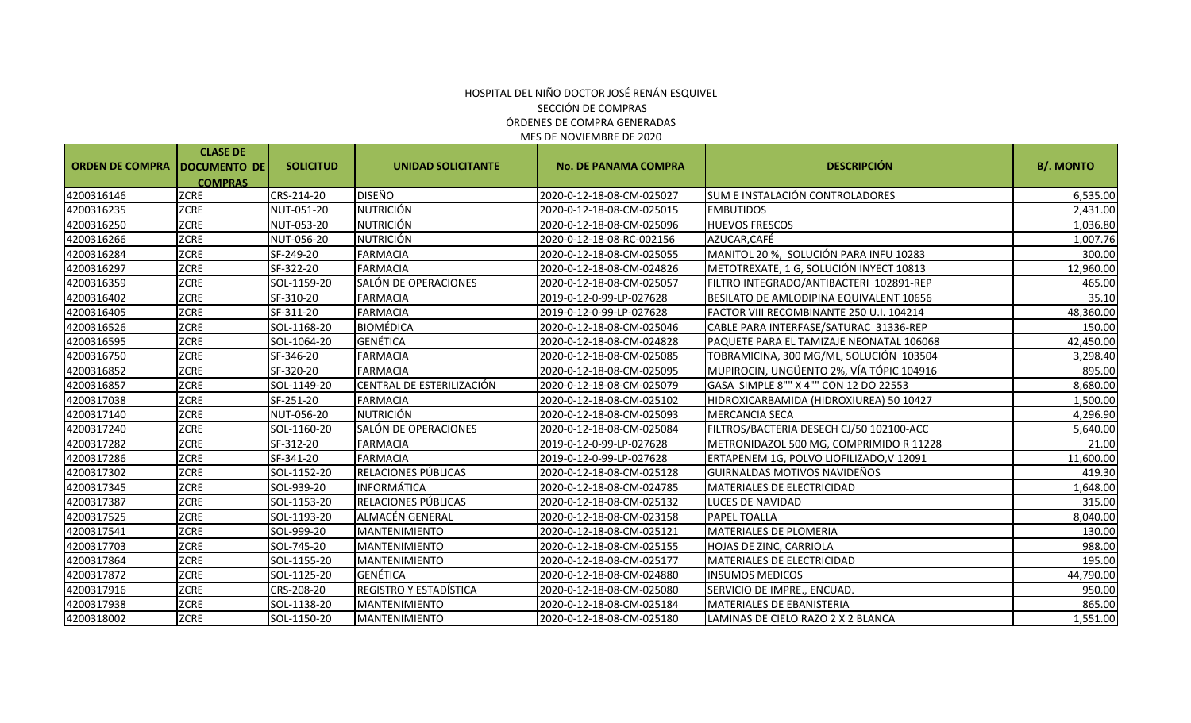# ÓRDENES DE COMPRA GENERADAS MES DE NOVIEMBRE DE 2020 HOSPITAL DEL NIÑO DOCTOR JOSÉ RENÁN ESQUIVEL SECCIÓN DE COMPRAS

|                        | <b>CLASE DE</b>     |                  |                           |                             |                                          |                  |
|------------------------|---------------------|------------------|---------------------------|-----------------------------|------------------------------------------|------------------|
| <b>ORDEN DE COMPRA</b> | <b>DOCUMENTO DE</b> | <b>SOLICITUD</b> | <b>UNIDAD SOLICITANTE</b> | <b>No. DE PANAMA COMPRA</b> | <b>DESCRIPCIÓN</b>                       | <b>B/. MONTO</b> |
|                        | <b>COMPRAS</b>      |                  |                           |                             |                                          |                  |
| 4200316146             | <b>ZCRE</b>         | CRS-214-20       | <b>DISEÑO</b>             | 2020-0-12-18-08-CM-025027   | SUM E INSTALACIÓN CONTROLADORES          | 6,535.00         |
| 4200316235             | <b>ZCRE</b>         | NUT-051-20       | <b>NUTRICIÓN</b>          | 2020-0-12-18-08-CM-025015   | <b>EMBUTIDOS</b>                         | 2,431.00         |
| 4200316250             | ZCRE                | NUT-053-20       | <b>NUTRICIÓN</b>          | 2020-0-12-18-08-CM-025096   | <b>HUEVOS FRESCOS</b>                    | 1,036.80         |
| 4200316266             | ZCRE                | NUT-056-20       | <b>NUTRICIÓN</b>          | 2020-0-12-18-08-RC-002156   | AZUCAR, CAFÉ                             | 1,007.76         |
| 4200316284             | <b>ZCRE</b>         | SF-249-20        | <b>FARMACIA</b>           | 2020-0-12-18-08-CM-025055   | MANITOL 20 %, SOLUCIÓN PARA INFU 10283   | 300.00           |
| 4200316297             | <b>ZCRE</b>         | SF-322-20        | <b>FARMACIA</b>           | 2020-0-12-18-08-CM-024826   | METOTREXATE, 1 G, SOLUCIÓN INYECT 10813  | 12,960.00        |
| 4200316359             | ZCRE                | SOL-1159-20      | SALÓN DE OPERACIONES      | 2020-0-12-18-08-CM-025057   | FILTRO INTEGRADO/ANTIBACTERI 102891-REP  | 465.00           |
| 4200316402             | <b>ZCRE</b>         | SF-310-20        | <b>FARMACIA</b>           | 2019-0-12-0-99-LP-027628    | BESILATO DE AMLODIPINA EQUIVALENT 10656  | 35.10            |
| 4200316405             | ZCRE                | SF-311-20        | <b>FARMACIA</b>           | 2019-0-12-0-99-LP-027628    | FACTOR VIII RECOMBINANTE 250 U.I. 104214 | 48,360.00        |
| 4200316526             | <b>ZCRE</b>         | SOL-1168-20      | <b>BIOMÉDICA</b>          | 2020-0-12-18-08-CM-025046   | CABLE PARA INTERFASE/SATURAC 31336-REP   | 150.00           |
| 4200316595             | ZCRE                | SOL-1064-20      | <b>GENÉTICA</b>           | 2020-0-12-18-08-CM-024828   | PAQUETE PARA EL TAMIZAJE NEONATAL 106068 | 42,450.00        |
| 4200316750             | <b>ZCRE</b>         | SF-346-20        | <b>FARMACIA</b>           | 2020-0-12-18-08-CM-025085   | TOBRAMICINA, 300 MG/ML, SOLUCIÓN 103504  | 3,298.40         |
| 4200316852             | ZCRE                | SF-320-20        | <b>FARMACIA</b>           | 2020-0-12-18-08-CM-025095   | MUPIROCIN, UNGÜENTO 2%, VÍA TÓPIC 104916 | 895.00           |
| 4200316857             | <b>ZCRE</b>         | SOL-1149-20      | CENTRAL DE ESTERILIZACIÓN | 2020-0-12-18-08-CM-025079   | GASA SIMPLE 8"" X 4"" CON 12 DO 22553    | 8,680.00         |
| 4200317038             | ZCRE                | SF-251-20        | <b>FARMACIA</b>           | 2020-0-12-18-08-CM-025102   | HIDROXICARBAMIDA (HIDROXIUREA) 50 10427  | 1,500.00         |
| 4200317140             | <b>ZCRE</b>         | NUT-056-20       | <b>NUTRICIÓN</b>          | 2020-0-12-18-08-CM-025093   | <b>MERCANCIA SECA</b>                    | 4,296.90         |
| 4200317240             | ZCRE                | SOL-1160-20      | SALÓN DE OPERACIONES      | 2020-0-12-18-08-CM-025084   | FILTROS/BACTERIA DESECH CJ/50 102100-ACC | 5,640.00         |
| 4200317282             | ZCRE                | SF-312-20        | <b>FARMACIA</b>           | 2019-0-12-0-99-LP-027628    | METRONIDAZOL 500 MG, COMPRIMIDO R 11228  | 21.00            |
| 4200317286             | <b>ZCRE</b>         | SF-341-20        | <b>FARMACIA</b>           | 2019-0-12-0-99-LP-027628    | ERTAPENEM 1G, POLVO LIOFILIZADO, V 12091 | 11,600.00        |
| 4200317302             | <b>ZCRE</b>         | SOL-1152-20      | RELACIONES PÚBLICAS       | 2020-0-12-18-08-CM-025128   | GUIRNALDAS MOTIVOS NAVIDEÑOS             | 419.30           |
| 4200317345             | ZCRE                | SOL-939-20       | <b>INFORMÁTICA</b>        | 2020-0-12-18-08-CM-024785   | MATERIALES DE ELECTRICIDAD               | 1,648.00         |
| 4200317387             | <b>ZCRE</b>         | SOL-1153-20      | RELACIONES PÚBLICAS       | 2020-0-12-18-08-CM-025132   | LUCES DE NAVIDAD                         | 315.00           |
| 4200317525             | <b>ZCRE</b>         | SOL-1193-20      | <b>ALMACÉN GENERAL</b>    | 2020-0-12-18-08-CM-023158   | <b>PAPEL TOALLA</b>                      | 8,040.00         |
| 4200317541             | ZCRE                | SOL-999-20       | <b>MANTENIMIENTO</b>      | 2020-0-12-18-08-CM-025121   | MATERIALES DE PLOMERIA                   | 130.00           |
| 4200317703             | ZCRE                | SOL-745-20       | <b>MANTENIMIENTO</b>      | 2020-0-12-18-08-CM-025155   | HOJAS DE ZINC, CARRIOLA                  | 988.00           |
| 4200317864             | <b>ZCRE</b>         | SOL-1155-20      | MANTENIMIENTO             | 2020-0-12-18-08-CM-025177   | MATERIALES DE ELECTRICIDAD               | 195.00           |
| 4200317872             | ZCRE                | SOL-1125-20      | <b>GENÉTICA</b>           | 2020-0-12-18-08-CM-024880   | <b>INSUMOS MEDICOS</b>                   | 44,790.00        |
| 4200317916             | <b>ZCRE</b>         | CRS-208-20       | REGISTRO Y ESTADÍSTICA    | 2020-0-12-18-08-CM-025080   | SERVICIO DE IMPRE., ENCUAD.              | 950.00           |
| 4200317938             | ZCRE                | SOL-1138-20      | <b>MANTENIMIENTO</b>      | 2020-0-12-18-08-CM-025184   | MATERIALES DE EBANISTERIA                | 865.00           |
| 4200318002             | <b>ZCRE</b>         | SOL-1150-20      | <b>MANTENIMIENTO</b>      | 2020-0-12-18-08-CM-025180   | LAMINAS DE CIELO RAZO 2 X 2 BLANCA       | 1,551.00         |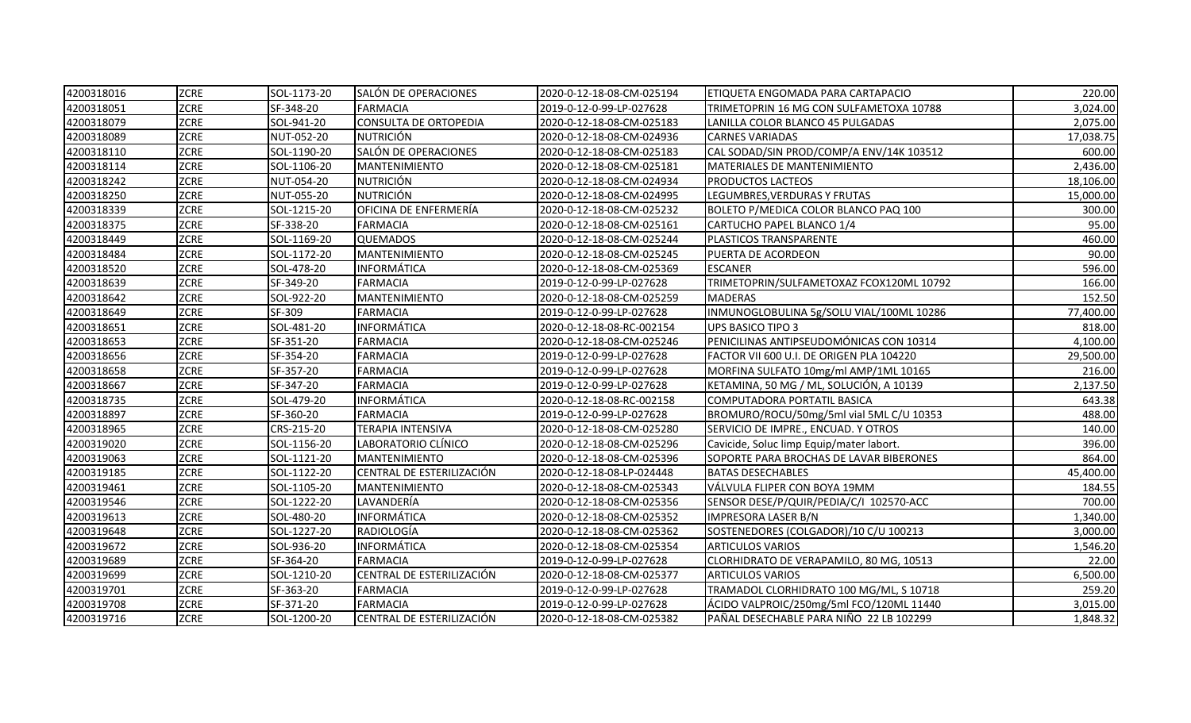| 4200318016 | <b>ZCRE</b> | SOL-1173-20 | SALÓN DE OPERACIONES               | 2020-0-12-18-08-CM-025194 | ETIQUETA ENGOMADA PARA CARTAPACIO        | 220.00    |
|------------|-------------|-------------|------------------------------------|---------------------------|------------------------------------------|-----------|
| 4200318051 | ZCRE        | SF-348-20   | <b>FARMACIA</b>                    | 2019-0-12-0-99-LP-027628  | TRIMETOPRIN 16 MG CON SULFAMETOXA 10788  | 3,024.00  |
| 4200318079 | ZCRE        | SOL-941-20  | CONSULTA DE ORTOPEDIA              | 2020-0-12-18-08-CM-025183 | LANILLA COLOR BLANCO 45 PULGADAS         | 2,075.00  |
| 4200318089 | ZCRE        | NUT-052-20  | <b>NUTRICIÓN</b>                   | 2020-0-12-18-08-CM-024936 | <b>CARNES VARIADAS</b>                   | 17,038.75 |
| 4200318110 | ZCRE        | SOL-1190-20 | SALÓN DE OPERACIONES               | 2020-0-12-18-08-CM-025183 | CAL SODAD/SIN PROD/COMP/A ENV/14K 103512 | 600.00    |
| 4200318114 | ZCRE        | SOL-1106-20 | <b>MANTENIMIENTO</b>               | 2020-0-12-18-08-CM-025181 | MATERIALES DE MANTENIMIENTO              | 2,436.00  |
| 4200318242 | ZCRE        | NUT-054-20  | <b>NUTRICIÓN</b>                   | 2020-0-12-18-08-CM-024934 | <b>PRODUCTOS LACTEOS</b>                 | 18,106.00 |
| 4200318250 | ZCRE        | NUT-055-20  | <b>NUTRICIÓN</b>                   | 2020-0-12-18-08-CM-024995 | LEGUMBRES, VERDURAS Y FRUTAS             | 15,000.00 |
| 4200318339 | ZCRE        | SOL-1215-20 | OFICINA DE ENFERMERÍA              | 2020-0-12-18-08-CM-025232 | BOLETO P/MEDICA COLOR BLANCO PAQ 100     | 300.00    |
| 4200318375 | ZCRE        | SF-338-20   | <b>FARMACIA</b>                    | 2020-0-12-18-08-CM-025161 | CARTUCHO PAPEL BLANCO 1/4                | 95.00     |
| 4200318449 | ZCRE        | SOL-1169-20 | <b>QUEMADOS</b>                    | 2020-0-12-18-08-CM-025244 | PLASTICOS TRANSPARENTE                   | 460.00    |
| 4200318484 | <b>ZCRE</b> | SOL-1172-20 | <b>MANTENIMIENTO</b>               | 2020-0-12-18-08-CM-025245 | PUERTA DE ACORDEON                       | 90.00     |
| 4200318520 | <b>ZCRE</b> | SOL-478-20  | <b>INFORMÁTICA</b>                 | 2020-0-12-18-08-CM-025369 | <b>ESCANER</b>                           | 596.00    |
| 4200318639 | ZCRE        | SF-349-20   | <b>FARMACIA</b>                    | 2019-0-12-0-99-LP-027628  | TRIMETOPRIN/SULFAMETOXAZ FCOX120ML 10792 | 166.00    |
| 4200318642 | ZCRE        | SOL-922-20  | MANTENIMIENTO                      | 2020-0-12-18-08-CM-025259 | <b>MADERAS</b>                           | 152.50    |
| 4200318649 | <b>ZCRE</b> | SF-309      | <b>FARMACIA</b>                    | 2019-0-12-0-99-LP-027628  | INMUNOGLOBULINA 5g/SOLU VIAL/100ML 10286 | 77,400.00 |
| 4200318651 | <b>ZCRE</b> | SOL-481-20  | <b>INFORMÁTICA</b>                 | 2020-0-12-18-08-RC-002154 | UPS BASICO TIPO 3                        | 818.00    |
| 4200318653 | ZCRE        | SF-351-20   | <b>FARMACIA</b>                    | 2020-0-12-18-08-CM-025246 | PENICILINAS ANTIPSEUDOMÓNICAS CON 10314  | 4,100.00  |
| 4200318656 | ZCRE        | SF-354-20   | <b>FARMACIA</b>                    | 2019-0-12-0-99-LP-027628  | FACTOR VII 600 U.I. DE ORIGEN PLA 104220 | 29,500.00 |
| 4200318658 | <b>ZCRE</b> | SF-357-20   | <b>FARMACIA</b>                    | 2019-0-12-0-99-LP-027628  | MORFINA SULFATO 10mg/ml AMP/1ML 10165    | 216.00    |
| 4200318667 | ZCRE        | SF-347-20   | <b>FARMACIA</b>                    | 2019-0-12-0-99-LP-027628  | KETAMINA, 50 MG / ML, SOLUCIÓN, A 10139  | 2,137.50  |
| 4200318735 | ZCRE        | SOL-479-20  | <b>INFORMÁTICA</b>                 | 2020-0-12-18-08-RC-002158 | COMPUTADORA PORTATIL BASICA              | 643.38    |
| 4200318897 | <b>ZCRE</b> | SF-360-20   | <b>FARMACIA</b>                    | 2019-0-12-0-99-LP-027628  | BROMURO/ROCU/50mg/5ml vial 5ML C/U 10353 | 488.00    |
| 4200318965 | ZCRE        | CRS-215-20  | <b>TERAPIA INTENSIVA</b>           | 2020-0-12-18-08-CM-025280 | SERVICIO DE IMPRE., ENCUAD. Y OTROS      | 140.00    |
| 4200319020 | ZCRE        | SOL-1156-20 | LABORATORIO CLÍNICO                | 2020-0-12-18-08-CM-025296 | Cavicide, Soluc limp Equip/mater labort. | 396.00    |
| 4200319063 | ZCRE        | SOL-1121-20 | MANTENIMIENTO                      | 2020-0-12-18-08-CM-025396 | SOPORTE PARA BROCHAS DE LAVAR BIBERONES  | 864.00    |
| 4200319185 | ZCRE        | SOL-1122-20 | CENTRAL DE ESTERILIZACIÓN          | 2020-0-12-18-08-LP-024448 | <b>BATAS DESECHABLES</b>                 | 45,400.00 |
| 4200319461 | ZCRE        | SOL-1105-20 | <b>MANTENIMIENTO</b>               | 2020-0-12-18-08-CM-025343 | VÁLVULA FLIPER CON BOYA 19MM             | 184.55    |
| 4200319546 | ZCRE        | SOL-1222-20 | LAVANDERÍA                         | 2020-0-12-18-08-CM-025356 | SENSOR DESE/P/QUIR/PEDIA/C/I 102570-ACC  | 700.00    |
| 4200319613 | ZCRE        | SOL-480-20  | <b>INFORMÁTICA</b>                 | 2020-0-12-18-08-CM-025352 | <b>IMPRESORA LASER B/N</b>               | 1,340.00  |
| 4200319648 | ZCRE        | SOL-1227-20 | RADIOLOGÍA                         | 2020-0-12-18-08-CM-025362 | SOSTENEDORES (COLGADOR)/10 C/U 100213    | 3,000.00  |
| 4200319672 | ZCRE        | SOL-936-20  | <b>INFORMÁTICA</b>                 | 2020-0-12-18-08-CM-025354 | <b>ARTICULOS VARIOS</b>                  | 1,546.20  |
| 4200319689 | ZCRE        | SF-364-20   | <b>FARMACIA</b>                    | 2019-0-12-0-99-LP-027628  | CLORHIDRATO DE VERAPAMILO, 80 MG, 10513  | 22.00     |
| 4200319699 | ZCRE        | SOL-1210-20 | CENTRAL DE ESTERILIZACIÓN          | 2020-0-12-18-08-CM-025377 | <b>ARTICULOS VARIOS</b>                  | 6,500.00  |
| 4200319701 | <b>ZCRE</b> | SF-363-20   | <b>FARMACIA</b>                    | 2019-0-12-0-99-LP-027628  | TRAMADOL CLORHIDRATO 100 MG/ML, S 10718  | 259.20    |
| 4200319708 | ZCRE        | SF-371-20   | <b>FARMACIA</b>                    | 2019-0-12-0-99-LP-027628  | ÁCIDO VALPROIC/250mg/5ml FCO/120ML 11440 | 3,015.00  |
| 4200319716 | <b>ZCRE</b> | SOL-1200-20 | <b>l</b> CENTRAL DE ESTERILIZACIÓN | 2020-0-12-18-08-CM-025382 | PAÑAL DESECHABLE PARA NIÑO 22 LB 102299  | 1,848.32  |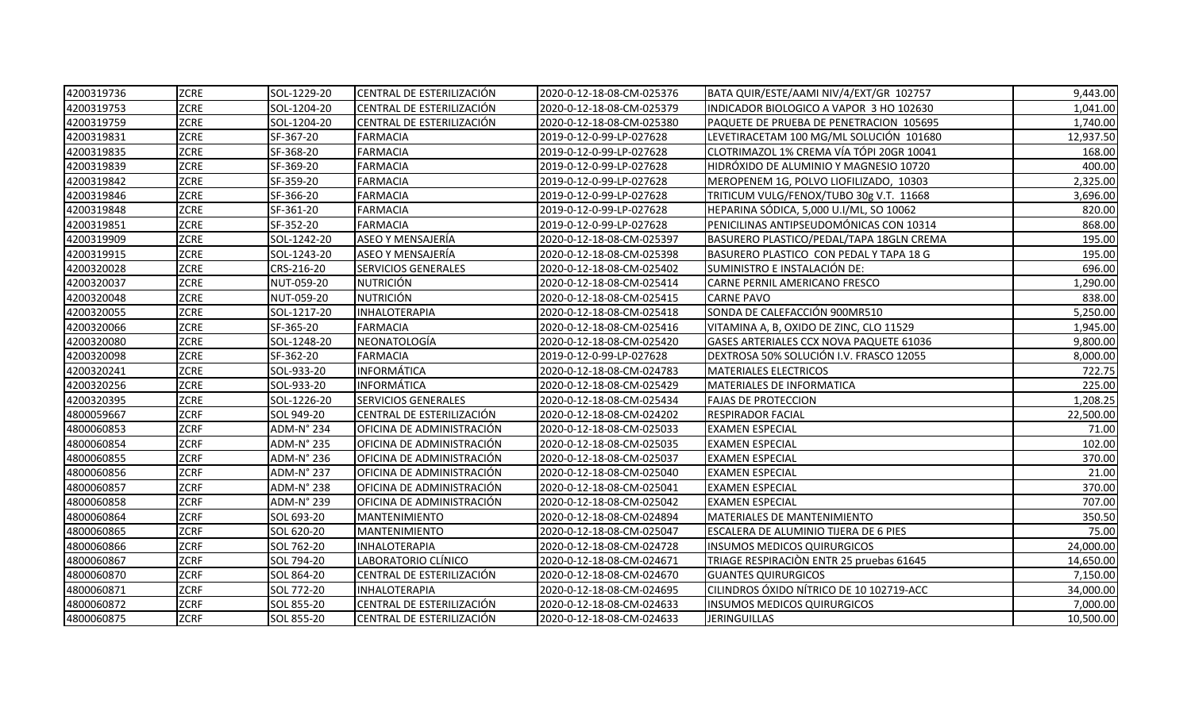| 4200319736 | <b>ZCRE</b> | SOL-1229-20 | CENTRAL DE ESTERILIZACIÓN | 2020-0-12-18-08-CM-025376 | BATA QUIR/ESTE/AAMI NIV/4/EXT/GR 102757  | 9,443.00  |
|------------|-------------|-------------|---------------------------|---------------------------|------------------------------------------|-----------|
| 4200319753 | <b>ZCRE</b> | SOL-1204-20 | CENTRAL DE ESTERILIZACIÓN | 2020-0-12-18-08-CM-025379 | INDICADOR BIOLOGICO A VAPOR 3 HO 102630  | 1,041.00  |
| 4200319759 | <b>ZCRE</b> | SOL-1204-20 | CENTRAL DE ESTERILIZACIÓN | 2020-0-12-18-08-CM-025380 | PAQUETE DE PRUEBA DE PENETRACION 105695  | 1,740.00  |
| 4200319831 | <b>ZCRE</b> | SF-367-20   | <b>FARMACIA</b>           | 2019-0-12-0-99-LP-027628  | LEVETIRACETAM 100 MG/ML SOLUCIÓN 101680  | 12,937.50 |
| 4200319835 | <b>ZCRE</b> | SF-368-20   | <b>FARMACIA</b>           | 2019-0-12-0-99-LP-027628  | CLOTRIMAZOL 1% CREMA VÍA TÓPI 20GR 10041 | 168.00    |
| 4200319839 | <b>ZCRE</b> | SF-369-20   | <b>FARMACIA</b>           | 2019-0-12-0-99-LP-027628  | HIDRÓXIDO DE ALUMINIO Y MAGNESIO 10720   | 400.00    |
| 4200319842 | <b>ZCRE</b> | SF-359-20   | <b>FARMACIA</b>           | 2019-0-12-0-99-LP-027628  | MEROPENEM 1G, POLVO LIOFILIZADO, 10303   | 2,325.00  |
| 4200319846 | ZCRE        | SF-366-20   | <b>FARMACIA</b>           | 2019-0-12-0-99-LP-027628  | TRITICUM VULG/FENOX/TUBO 30g V.T. 11668  | 3,696.00  |
| 4200319848 | <b>ZCRE</b> | SF-361-20   | <b>FARMACIA</b>           | 2019-0-12-0-99-LP-027628  | HEPARINA SÓDICA, 5,000 U.I/ML, SO 10062  | 820.00    |
| 4200319851 | <b>ZCRE</b> | SF-352-20   | <b>FARMACIA</b>           | 2019-0-12-0-99-LP-027628  | PENICILINAS ANTIPSEUDOMÓNICAS CON 10314  | 868.00    |
| 4200319909 | ZCRE        | SOL-1242-20 | ASEO Y MENSAJERÍA         | 2020-0-12-18-08-CM-025397 | BASURERO PLASTICO/PEDAL/TAPA 18GLN CREMA | 195.00    |
| 4200319915 | <b>ZCRE</b> | SOL-1243-20 | ASEO Y MENSAJERÍA         | 2020-0-12-18-08-CM-025398 | BASURERO PLASTICO CON PEDAL Y TAPA 18 G  | 195.00    |
| 4200320028 | <b>ZCRE</b> | CRS-216-20  | SERVICIOS GENERALES       | 2020-0-12-18-08-CM-025402 | SUMINISTRO E INSTALACIÓN DE:             | 696.00    |
| 4200320037 | ZCRE        | NUT-059-20  | <b>NUTRICIÓN</b>          | 2020-0-12-18-08-CM-025414 | CARNE PERNIL AMERICANO FRESCO            | 1,290.00  |
| 4200320048 | <b>ZCRE</b> | NUT-059-20  | <b>NUTRICIÓN</b>          | 2020-0-12-18-08-CM-025415 | <b>CARNE PAVO</b>                        | 838.00    |
| 4200320055 | <b>ZCRE</b> | SOL-1217-20 | <b>INHALOTERAPIA</b>      | 2020-0-12-18-08-CM-025418 | SONDA DE CALEFACCIÓN 900MR510            | 5,250.00  |
| 4200320066 | <b>ZCRE</b> | SF-365-20   | <b>FARMACIA</b>           | 2020-0-12-18-08-CM-025416 | VITAMINA A, B, OXIDO DE ZINC, CLO 11529  | 1,945.00  |
| 4200320080 | <b>ZCRE</b> | SOL-1248-20 | NEONATOLOGÍA              | 2020-0-12-18-08-CM-025420 | GASES ARTERIALES CCX NOVA PAQUETE 61036  | 9,800.00  |
| 4200320098 | <b>ZCRE</b> | SF-362-20   | <b>FARMACIA</b>           | 2019-0-12-0-99-LP-027628  | DEXTROSA 50% SOLUCIÓN I.V. FRASCO 12055  | 8,000.00  |
| 4200320241 | <b>ZCRE</b> | SOL-933-20  | INFORMÁTICA               | 2020-0-12-18-08-CM-024783 | <b>MATERIALES ELECTRICOS</b>             | 722.75    |
| 4200320256 | <b>ZCRE</b> | SOL-933-20  | INFORMÁTICA               | 2020-0-12-18-08-CM-025429 | MATERIALES DE INFORMATICA                | 225.00    |
| 4200320395 | <b>ZCRE</b> | SOL-1226-20 | SERVICIOS GENERALES       | 2020-0-12-18-08-CM-025434 | <b>FAJAS DE PROTECCION</b>               | 1,208.25  |
| 4800059667 | <b>ZCRF</b> | SOL 949-20  | CENTRAL DE ESTERILIZACIÓN | 2020-0-12-18-08-CM-024202 | <b>RESPIRADOR FACIAL</b>                 | 22,500.00 |
| 4800060853 | <b>ZCRF</b> | ADM-N° 234  | OFICINA DE ADMINISTRACIÓN | 2020-0-12-18-08-CM-025033 | <b>EXAMEN ESPECIAL</b>                   | 71.00     |
| 4800060854 | <b>ZCRF</b> | ADM-N° 235  | OFICINA DE ADMINISTRACIÓN | 2020-0-12-18-08-CM-025035 | <b>EXAMEN ESPECIAL</b>                   | 102.00    |
| 4800060855 | <b>ZCRF</b> | ADM-N° 236  | OFICINA DE ADMINISTRACIÓN | 2020-0-12-18-08-CM-025037 | <b>EXAMEN ESPECIAL</b>                   | 370.00    |
| 4800060856 | <b>ZCRF</b> | ADM-N° 237  | OFICINA DE ADMINISTRACIÓN | 2020-0-12-18-08-CM-025040 | <b>EXAMEN ESPECIAL</b>                   | 21.00     |
| 4800060857 | <b>ZCRF</b> | ADM-N° 238  | OFICINA DE ADMINISTRACIÓN | 2020-0-12-18-08-CM-025041 | <b>EXAMEN ESPECIAL</b>                   | 370.00    |
| 4800060858 | <b>ZCRF</b> | ADM-N° 239  | OFICINA DE ADMINISTRACIÓN | 2020-0-12-18-08-CM-025042 | <b>EXAMEN ESPECIAL</b>                   | 707.00    |
| 4800060864 | <b>ZCRF</b> | SOL 693-20  | MANTENIMIENTO             | 2020-0-12-18-08-CM-024894 | <b>MATERIALES DE MANTENIMIENTO</b>       | 350.50    |
| 4800060865 | <b>ZCRF</b> | SOL 620-20  | MANTENIMIENTO             | 2020-0-12-18-08-CM-025047 | ESCALERA DE ALUMINIO TIJERA DE 6 PIES    | 75.00     |
| 4800060866 | <b>ZCRF</b> | SOL 762-20  | INHALOTERAPIA             | 2020-0-12-18-08-CM-024728 | <b>INSUMOS MEDICOS QUIRURGICOS</b>       | 24,000.00 |
| 4800060867 | <b>ZCRF</b> | SOL 794-20  | LABORATORIO CLÍNICO       | 2020-0-12-18-08-CM-024671 | TRIAGE RESPIRACIÓN ENTR 25 pruebas 61645 | 14,650.00 |
| 4800060870 | <b>ZCRF</b> | SOL 864-20  | CENTRAL DE ESTERILIZACIÓN | 2020-0-12-18-08-CM-024670 | <b>GUANTES QUIRURGICOS</b>               | 7,150.00  |
| 4800060871 | <b>ZCRF</b> | SOL 772-20  | INHALOTERAPIA             | 2020-0-12-18-08-CM-024695 | CILINDROS ÓXIDO NÍTRICO DE 10 102719-ACC | 34,000.00 |
| 4800060872 | <b>ZCRF</b> | SOL 855-20  | CENTRAL DE ESTERILIZACIÓN | 2020-0-12-18-08-CM-024633 | <b>INSUMOS MEDICOS QUIRURGICOS</b>       | 7,000.00  |
| 4800060875 | <b>ZCRF</b> | SOL 855-20  | CENTRAL DE ESTERILIZACIÓN | 2020-0-12-18-08-CM-024633 | <b>JERINGUILLAS</b>                      | 10,500.00 |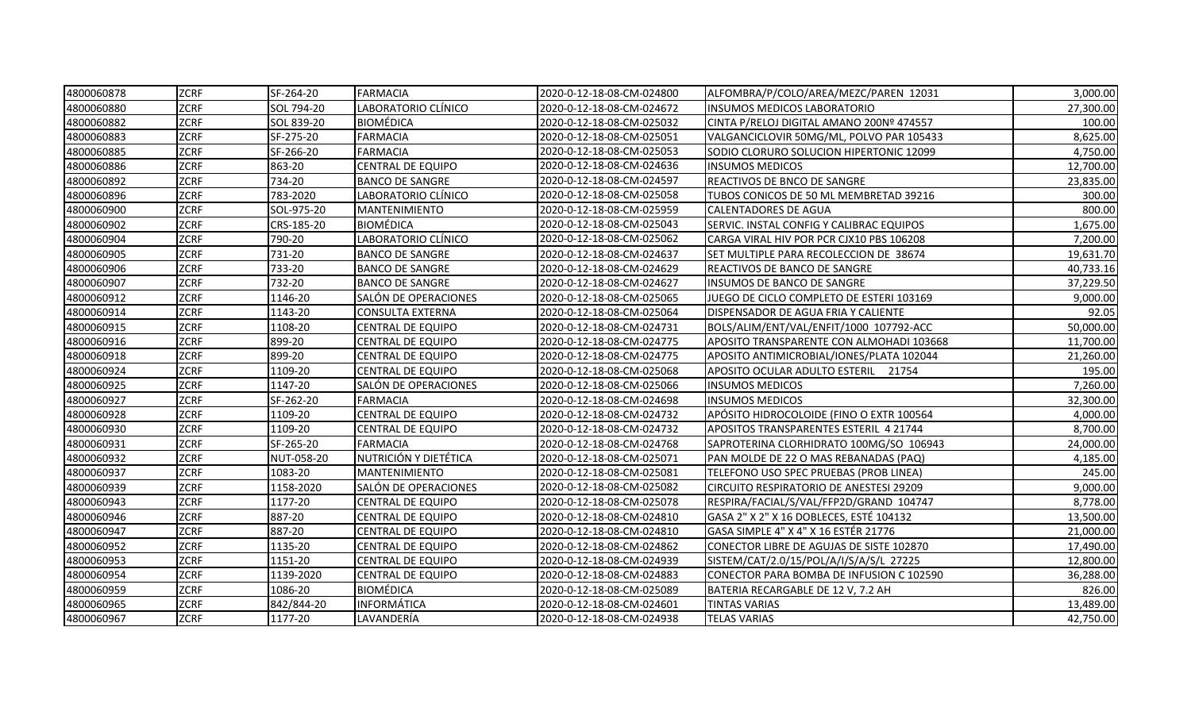| 4800060878 | <b>ZCRF</b> | SF-264-20  | FARMACIA                 | 2020-0-12-18-08-CM-024800 | ALFOMBRA/P/COLO/AREA/MEZC/PAREN 12031          | 3,000.00  |
|------------|-------------|------------|--------------------------|---------------------------|------------------------------------------------|-----------|
| 4800060880 | <b>ZCRF</b> | SOL 794-20 | LABORATORIO CLÍNICO      | 2020-0-12-18-08-CM-024672 | INSUMOS MEDICOS LABORATORIO                    | 27,300.00 |
| 4800060882 | <b>ZCRF</b> | SOL 839-20 | <b>BIOMÉDICA</b>         | 2020-0-12-18-08-CM-025032 | CINTA P/RELOJ DIGITAL AMANO 200Nº 474557       | 100.00    |
| 4800060883 | <b>ZCRF</b> | SF-275-20  | <b>FARMACIA</b>          | 2020-0-12-18-08-CM-025051 | VALGANCICLOVIR 50MG/ML, POLVO PAR 105433       | 8,625.00  |
| 4800060885 | <b>ZCRF</b> | SF-266-20  | <b>FARMACIA</b>          | 2020-0-12-18-08-CM-025053 | SODIO CLORURO SOLUCION HIPERTONIC 12099        | 4,750.00  |
| 4800060886 | <b>ZCRF</b> | 863-20     | <b>CENTRAL DE EQUIPO</b> | 2020-0-12-18-08-CM-024636 | <b>INSUMOS MEDICOS</b>                         | 12,700.00 |
| 4800060892 | ZCRF        | 734-20     | <b>BANCO DE SANGRE</b>   | 2020-0-12-18-08-CM-024597 | REACTIVOS DE BNCO DE SANGRE                    | 23,835.00 |
| 4800060896 | <b>ZCRF</b> | 783-2020   | LABORATORIO CLÍNICO      | 2020-0-12-18-08-CM-025058 | TUBOS CONICOS DE 50 ML MEMBRETAD 39216         | 300.00    |
| 4800060900 | <b>ZCRF</b> | SOL-975-20 | <b>MANTENIMIENTO</b>     | 2020-0-12-18-08-CM-025959 | CALENTADORES DE AGUA                           | 800.00    |
| 4800060902 | <b>ZCRF</b> | CRS-185-20 | <b>BIOMÉDICA</b>         | 2020-0-12-18-08-CM-025043 | SERVIC. INSTAL CONFIG Y CALIBRAC EQUIPOS       | 1,675.00  |
| 4800060904 | <b>ZCRF</b> | 790-20     | LABORATORIO CLÍNICO      | 2020-0-12-18-08-CM-025062 | CARGA VIRAL HIV POR PCR CJX10 PBS 106208       | 7,200.00  |
| 4800060905 | <b>ZCRF</b> | 731-20     | <b>BANCO DE SANGRE</b>   | 2020-0-12-18-08-CM-024637 | SET MULTIPLE PARA RECOLECCION DE 38674         | 19,631.70 |
| 4800060906 | <b>ZCRF</b> | 733-20     | <b>BANCO DE SANGRE</b>   | 2020-0-12-18-08-CM-024629 | REACTIVOS DE BANCO DE SANGRE                   | 40,733.16 |
| 4800060907 | <b>ZCRF</b> | 732-20     | <b>BANCO DE SANGRE</b>   | 2020-0-12-18-08-CM-024627 | INSUMOS DE BANCO DE SANGRE                     | 37,229.50 |
| 4800060912 | <b>ZCRF</b> | 1146-20    | SALÓN DE OPERACIONES     | 2020-0-12-18-08-CM-025065 | JUEGO DE CICLO COMPLETO DE ESTERI 103169       | 9,000.00  |
| 4800060914 | <b>ZCRF</b> | 1143-20    | <b>CONSULTA EXTERNA</b>  | 2020-0-12-18-08-CM-025064 | DISPENSADOR DE AGUA FRIA Y CALIENTE            | 92.05     |
| 4800060915 | <b>ZCRF</b> | 1108-20    | <b>CENTRAL DE EQUIPO</b> | 2020-0-12-18-08-CM-024731 | BOLS/ALIM/ENT/VAL/ENFIT/1000 107792-ACC        | 50,000.00 |
| 4800060916 | <b>ZCRF</b> | 899-20     | CENTRAL DE EQUIPO        | 2020-0-12-18-08-CM-024775 | APOSITO TRANSPARENTE CON ALMOHADI 103668       | 11,700.00 |
| 4800060918 | <b>ZCRF</b> | 899-20     | <b>CENTRAL DE EQUIPO</b> | 2020-0-12-18-08-CM-024775 | APOSITO ANTIMICROBIAL/IONES/PLATA 102044       | 21,260.00 |
| 4800060924 | <b>ZCRF</b> | 1109-20    | <b>CENTRAL DE EQUIPO</b> | 2020-0-12-18-08-CM-025068 | APOSITO OCULAR ADULTO ESTERIL 21754            | 195.00    |
| 4800060925 | <b>ZCRF</b> | 1147-20    | SALÓN DE OPERACIONES     | 2020-0-12-18-08-CM-025066 | <b>INSUMOS MEDICOS</b>                         | 7,260.00  |
| 4800060927 | <b>ZCRF</b> | SF-262-20  | <b>FARMACIA</b>          | 2020-0-12-18-08-CM-024698 | <b>INSUMOS MEDICOS</b>                         | 32,300.00 |
| 4800060928 | <b>ZCRF</b> | 1109-20    | <b>CENTRAL DE EQUIPO</b> | 2020-0-12-18-08-CM-024732 | APÓSITO HIDROCOLOIDE (FINO O EXTR 100564       | 4,000.00  |
| 4800060930 | <b>ZCRF</b> | 1109-20    | CENTRAL DE EQUIPO        | 2020-0-12-18-08-CM-024732 | APOSITOS TRANSPARENTES ESTERIL 4 21744         | 8,700.00  |
| 4800060931 | <b>ZCRF</b> | SF-265-20  | <b>FARMACIA</b>          | 2020-0-12-18-08-CM-024768 | SAPROTERINA CLORHIDRATO 100MG/SO 106943        | 24,000.00 |
| 4800060932 | <b>ZCRF</b> | NUT-058-20 | NUTRICIÓN Y DIETÉTICA    | 2020-0-12-18-08-CM-025071 | PAN MOLDE DE 22 O MAS REBANADAS (PAQ)          | 4,185.00  |
| 4800060937 | <b>ZCRF</b> | 1083-20    | <b>MANTENIMIENTO</b>     | 2020-0-12-18-08-CM-025081 | TELEFONO USO SPEC PRUEBAS (PROB LINEA)         | 245.00    |
| 4800060939 | <b>ZCRF</b> | 1158-2020  | SALÓN DE OPERACIONES     | 2020-0-12-18-08-CM-025082 | <b>CIRCUITO RESPIRATORIO DE ANESTESI 29209</b> | 9,000.00  |
| 4800060943 | <b>ZCRF</b> | 1177-20    | <b>CENTRAL DE EQUIPO</b> | 2020-0-12-18-08-CM-025078 | RESPIRA/FACIAL/S/VAL/FFP2D/GRAND 104747        | 8,778.00  |
| 4800060946 | <b>ZCRF</b> | 887-20     | <b>CENTRAL DE EQUIPO</b> | 2020-0-12-18-08-CM-024810 | GASA 2" X 2" X 16 DOBLECES, ESTÉ 104132        | 13,500.00 |
| 4800060947 | <b>ZCRF</b> | 887-20     | CENTRAL DE EQUIPO        | 2020-0-12-18-08-CM-024810 | GASA SIMPLE 4" X 4" X 16 ESTÉR 21776           | 21,000.00 |
| 4800060952 | <b>ZCRF</b> | 1135-20    | <b>CENTRAL DE EQUIPO</b> | 2020-0-12-18-08-CM-024862 | CONECTOR LIBRE DE AGUJAS DE SISTE 102870       | 17,490.00 |
| 4800060953 | <b>ZCRF</b> | 1151-20    | <b>CENTRAL DE EQUIPO</b> | 2020-0-12-18-08-CM-024939 | SISTEM/CAT/2.0/15/POL/A/I/S/A/S/L 27225        | 12,800.00 |
| 4800060954 | <b>ZCRF</b> | 1139-2020  | <b>CENTRAL DE EQUIPO</b> | 2020-0-12-18-08-CM-024883 | CONECTOR PARA BOMBA DE INFUSION C 102590       | 36,288.00 |
| 4800060959 | <b>ZCRF</b> | 1086-20    | <b>BIOMÉDICA</b>         | 2020-0-12-18-08-CM-025089 | BATERIA RECARGABLE DE 12 V, 7.2 AH             | 826.00    |
| 4800060965 | <b>ZCRF</b> | 842/844-20 | <b>INFORMÁTICA</b>       | 2020-0-12-18-08-CM-024601 | <b>TINTAS VARIAS</b>                           | 13,489.00 |
| 4800060967 | <b>ZCRF</b> | 1177-20    | LAVANDERÍA               | 2020-0-12-18-08-CM-024938 | <b>TELAS VARIAS</b>                            | 42,750.00 |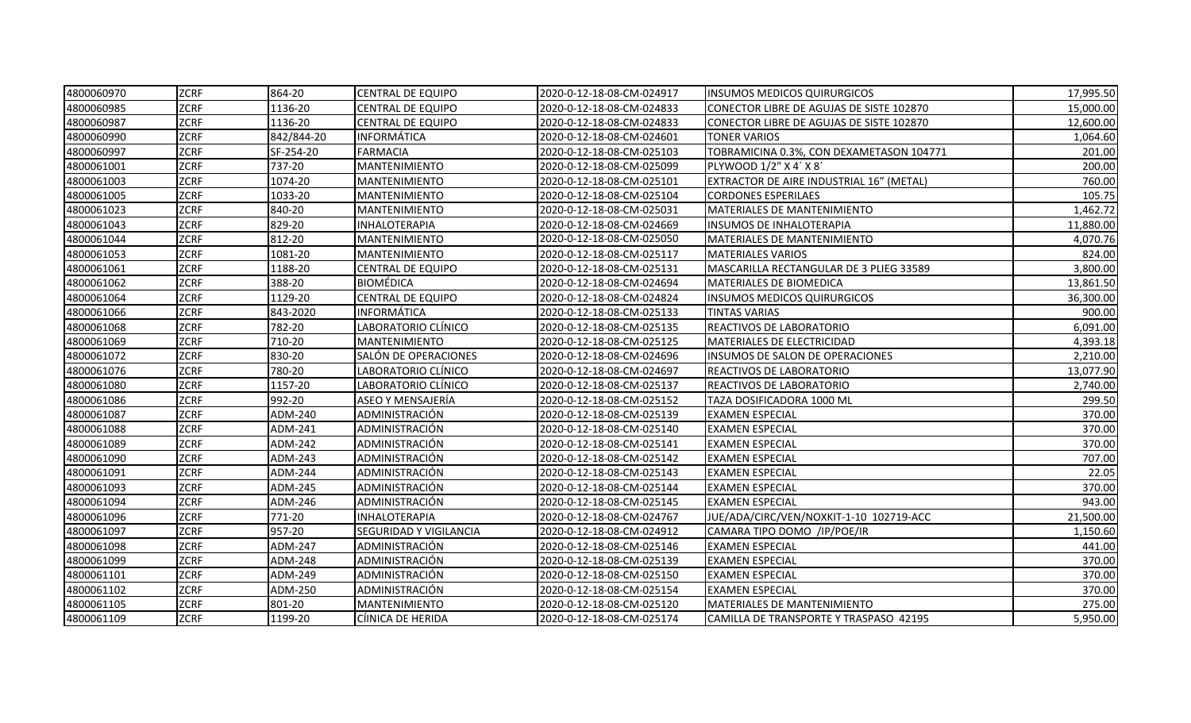| 4800060970 | <b>ZCRF</b> | 864-20     | <b>CENTRAL DE EQUIPO</b> | 2020-0-12-18-08-CM-024917 | <b>INSUMOS MEDICOS QUIRURGICOS</b>       | 17,995.50 |
|------------|-------------|------------|--------------------------|---------------------------|------------------------------------------|-----------|
| 4800060985 | <b>ZCRF</b> | 1136-20    | CENTRAL DE EQUIPO        | 2020-0-12-18-08-CM-024833 | CONECTOR LIBRE DE AGUJAS DE SISTE 102870 | 15,000.00 |
| 4800060987 | <b>ZCRF</b> | 1136-20    | <b>CENTRAL DE EQUIPO</b> | 2020-0-12-18-08-CM-024833 | CONECTOR LIBRE DE AGUJAS DE SISTE 102870 | 12,600.00 |
| 4800060990 | <b>ZCRF</b> | 842/844-20 | <b>INFORMATICA</b>       | 2020-0-12-18-08-CM-024601 | <b>TONER VARIOS</b>                      | 1,064.60  |
| 4800060997 | ZCRF        | SF-254-20  | <b>FARMACIA</b>          | 2020-0-12-18-08-CM-025103 | TOBRAMICINA 0.3%, CON DEXAMETASON 104771 | 201.00    |
| 4800061001 | <b>ZCRF</b> | 737-20     | <b>MANTENIMIENTO</b>     | 2020-0-12-18-08-CM-025099 | PLYWOOD 1/2" X 4' X 8'                   | 200.00    |
| 4800061003 | <b>ZCRF</b> | 1074-20    | MANTENIMIENTO            | 2020-0-12-18-08-CM-025101 | EXTRACTOR DE AIRE INDUSTRIAL 16" (METAL) | 760.00    |
| 4800061005 | <b>ZCRF</b> | 1033-20    | <b>MANTENIMIENTO</b>     | 2020-0-12-18-08-CM-025104 | <b>CORDONES ESPERILAES</b>               | 105.75    |
| 4800061023 | <b>ZCRF</b> | 840-20     | <b>MANTENIMIENTO</b>     | 2020-0-12-18-08-CM-025031 | MATERIALES DE MANTENIMIENTO              | 1,462.72  |
| 4800061043 | <b>ZCRF</b> | 829-20     | INHALOTERAPIA            | 2020-0-12-18-08-CM-024669 | INSUMOS DE INHALOTERAPIA                 | 11,880.00 |
| 4800061044 | <b>ZCRF</b> | 812-20     | <b>MANTENIMIENTO</b>     | 2020-0-12-18-08-CM-025050 | MATERIALES DE MANTENIMIENTO              | 4,070.76  |
| 4800061053 | <b>ZCRF</b> | 1081-20    | MANTENIMIENTO            | 2020-0-12-18-08-CM-025117 | <b>MATERIALES VARIOS</b>                 | 824.00    |
| 4800061061 | <b>ZCRF</b> | 1188-20    | <b>CENTRAL DE EQUIPO</b> | 2020-0-12-18-08-CM-025131 | MASCARILLA RECTANGULAR DE 3 PLIEG 33589  | 3,800.00  |
| 4800061062 | <b>ZCRF</b> | 388-20     | <b>BIOMÉDICA</b>         | 2020-0-12-18-08-CM-024694 | MATERIALES DE BIOMEDICA                  | 13,861.50 |
| 4800061064 | <b>ZCRF</b> | 1129-20    | <b>CENTRAL DE EQUIPO</b> | 2020-0-12-18-08-CM-024824 | <b>INSUMOS MEDICOS QUIRURGICOS</b>       | 36,300.00 |
| 4800061066 | <b>ZCRF</b> | 843-2020   | <b>INFORMÁTICA</b>       | 2020-0-12-18-08-CM-025133 | <b>TINTAS VARIAS</b>                     | 900.00    |
| 4800061068 | <b>ZCRF</b> | 782-20     | LABORATORIO CLÍNICO      | 2020-0-12-18-08-CM-025135 | REACTIVOS DE LABORATORIO                 | 6,091.00  |
| 4800061069 | <b>ZCRF</b> | 710-20     | MANTENIMIENTO            | 2020-0-12-18-08-CM-025125 | MATERIALES DE ELECTRICIDAD               | 4,393.18  |
| 4800061072 | <b>ZCRF</b> | 830-20     | SALÓN DE OPERACIONES     | 2020-0-12-18-08-CM-024696 | INSUMOS DE SALON DE OPERACIONES          | 2,210.00  |
| 4800061076 | <b>ZCRF</b> | 780-20     | LABORATORIO CLÍNICO      | 2020-0-12-18-08-CM-024697 | REACTIVOS DE LABORATORIO                 | 13,077.90 |
| 4800061080 | <b>ZCRF</b> | 1157-20    | LABORATORIO CLÍNICO      | 2020-0-12-18-08-CM-025137 | REACTIVOS DE LABORATORIO                 | 2,740.00  |
| 4800061086 | <b>ZCRF</b> | 992-20     | ASEO Y MENSAJERÍA        | 2020-0-12-18-08-CM-025152 | TAZA DOSIFICADORA 1000 ML                | 299.50    |
| 4800061087 | <b>ZCRF</b> | ADM-240    | ADMINISTRACIÓN           | 2020-0-12-18-08-CM-025139 | <b>EXAMEN ESPECIAL</b>                   | 370.00    |
| 4800061088 | <b>ZCRF</b> | ADM-241    | ADMINISTRACIÓN           | 2020-0-12-18-08-CM-025140 | <b>EXAMEN ESPECIAL</b>                   | 370.00    |
| 4800061089 | <b>ZCRF</b> | ADM-242    | ADMINISTRACIÓN           | 2020-0-12-18-08-CM-025141 | <b>EXAMEN ESPECIAL</b>                   | 370.00    |
| 4800061090 | <b>ZCRF</b> | ADM-243    | ADMINISTRACIÓN           | 2020-0-12-18-08-CM-025142 | <b>EXAMEN ESPECIAL</b>                   | 707.00    |
| 4800061091 | <b>ZCRF</b> | ADM-244    | ADMINISTRACIÓN           | 2020-0-12-18-08-CM-025143 | <b>EXAMEN ESPECIAL</b>                   | 22.05     |
| 4800061093 | <b>ZCRF</b> | ADM-245    | ADMINISTRACIÓN           | 2020-0-12-18-08-CM-025144 | <b>EXAMEN ESPECIAL</b>                   | 370.00    |
| 4800061094 | <b>ZCRF</b> | ADM-246    | ADMINISTRACIÓN           | 2020-0-12-18-08-CM-025145 | <b>EXAMEN ESPECIAL</b>                   | 943.00    |
| 4800061096 | <b>ZCRF</b> | 771-20     | <b>INHALOTERAPIA</b>     | 2020-0-12-18-08-CM-024767 | JUE/ADA/CIRC/VEN/NOXKIT-1-10 102719-ACC  | 21,500.00 |
| 4800061097 | <b>ZCRF</b> | 957-20     | SEGURIDAD Y VIGILANCIA   | 2020-0-12-18-08-CM-024912 | CAMARA TIPO DOMO /IP/POE/IR              | 1,150.60  |
| 4800061098 | <b>ZCRF</b> | ADM-247    | ADMINISTRACIÓN           | 2020-0-12-18-08-CM-025146 | <b>EXAMEN ESPECIAL</b>                   | 441.00    |
| 4800061099 | <b>ZCRF</b> | ADM-248    | ADMINISTRACIÓN           | 2020-0-12-18-08-CM-025139 | <b>EXAMEN ESPECIAL</b>                   | 370.00    |
| 4800061101 | <b>ZCRF</b> | ADM-249    | ADMINISTRACIÓN           | 2020-0-12-18-08-CM-025150 | <b>EXAMEN ESPECIAL</b>                   | 370.00    |
| 4800061102 | <b>ZCRF</b> | ADM-250    | ADMINISTRACIÓN           | 2020-0-12-18-08-CM-025154 | <b>EXAMEN ESPECIAL</b>                   | 370.00    |
| 4800061105 | <b>ZCRF</b> | 801-20     | MANTENIMIENTO            | 2020-0-12-18-08-CM-025120 | MATERIALES DE MANTENIMIENTO              | 275.00    |
| 4800061109 | <b>ZCRF</b> | 1199-20    | CÍINICA DE HERIDA        | 2020-0-12-18-08-CM-025174 | CAMILLA DE TRANSPORTE Y TRASPASO 42195   | 5,950.00  |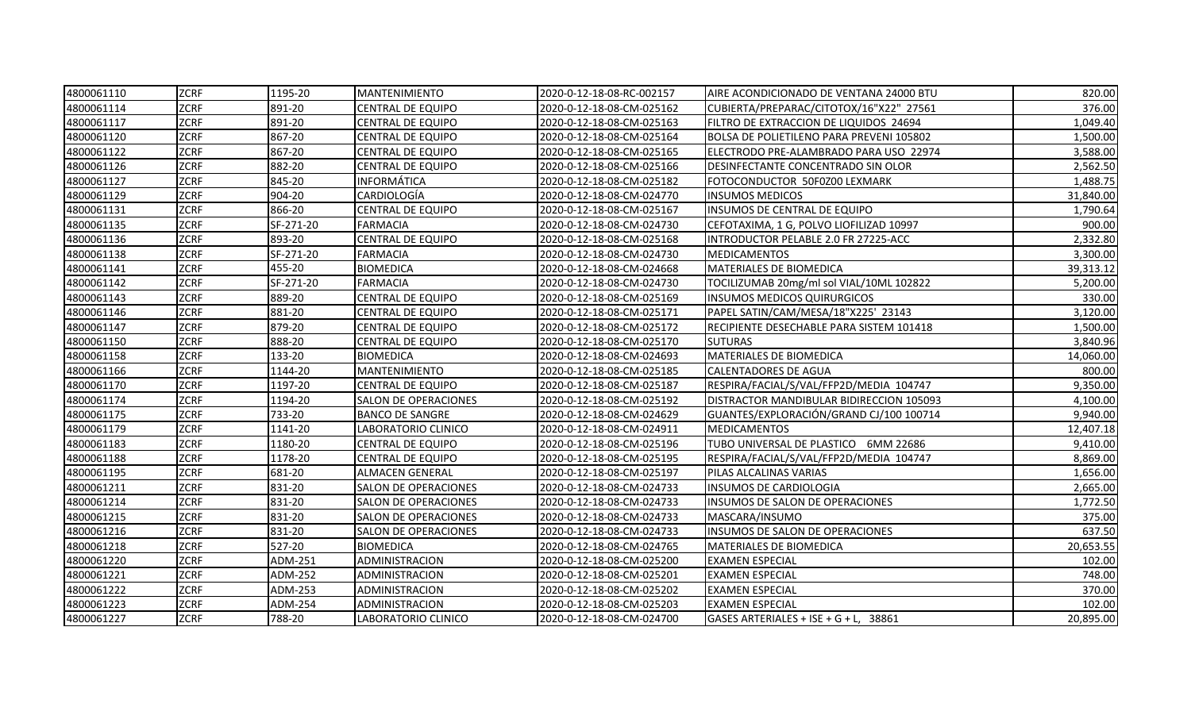| 4800061110 | <b>ZCRF</b> | 1195-20   | <b>MANTENIMIENTO</b>     | 2020-0-12-18-08-RC-002157 | AIRE ACONDICIONADO DE VENTANA 24000 BTU  | 820.00    |
|------------|-------------|-----------|--------------------------|---------------------------|------------------------------------------|-----------|
| 4800061114 | <b>ZCRF</b> | 891-20    | <b>CENTRAL DE EQUIPO</b> | 2020-0-12-18-08-CM-025162 | CUBIERTA/PREPARAC/CITOTOX/16"X22" 27561  | 376.00    |
| 4800061117 | <b>ZCRF</b> | 891-20    | <b>CENTRAL DE EQUIPO</b> | 2020-0-12-18-08-CM-025163 | FILTRO DE EXTRACCION DE LIQUIDOS 24694   | 1,049.40  |
| 4800061120 | <b>ZCRF</b> | 867-20    | <b>CENTRAL DE EQUIPO</b> | 2020-0-12-18-08-CM-025164 | BOLSA DE POLIETILENO PARA PREVENI 105802 | 1,500.00  |
| 4800061122 | <b>ZCRF</b> | 867-20    | <b>CENTRAL DE EQUIPO</b> | 2020-0-12-18-08-CM-025165 | ELECTRODO PRE-ALAMBRADO PARA USO 22974   | 3,588.00  |
| 4800061126 | <b>ZCRF</b> | 882-20    | <b>CENTRAL DE EQUIPO</b> | 2020-0-12-18-08-CM-025166 | DESINFECTANTE CONCENTRADO SIN OLOR       | 2,562.50  |
| 4800061127 | <b>ZCRF</b> | 845-20    | <b>INFORMÁTICA</b>       | 2020-0-12-18-08-CM-025182 | FOTOCONDUCTOR 50F0Z00 LEXMARK            | 1,488.75  |
| 4800061129 | <b>ZCRF</b> | 904-20    | CARDIOLOGÍA              | 2020-0-12-18-08-CM-024770 | <b>INSUMOS MEDICOS</b>                   | 31,840.00 |
| 4800061131 | <b>ZCRF</b> | 866-20    | <b>CENTRAL DE EQUIPO</b> | 2020-0-12-18-08-CM-025167 | <b>INSUMOS DE CENTRAL DE EQUIPO</b>      | 1,790.64  |
| 4800061135 | <b>ZCRF</b> | SF-271-20 | <b>FARMACIA</b>          | 2020-0-12-18-08-CM-024730 | CEFOTAXIMA, 1 G, POLVO LIOFILIZAD 10997  | 900.00    |
| 4800061136 | <b>ZCRF</b> | 893-20    | <b>CENTRAL DE EQUIPO</b> | 2020-0-12-18-08-CM-025168 | INTRODUCTOR PELABLE 2.0 FR 27225-ACC     | 2,332.80  |
| 4800061138 | <b>ZCRF</b> | SF-271-20 | <b>FARMACIA</b>          | 2020-0-12-18-08-CM-024730 | <b>MEDICAMENTOS</b>                      | 3,300.00  |
| 4800061141 | <b>ZCRF</b> | 455-20    | <b>BIOMEDICA</b>         | 2020-0-12-18-08-CM-024668 | MATERIALES DE BIOMEDICA                  | 39,313.12 |
| 4800061142 | <b>ZCRF</b> | SF-271-20 | <b>FARMACIA</b>          | 2020-0-12-18-08-CM-024730 | TOCILIZUMAB 20mg/ml sol VIAL/10ML 102822 | 5,200.00  |
| 4800061143 | <b>ZCRF</b> | 889-20    | <b>CENTRAL DE EQUIPO</b> | 2020-0-12-18-08-CM-025169 | <b>INSUMOS MEDICOS QUIRURGICOS</b>       | 330.00    |
| 4800061146 | <b>ZCRF</b> | 881-20    | <b>CENTRAL DE EQUIPO</b> | 2020-0-12-18-08-CM-025171 | PAPEL SATIN/CAM/MESA/18"X225' 23143      | 3,120.00  |
| 4800061147 | <b>ZCRF</b> | 879-20    | <b>CENTRAL DE EQUIPO</b> | 2020-0-12-18-08-CM-025172 | RECIPIENTE DESECHABLE PARA SISTEM 101418 | 1,500.00  |
| 4800061150 | <b>ZCRF</b> | 888-20    | <b>CENTRAL DE EQUIPO</b> | 2020-0-12-18-08-CM-025170 | <b>SUTURAS</b>                           | 3,840.96  |
| 4800061158 | <b>ZCRF</b> | 133-20    | <b>BIOMEDICA</b>         | 2020-0-12-18-08-CM-024693 | MATERIALES DE BIOMEDICA                  | 14,060.00 |
| 4800061166 | <b>ZCRF</b> | 1144-20   | MANTENIMIENTO            | 2020-0-12-18-08-CM-025185 | <b>CALENTADORES DE AGUA</b>              | 800.00    |
| 4800061170 | <b>ZCRF</b> | 1197-20   | <b>CENTRAL DE EQUIPO</b> | 2020-0-12-18-08-CM-025187 | RESPIRA/FACIAL/S/VAL/FFP2D/MEDIA 104747  | 9,350.00  |
| 4800061174 | <b>ZCRF</b> | 1194-20   | SALON DE OPERACIONES     | 2020-0-12-18-08-CM-025192 | DISTRACTOR MANDIBULAR BIDIRECCION 105093 | 4,100.00  |
| 4800061175 | <b>ZCRF</b> | 733-20    | <b>BANCO DE SANGRE</b>   | 2020-0-12-18-08-CM-024629 | GUANTES/EXPLORACIÓN/GRAND CJ/100 100714  | 9,940.00  |
| 4800061179 | <b>ZCRF</b> | 1141-20   | LABORATORIO CLINICO      | 2020-0-12-18-08-CM-024911 | <b>MEDICAMENTOS</b>                      | 12,407.18 |
| 4800061183 | <b>ZCRF</b> | 1180-20   | <b>CENTRAL DE EQUIPO</b> | 2020-0-12-18-08-CM-025196 | TUBO UNIVERSAL DE PLASTICO 6MM 22686     | 9,410.00  |
| 4800061188 | <b>ZCRF</b> | 1178-20   | <b>CENTRAL DE EQUIPO</b> | 2020-0-12-18-08-CM-025195 | RESPIRA/FACIAL/S/VAL/FFP2D/MEDIA 104747  | 8,869.00  |
| 4800061195 | <b>ZCRF</b> | 681-20    | <b>ALMACEN GENERAL</b>   | 2020-0-12-18-08-CM-025197 | PILAS ALCALINAS VARIAS                   | 1,656.00  |
| 4800061211 | <b>ZCRF</b> | 831-20    | SALON DE OPERACIONES     | 2020-0-12-18-08-CM-024733 | INSUMOS DE CARDIOLOGIA                   | 2,665.00  |
| 4800061214 | <b>ZCRF</b> | 831-20    | SALON DE OPERACIONES     | 2020-0-12-18-08-CM-024733 | <b>INSUMOS DE SALON DE OPERACIONES</b>   | 1,772.50  |
| 4800061215 | <b>ZCRF</b> | 831-20    | SALON DE OPERACIONES     | 2020-0-12-18-08-CM-024733 | MASCARA/INSUMO                           | 375.00    |
| 4800061216 | <b>ZCRF</b> | 831-20    | SALON DE OPERACIONES     | 2020-0-12-18-08-CM-024733 | <b>INSUMOS DE SALON DE OPERACIONES</b>   | 637.50    |
| 4800061218 | <b>ZCRF</b> | 527-20    | <b>BIOMEDICA</b>         | 2020-0-12-18-08-CM-024765 | <b>MATERIALES DE BIOMEDICA</b>           | 20,653.55 |
| 4800061220 | <b>ZCRF</b> | ADM-251   | ADMINISTRACION           | 2020-0-12-18-08-CM-025200 | <b>EXAMEN ESPECIAL</b>                   | 102.00    |
| 4800061221 | <b>ZCRF</b> | ADM-252   | ADMINISTRACION           | 2020-0-12-18-08-CM-025201 | <b>EXAMEN ESPECIAL</b>                   | 748.00    |
| 4800061222 | <b>ZCRF</b> | ADM-253   | ADMINISTRACION           | 2020-0-12-18-08-CM-025202 | <b>EXAMEN ESPECIAL</b>                   | 370.00    |
| 4800061223 | <b>ZCRF</b> | ADM-254   | ADMINISTRACION           | 2020-0-12-18-08-CM-025203 | <b>EXAMEN ESPECIAL</b>                   | 102.00    |
| 4800061227 | <b>ZCRF</b> | 788-20    | LABORATORIO CLINICO      | 2020-0-12-18-08-CM-024700 | GASES ARTERIALES + ISE + G + L. 38861    | 20,895.00 |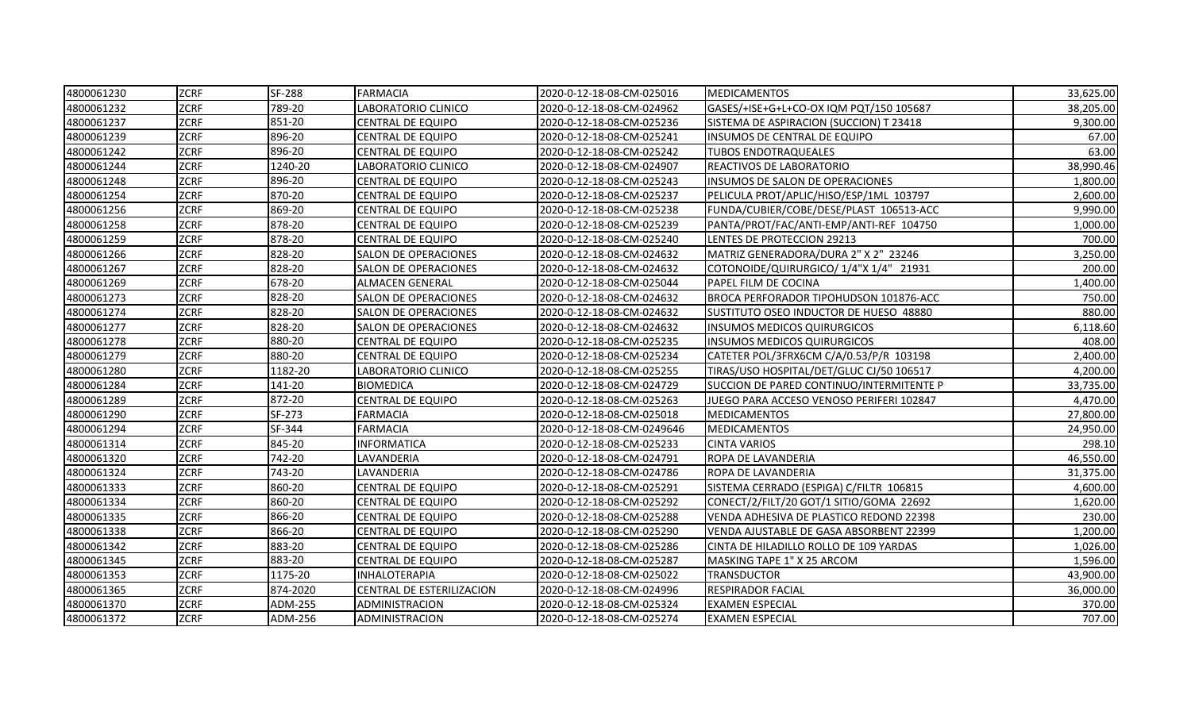| 4800061230 | <b>ZCRF</b> | <b>SF-288</b> | <b>FARMACIA</b>             | 2020-0-12-18-08-CM-025016  | <b>IMEDICAMENTOS</b>                     | 33,625.00 |
|------------|-------------|---------------|-----------------------------|----------------------------|------------------------------------------|-----------|
| 4800061232 | <b>ZCRF</b> | 789-20        | LABORATORIO CLINICO         | 2020-0-12-18-08-CM-024962  | GASES/+ISE+G+L+CO-OX IQM PQT/150 105687  | 38,205.00 |
| 4800061237 | <b>ZCRF</b> | 851-20        | <b>CENTRAL DE EQUIPO</b>    | 2020-0-12-18-08-CM-025236  | SISTEMA DE ASPIRACION (SUCCION) T 23418  | 9,300.00  |
| 4800061239 | <b>ZCRF</b> | 896-20        | <b>CENTRAL DE EQUIPO</b>    | 2020-0-12-18-08-CM-025241  | INSUMOS DE CENTRAL DE EQUIPO             | 67.00     |
| 4800061242 | <b>ZCRF</b> | 896-20        | CENTRAL DE EQUIPO           | 2020-0-12-18-08-CM-025242  | <b>TUBOS ENDOTRAQUEALES</b>              | 63.00     |
| 4800061244 | <b>ZCRF</b> | 1240-20       | LABORATORIO CLINICO         | 2020-0-12-18-08-CM-024907  | REACTIVOS DE LABORATORIO                 | 38,990.46 |
| 4800061248 | <b>ZCRF</b> | 896-20        | <b>CENTRAL DE EQUIPO</b>    | 2020-0-12-18-08-CM-025243  | <b>INSUMOS DE SALON DE OPERACIONES</b>   | 1,800.00  |
| 4800061254 | <b>ZCRF</b> | 870-20        | <b>CENTRAL DE EQUIPO</b>    | 2020-0-12-18-08-CM-025237  | PELICULA PROT/APLIC/HISO/ESP/1ML 103797  | 2,600.00  |
| 4800061256 | <b>ZCRF</b> | 869-20        | <b>CENTRAL DE EQUIPO</b>    | 2020-0-12-18-08-CM-025238  | FUNDA/CUBIER/COBE/DESE/PLAST 106513-ACC  | 9,990.00  |
| 4800061258 | <b>ZCRF</b> | 878-20        | <b>CENTRAL DE EQUIPO</b>    | 2020-0-12-18-08-CM-025239  | PANTA/PROT/FAC/ANTI-EMP/ANTI-REF 104750  | 1,000.00  |
| 4800061259 | <b>ZCRF</b> | 878-20        | <b>CENTRAL DE EQUIPO</b>    | 2020-0-12-18-08-CM-025240  | LENTES DE PROTECCION 29213               | 700.00    |
| 4800061266 | <b>ZCRF</b> | 828-20        | SALON DE OPERACIONES        | 2020-0-12-18-08-CM-024632  | MATRIZ GENERADORA/DURA 2" X 2" 23246     | 3,250.00  |
| 4800061267 | <b>ZCRF</b> | 828-20        | SALON DE OPERACIONES        | 2020-0-12-18-08-CM-024632  | COTONOIDE/QUIRURGICO/ 1/4"X 1/4" 21931   | 200.00    |
| 4800061269 | <b>ZCRF</b> | 678-20        | <b>ALMACEN GENERAL</b>      | 2020-0-12-18-08-CM-025044  | PAPEL FILM DE COCINA                     | 1,400.00  |
| 4800061273 | <b>ZCRF</b> | 828-20        | SALON DE OPERACIONES        | 2020-0-12-18-08-CM-024632  | BROCA PERFORADOR TIPOHUDSON 101876-ACC   | 750.00    |
| 4800061274 | <b>ZCRF</b> | 828-20        | SALON DE OPERACIONES        | 2020-0-12-18-08-CM-024632  | SUSTITUTO OSEO INDUCTOR DE HUESO 48880   | 880.00    |
| 4800061277 | <b>ZCRF</b> | 828-20        | <b>SALON DE OPERACIONES</b> | 2020-0-12-18-08-CM-024632  | <b>INSUMOS MEDICOS QUIRURGICOS</b>       | 6,118.60  |
| 4800061278 | <b>ZCRF</b> | 880-20        | <b>CENTRAL DE EQUIPO</b>    | 2020-0-12-18-08-CM-025235  | <b>INSUMOS MEDICOS QUIRURGICOS</b>       | 408.00    |
| 4800061279 | <b>ZCRF</b> | 880-20        | <b>CENTRAL DE EQUIPO</b>    | 2020-0-12-18-08-CM-025234  | CATETER POL/3FRX6CM C/A/0.53/P/R 103198  | 2,400.00  |
| 4800061280 | ZCRF        | 1182-20       | LABORATORIO CLINICO         | 2020-0-12-18-08-CM-025255  | TIRAS/USO HOSPITAL/DET/GLUC CJ/50 106517 | 4,200.00  |
| 4800061284 | <b>ZCRF</b> | 141-20        | <b>BIOMEDICA</b>            | 2020-0-12-18-08-CM-024729  | SUCCION DE PARED CONTINUO/INTERMITENTE P | 33,735.00 |
| 4800061289 | <b>ZCRF</b> | 872-20        | <b>CENTRAL DE EQUIPO</b>    | 2020-0-12-18-08-CM-025263  | JUEGO PARA ACCESO VENOSO PERIFERI 102847 | 4,470.00  |
| 4800061290 | <b>ZCRF</b> | SF-273        | <b>FARMACIA</b>             | 2020-0-12-18-08-CM-025018  | <b>MEDICAMENTOS</b>                      | 27,800.00 |
| 4800061294 | <b>ZCRF</b> | SF-344        | <b>FARMACIA</b>             | 2020-0-12-18-08-CM-0249646 | <b>MEDICAMENTOS</b>                      | 24,950.00 |
| 4800061314 | <b>ZCRF</b> | 845-20        | <b>INFORMATICA</b>          | 2020-0-12-18-08-CM-025233  | <b>CINTA VARIOS</b>                      | 298.10    |
| 4800061320 | <b>ZCRF</b> | 742-20        | LAVANDERIA                  | 2020-0-12-18-08-CM-024791  | ROPA DE LAVANDERIA                       | 46,550.00 |
| 4800061324 | <b>ZCRF</b> | 743-20        | LAVANDERIA                  | 2020-0-12-18-08-CM-024786  | <b>ROPA DE LAVANDERIA</b>                | 31,375.00 |
| 4800061333 | <b>ZCRF</b> | 860-20        | <b>CENTRAL DE EQUIPO</b>    | 2020-0-12-18-08-CM-025291  | SISTEMA CERRADO (ESPIGA) C/FILTR 106815  | 4,600.00  |
| 4800061334 | <b>ZCRF</b> | 860-20        | <b>CENTRAL DE EQUIPO</b>    | 2020-0-12-18-08-CM-025292  | CONECT/2/FILT/20 GOT/1 SITIO/GOMA 22692  | 1,620.00  |
| 4800061335 | <b>ZCRF</b> | 866-20        | <b>CENTRAL DE EQUIPO</b>    | 2020-0-12-18-08-CM-025288  | VENDA ADHESIVA DE PLASTICO REDOND 22398  | 230.00    |
| 4800061338 | <b>ZCRF</b> | 866-20        | <b>CENTRAL DE EQUIPO</b>    | 2020-0-12-18-08-CM-025290  | VENDA AJUSTABLE DE GASA ABSORBENT 22399  | 1,200.00  |
| 4800061342 | <b>ZCRF</b> | 883-20        | <b>CENTRAL DE EQUIPO</b>    | 2020-0-12-18-08-CM-025286  | CINTA DE HILADILLO ROLLO DE 109 YARDAS   | 1,026.00  |
| 4800061345 | <b>ZCRF</b> | 883-20        | <b>CENTRAL DE EQUIPO</b>    | 2020-0-12-18-08-CM-025287  | MASKING TAPE 1" X 25 ARCOM               | 1,596.00  |
| 4800061353 | <b>ZCRF</b> | 1175-20       | <b>INHALOTERAPIA</b>        | 2020-0-12-18-08-CM-025022  | <b>TRANSDUCTOR</b>                       | 43,900.00 |
| 4800061365 | <b>ZCRF</b> | 874-2020      | CENTRAL DE ESTERILIZACION   | 2020-0-12-18-08-CM-024996  | <b>RESPIRADOR FACIAL</b>                 | 36,000.00 |
| 4800061370 | <b>ZCRF</b> | ADM-255       | ADMINISTRACION              | 2020-0-12-18-08-CM-025324  | <b>EXAMEN ESPECIAL</b>                   | 370.00    |
| 4800061372 | <b>ZCRF</b> | ADM-256       | ADMINISTRACION              | 2020-0-12-18-08-CM-025274  | <b>IEXAMEN ESPECIAL</b>                  | 707.00    |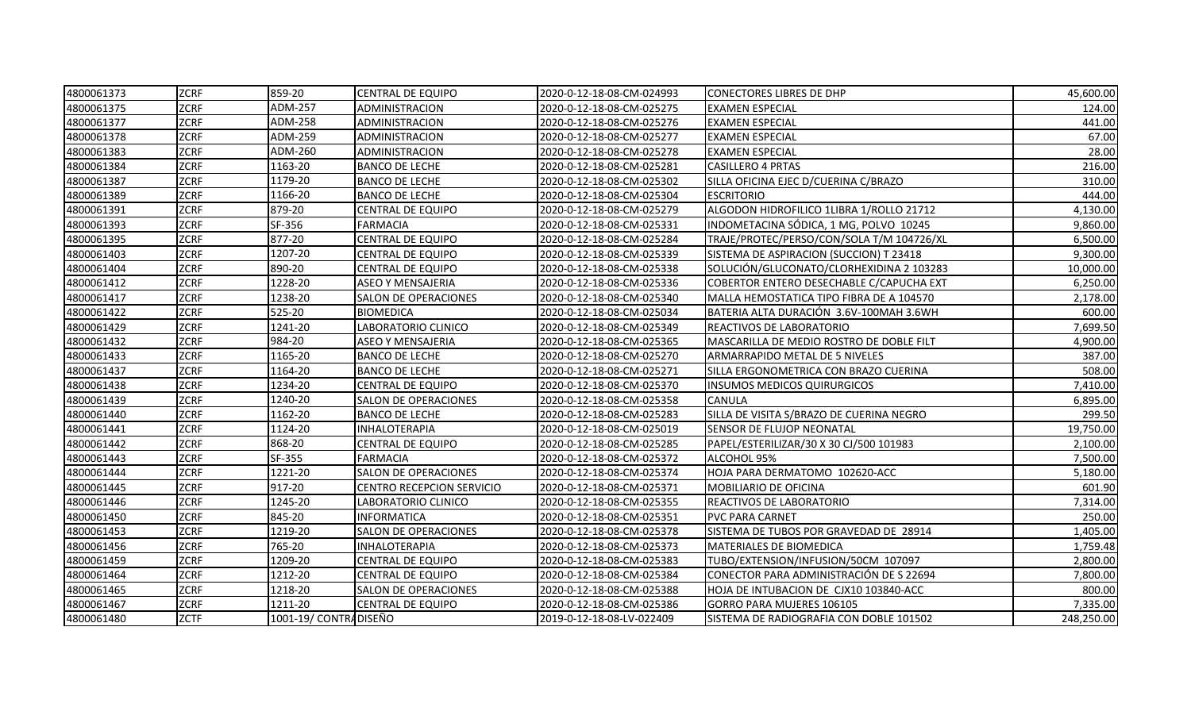| 4800061373 | <b>ZCRF</b> | 859-20                | <b>CENTRAL DE EQUIPO</b>         | 2020-0-12-18-08-CM-024993 | <b>CONECTORES LIBRES DE DHP</b>           | 45,600.00  |
|------------|-------------|-----------------------|----------------------------------|---------------------------|-------------------------------------------|------------|
| 4800061375 | <b>ZCRF</b> | ADM-257               | ADMINISTRACION                   | 2020-0-12-18-08-CM-025275 | <b>EXAMEN ESPECIAL</b>                    | 124.00     |
| 4800061377 | <b>ZCRF</b> | <b>ADM-258</b>        | ADMINISTRACION                   | 2020-0-12-18-08-CM-025276 | <b>EXAMEN ESPECIAL</b>                    | 441.00     |
| 4800061378 | <b>ZCRF</b> | ADM-259               | ADMINISTRACION                   | 2020-0-12-18-08-CM-025277 | <b>EXAMEN ESPECIAL</b>                    | 67.00      |
| 4800061383 | <b>ZCRF</b> | ADM-260               | ADMINISTRACION                   | 2020-0-12-18-08-CM-025278 | <b>EXAMEN ESPECIAL</b>                    | 28.00      |
| 4800061384 | <b>ZCRF</b> | 1163-20               | <b>BANCO DE LECHE</b>            | 2020-0-12-18-08-CM-025281 | <b>CASILLERO 4 PRTAS</b>                  | 216.00     |
| 4800061387 | <b>ZCRF</b> | 1179-20               | <b>BANCO DE LECHE</b>            | 2020-0-12-18-08-CM-025302 | SILLA OFICINA EJEC D/CUERINA C/BRAZO      | 310.00     |
| 4800061389 | <b>ZCRF</b> | 1166-20               | <b>BANCO DE LECHE</b>            | 2020-0-12-18-08-CM-025304 | <b>ESCRITORIO</b>                         | 444.00     |
| 4800061391 | <b>ZCRF</b> | 879-20                | <b>CENTRAL DE EQUIPO</b>         | 2020-0-12-18-08-CM-025279 | ALGODON HIDROFILICO 1LIBRA 1/ROLLO 21712  | 4,130.00   |
| 4800061393 | <b>ZCRF</b> | SF-356                | <b>FARMACIA</b>                  | 2020-0-12-18-08-CM-025331 | INDOMETACINA SÓDICA, 1 MG, POLVO 10245    | 9,860.00   |
| 4800061395 | <b>ZCRF</b> | 877-20                | <b>CENTRAL DE EQUIPO</b>         | 2020-0-12-18-08-CM-025284 | TRAJE/PROTEC/PERSO/CON/SOLA T/M 104726/XL | 6,500.00   |
| 4800061403 | <b>ZCRF</b> | 1207-20               | <b>CENTRAL DE EQUIPO</b>         | 2020-0-12-18-08-CM-025339 | SISTEMA DE ASPIRACION (SUCCION) T 23418   | 9,300.00   |
| 4800061404 | <b>ZCRF</b> | 890-20                | <b>CENTRAL DE EQUIPO</b>         | 2020-0-12-18-08-CM-025338 | SOLUCIÓN/GLUCONATO/CLORHEXIDINA 2 103283  | 10,000.00  |
| 4800061412 | <b>ZCRF</b> | 1228-20               | <b>ASEO Y MENSAJERIA</b>         | 2020-0-12-18-08-CM-025336 | COBERTOR ENTERO DESECHABLE C/CAPUCHA EXT  | 6,250.00   |
| 4800061417 | <b>ZCRF</b> | 1238-20               | <b>SALON DE OPERACIONES</b>      | 2020-0-12-18-08-CM-025340 | MALLA HEMOSTATICA TIPO FIBRA DE A 104570  | 2,178.00   |
| 4800061422 | <b>ZCRF</b> | 525-20                | <b>BIOMEDICA</b>                 | 2020-0-12-18-08-CM-025034 | BATERIA ALTA DURACIÓN 3.6V-100MAH 3.6WH   | 600.00     |
| 4800061429 | <b>ZCRF</b> | 1241-20               | LABORATORIO CLINICO              | 2020-0-12-18-08-CM-025349 | REACTIVOS DE LABORATORIO                  | 7,699.50   |
| 4800061432 | <b>ZCRF</b> | 984-20                | <b>ASEO Y MENSAJERIA</b>         | 2020-0-12-18-08-CM-025365 | MASCARILLA DE MEDIO ROSTRO DE DOBLE FILT  | 4,900.00   |
| 4800061433 | <b>ZCRF</b> | 1165-20               | <b>BANCO DE LECHE</b>            | 2020-0-12-18-08-CM-025270 | ARMARRAPIDO METAL DE 5 NIVELES            | 387.00     |
| 4800061437 | <b>ZCRF</b> | 1164-20               | <b>BANCO DE LECHE</b>            | 2020-0-12-18-08-CM-025271 | SILLA ERGONOMETRICA CON BRAZO CUERINA     | 508.00     |
| 4800061438 | <b>ZCRF</b> | 1234-20               | <b>CENTRAL DE EQUIPO</b>         | 2020-0-12-18-08-CM-025370 | <b>INSUMOS MEDICOS QUIRURGICOS</b>        | 7,410.00   |
| 4800061439 | <b>ZCRF</b> | 1240-20               | <b>SALON DE OPERACIONES</b>      | 2020-0-12-18-08-CM-025358 | <b>CANULA</b>                             | 6,895.00   |
| 4800061440 | <b>ZCRF</b> | 1162-20               | <b>BANCO DE LECHE</b>            | 2020-0-12-18-08-CM-025283 | SILLA DE VISITA S/BRAZO DE CUERINA NEGRO  | 299.50     |
| 4800061441 | <b>ZCRF</b> | 1124-20               | <b>INHALOTERAPIA</b>             | 2020-0-12-18-08-CM-025019 | <b>SENSOR DE FLUJOP NEONATAL</b>          | 19,750.00  |
| 4800061442 | <b>ZCRF</b> | 868-20                | CENTRAL DE EQUIPO                | 2020-0-12-18-08-CM-025285 | PAPEL/ESTERILIZAR/30 X 30 CJ/500 101983   | 2,100.00   |
| 4800061443 | <b>ZCRF</b> | SF-355                | FARMACIA                         | 2020-0-12-18-08-CM-025372 | ALCOHOL 95%                               | 7,500.00   |
| 4800061444 | <b>ZCRF</b> | 1221-20               | SALON DE OPERACIONES             | 2020-0-12-18-08-CM-025374 | HOJA PARA DERMATOMO 102620-ACC            | 5,180.00   |
| 4800061445 | <b>ZCRF</b> | 917-20                | <b>CENTRO RECEPCION SERVICIO</b> | 2020-0-12-18-08-CM-025371 | <b>MOBILIARIO DE OFICINA</b>              | 601.90     |
| 4800061446 | <b>ZCRF</b> | 1245-20               | LABORATORIO CLINICO              | 2020-0-12-18-08-CM-025355 | REACTIVOS DE LABORATORIO                  | 7,314.00   |
| 4800061450 | <b>ZCRF</b> | 845-20                | <b>INFORMATICA</b>               | 2020-0-12-18-08-CM-025351 | <b>PVC PARA CARNET</b>                    | 250.00     |
| 4800061453 | <b>ZCRF</b> | 1219-20               | SALON DE OPERACIONES             | 2020-0-12-18-08-CM-025378 | SISTEMA DE TUBOS POR GRAVEDAD DE 28914    | 1,405.00   |
| 4800061456 | <b>ZCRF</b> | 765-20                | <b>INHALOTERAPIA</b>             | 2020-0-12-18-08-CM-025373 | MATERIALES DE BIOMEDICA                   | 1,759.48   |
| 4800061459 | <b>ZCRF</b> | 1209-20               | <b>CENTRAL DE EQUIPO</b>         | 2020-0-12-18-08-CM-025383 | TUBO/EXTENSION/INFUSION/50CM 107097       | 2,800.00   |
| 4800061464 | <b>ZCRF</b> | 1212-20               | CENTRAL DE EQUIPO                | 2020-0-12-18-08-CM-025384 | CONECTOR PARA ADMINISTRACIÓN DE S 22694   | 7,800.00   |
| 4800061465 | <b>ZCRF</b> | 1218-20               | <b>SALON DE OPERACIONES</b>      | 2020-0-12-18-08-CM-025388 | HOJA DE INTUBACION DE CJX10 103840-ACC    | 800.00     |
| 4800061467 | <b>ZCRF</b> | 1211-20               | CENTRAL DE EQUIPO                | 2020-0-12-18-08-CM-025386 | GORRO PARA MUJERES 106105                 | 7,335.00   |
| 4800061480 | <b>ZCTF</b> | 1001-19/ CONTRADISEÑO |                                  | 2019-0-12-18-08-LV-022409 | SISTEMA DE RADIOGRAFIA CON DOBLE 101502   | 248,250.00 |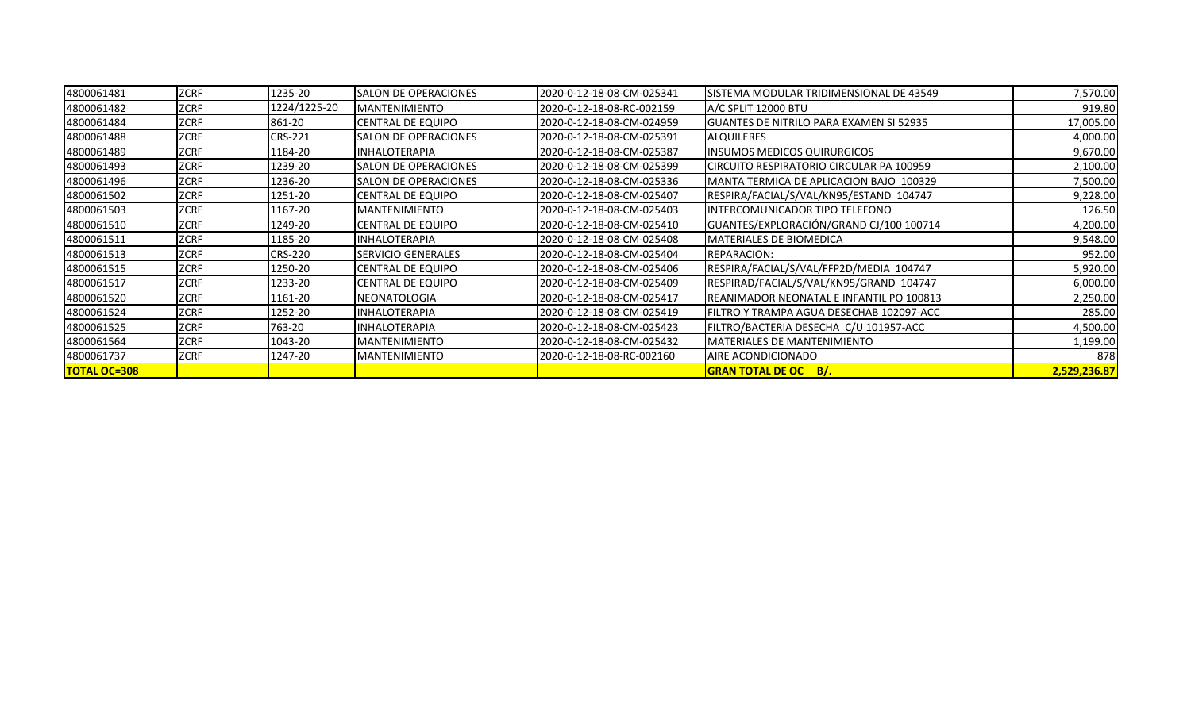| 4800061481          | <b>ZCRF</b> | 1235-20        | SALON DE OPERACIONES        | 2020-0-12-18-08-CM-025341 | ISISTEMA MODULAR TRIDIMENSIONAL DE 43549        | 7,570.00     |
|---------------------|-------------|----------------|-----------------------------|---------------------------|-------------------------------------------------|--------------|
| 4800061482          | <b>ZCRF</b> | 1224/1225-20   | <b>MANTENIMIENTO</b>        | 2020-0-12-18-08-RC-002159 | IA/C SPLIT 12000 BTU                            | 919.80       |
| 4800061484          | <b>ZCRF</b> | 861-20         | <b>CENTRAL DE EQUIPO</b>    | 2020-0-12-18-08-CM-024959 | <b>IGUANTES DE NITRILO PARA EXAMEN SI 52935</b> | 17,005.00    |
| 4800061488          | <b>ZCRF</b> | <b>CRS-221</b> | <b>SALON DE OPERACIONES</b> | 2020-0-12-18-08-CM-025391 | <b>ALQUILERES</b>                               | 4,000.00     |
| 4800061489          | <b>ZCRF</b> | 1184-20        | <b>INHALOTERAPIA</b>        | 2020-0-12-18-08-CM-025387 | <b>INSUMOS MEDICOS QUIRURGICOS</b>              | 9,670.00     |
| 4800061493          | <b>ZCRF</b> | 1239-20        | <b>SALON DE OPERACIONES</b> | 2020-0-12-18-08-CM-025399 | CIRCUITO RESPIRATORIO CIRCULAR PA 100959        | 2,100.00     |
| 4800061496          | <b>ZCRF</b> | 1236-20        | <b>SALON DE OPERACIONES</b> | 2020-0-12-18-08-CM-025336 | MANTA TERMICA DE APLICACION BAJO 100329         | 7,500.00     |
| 4800061502          | <b>ZCRF</b> | 1251-20        | <b>CENTRAL DE EQUIPO</b>    | 2020-0-12-18-08-CM-025407 | RESPIRA/FACIAL/S/VAL/KN95/ESTAND 104747         | 9,228.00     |
| 4800061503          | <b>ZCRF</b> | 1167-20        | <b>MANTENIMIENTO</b>        | 2020-0-12-18-08-CM-025403 | INTERCOMUNICADOR TIPO TELEFONO                  | 126.50       |
| 4800061510          | <b>ZCRF</b> | 1249-20        | <b>CENTRAL DE EQUIPO</b>    | 2020-0-12-18-08-CM-025410 | GUANTES/EXPLORACIÓN/GRAND CJ/100 100714         | 4,200.00     |
| 4800061511          | <b>ZCRF</b> | 1185-20        | <b>INHALOTERAPIA</b>        | 2020-0-12-18-08-CM-025408 | <b>MATERIALES DE BIOMEDICA</b>                  | 9,548.00     |
| 4800061513          | <b>ZCRF</b> | <b>CRS-220</b> | <b>SERVICIO GENERALES</b>   | 2020-0-12-18-08-CM-025404 | <b>REPARACION:</b>                              | 952.00       |
| 4800061515          | <b>ZCRF</b> | 1250-20        | <b>CENTRAL DE EQUIPO</b>    | 2020-0-12-18-08-CM-025406 | RESPIRA/FACIAL/S/VAL/FFP2D/MEDIA 104747         | 5,920.00     |
| 4800061517          | <b>ZCRF</b> | 1233-20        | <b>CENTRAL DE EQUIPO</b>    | 2020-0-12-18-08-CM-025409 | RESPIRAD/FACIAL/S/VAL/KN95/GRAND 104747         | 6,000.00     |
| 4800061520          | <b>ZCRF</b> | 1161-20        | NEONATOLOGIA                | 2020-0-12-18-08-CM-025417 | REANIMADOR NEONATAL E INFANTIL PO 100813        | 2,250.00     |
| 4800061524          | <b>ZCRF</b> | 1252-20        | <b>INHALOTERAPIA</b>        | 2020-0-12-18-08-CM-025419 | FILTRO Y TRAMPA AGUA DESECHAB 102097-ACC        | 285.00       |
| 4800061525          | <b>ZCRF</b> | 763-20         | <b>INHALOTERAPIA</b>        | 2020-0-12-18-08-CM-025423 | FILTRO/BACTERIA DESECHA C/U 101957-ACC          | 4,500.00     |
| 4800061564          | <b>ZCRF</b> | 1043-20        | MANTENIMIENTO               | 2020-0-12-18-08-CM-025432 | IMATERIALES DE MANTENIMIENTO                    | 1,199.00     |
| 4800061737          | <b>ZCRF</b> | 1247-20        | <b>MANTENIMIENTO</b>        | 2020-0-12-18-08-RC-002160 | AIRE ACONDICIONADO                              | 878          |
| <b>TOTAL OC=308</b> |             |                |                             |                           | <b>GRAN TOTAL DE OC B/.</b>                     | 2,529,236.87 |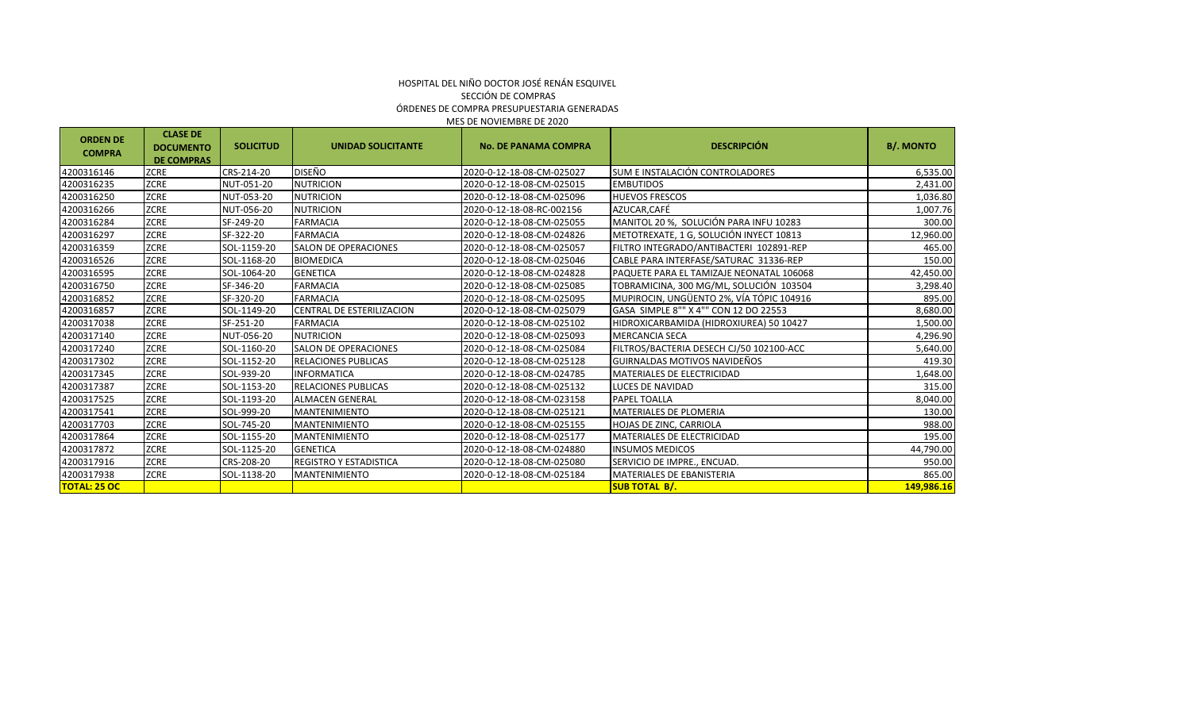#### MES DE NOVIEMBRE DE 2020 HOSPITAL DEL NIÑO DOCTOR JOSÉ RENÁN ESQUIVEL SECCIÓN DE COMPRAS ÓRDENES DE COMPRA PRESUPUESTARIA GENERADAS

| <b>ORDEN DE</b><br><b>COMPRA</b> | <b>CLASE DE</b><br><b>DOCUMENTO</b><br><b>DE COMPRAS</b> | <b>SOLICITUD</b> | <b>UNIDAD SOLICITANTE</b>     | <b>No. DE PANAMA COMPRA</b> | <b>DESCRIPCIÓN</b>                       | <b>B/. MONTO</b> |
|----------------------------------|----------------------------------------------------------|------------------|-------------------------------|-----------------------------|------------------------------------------|------------------|
| 4200316146                       | ZCRE                                                     | CRS-214-20       | <b>DISEÑO</b>                 | 2020-0-12-18-08-CM-025027   | SUM E INSTALACIÓN CONTROLADORES          | 6,535.00         |
| 4200316235                       | ZCRE                                                     | NUT-051-20       | <b>NUTRICION</b>              | 2020-0-12-18-08-CM-025015   | <b>EMBUTIDOS</b>                         | 2,431.00         |
| 4200316250                       | ZCRE                                                     | NUT-053-20       | <b>NUTRICION</b>              | 2020-0-12-18-08-CM-025096   | <b>HUEVOS FRESCOS</b>                    | 1,036.80         |
| 4200316266                       | ZCRE                                                     | NUT-056-20       | <b>NUTRICION</b>              | 2020-0-12-18-08-RC-002156   | AZUCAR, CAFÉ                             | 1,007.76         |
| 4200316284                       | <b>ZCRE</b>                                              | SF-249-20        | <b>FARMACIA</b>               | 2020-0-12-18-08-CM-025055   | MANITOL 20 %, SOLUCIÓN PARA INFU 10283   | 300.00           |
| 4200316297                       | ZCRE                                                     | SF-322-20        | <b>FARMACIA</b>               | 2020-0-12-18-08-CM-024826   | METOTREXATE, 1 G, SOLUCIÓN INYECT 10813  | 12,960.00        |
| 4200316359                       | ZCRE                                                     | SOL-1159-20      | <b>SALON DE OPERACIONES</b>   | 2020-0-12-18-08-CM-025057   | FILTRO INTEGRADO/ANTIBACTERI 102891-REP  | 465.00           |
| 4200316526                       | ZCRE                                                     | SOL-1168-20      | <b>BIOMEDICA</b>              | 2020-0-12-18-08-CM-025046   | CABLE PARA INTERFASE/SATURAC 31336-REP   | 150.00           |
| 4200316595                       | ZCRE                                                     | SOL-1064-20      | <b>GENETICA</b>               | 2020-0-12-18-08-CM-024828   | PAQUETE PARA EL TAMIZAJE NEONATAL 106068 | 42,450.00        |
| 4200316750                       | <b>ZCRE</b>                                              | SF-346-20        | <b>FARMACIA</b>               | 2020-0-12-18-08-CM-025085   | TOBRAMICINA, 300 MG/ML, SOLUCIÓN 103504  | 3,298.40         |
| 4200316852                       | <b>ZCRE</b>                                              | SF-320-20        | <b>FARMACIA</b>               | 2020-0-12-18-08-CM-025095   | MUPIROCIN, UNGÜENTO 2%, VÍA TÓPIC 104916 | 895.00           |
| 4200316857                       | ZCRE                                                     | SOL-1149-20      | CENTRAL DE ESTERILIZACION     | 2020-0-12-18-08-CM-025079   | GASA SIMPLE 8"" X 4"" CON 12 DO 22553    | 8,680.00         |
| 4200317038                       | ZCRE                                                     | SF-251-20        | <b>FARMACIA</b>               | 2020-0-12-18-08-CM-025102   | HIDROXICARBAMIDA (HIDROXIUREA) 50 10427  | 1,500.00         |
| 4200317140                       | ZCRE                                                     | NUT-056-20       | <b>NUTRICION</b>              | 2020-0-12-18-08-CM-025093   | <b>MERCANCIA SECA</b>                    | 4,296.90         |
| 4200317240                       | <b>ZCRE</b>                                              | SOL-1160-20      | <b>SALON DE OPERACIONES</b>   | 2020-0-12-18-08-CM-025084   | FILTROS/BACTERIA DESECH CJ/50 102100-ACC | 5,640.00         |
| 4200317302                       | <b>ZCRE</b>                                              | SOL-1152-20      | <b>RELACIONES PUBLICAS</b>    | 2020-0-12-18-08-CM-025128   | GUIRNALDAS MOTIVOS NAVIDEÑOS             | 419.30           |
| 4200317345                       | <b>ZCRE</b>                                              | SOL-939-20       | <b>INFORMATICA</b>            | 2020-0-12-18-08-CM-024785   | MATERIALES DE ELECTRICIDAD               | 1,648.00         |
| 4200317387                       | <b>ZCRE</b>                                              | SOL-1153-20      | <b>RELACIONES PUBLICAS</b>    | 2020-0-12-18-08-CM-025132   | LUCES DE NAVIDAD                         | 315.00           |
| 4200317525                       | <b>ZCRE</b>                                              | SOL-1193-20      | <b>ALMACEN GENERAL</b>        | 2020-0-12-18-08-CM-023158   | PAPEL TOALLA                             | 8,040.00         |
| 4200317541                       | <b>ZCRE</b>                                              | SOL-999-20       | <b>MANTENIMIENTO</b>          | 2020-0-12-18-08-CM-025121   | MATERIALES DE PLOMERIA                   | 130.00           |
| 4200317703                       | <b>ZCRE</b>                                              | SOL-745-20       | <b>MANTENIMIENTO</b>          | 2020-0-12-18-08-CM-025155   | HOJAS DE ZINC, CARRIOLA                  | 988.00           |
| 4200317864                       | <b>ZCRE</b>                                              | SOL-1155-20      | <b>MANTENIMIENTO</b>          | 2020-0-12-18-08-CM-025177   | <b>MATERIALES DE ELECTRICIDAD</b>        | 195.00           |
| 4200317872                       | <b>ZCRE</b>                                              | SOL-1125-20      | <b>GENETICA</b>               | 2020-0-12-18-08-CM-024880   | <b>INSUMOS MEDICOS</b>                   | 44,790.00        |
| 4200317916                       | <b>ZCRE</b>                                              | CRS-208-20       | <b>REGISTRO Y ESTADISTICA</b> | 2020-0-12-18-08-CM-025080   | SERVICIO DE IMPRE., ENCUAD.              | 950.00           |
| 4200317938                       | <b>ZCRE</b>                                              | SOL-1138-20      | MANTENIMIENTO                 | 2020-0-12-18-08-CM-025184   | MATERIALES DE EBANISTERIA                | 865.00           |
| <b>TOTAL: 25 OC</b>              |                                                          |                  |                               |                             | <b>SUB TOTAL B/.</b>                     | 149,986.16       |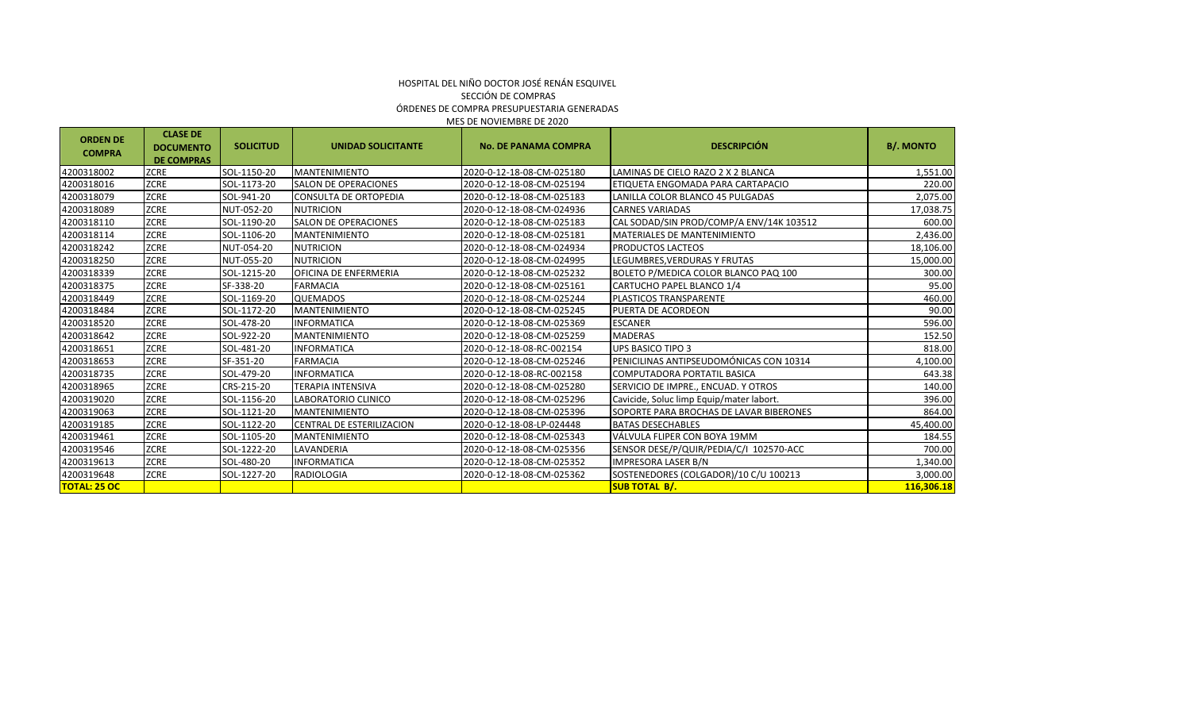| <b>ORDEN DE</b><br><b>COMPRA</b> | <b>CLASE DE</b><br><b>DOCUMENTO</b><br><b>DE COMPRAS</b> | <b>SOLICITUD</b> | <b>UNIDAD SOLICITANTE</b>    | <b>No. DE PANAMA COMPRA</b> | <b>DESCRIPCIÓN</b>                       | <b>B/. MONTO</b> |
|----------------------------------|----------------------------------------------------------|------------------|------------------------------|-----------------------------|------------------------------------------|------------------|
| 4200318002                       | <b>ZCRE</b>                                              | SOL-1150-20      | <b>MANTENIMIENTO</b>         | 2020-0-12-18-08-CM-025180   | LAMINAS DE CIELO RAZO 2 X 2 BLANCA       | 1,551.00         |
| 4200318016                       | <b>ZCRE</b>                                              | SOL-1173-20      | <b>SALON DE OPERACIONES</b>  | 2020-0-12-18-08-CM-025194   | ETIQUETA ENGOMADA PARA CARTAPACIO        | 220.00           |
| 4200318079                       | <b>ZCRE</b>                                              | SOL-941-20       | <b>CONSULTA DE ORTOPEDIA</b> | 2020-0-12-18-08-CM-025183   | LANILLA COLOR BLANCO 45 PULGADAS         | 2,075.00         |
| 4200318089                       | <b>ZCRE</b>                                              | NUT-052-20       | <b>NUTRICION</b>             | 2020-0-12-18-08-CM-024936   | <b>CARNES VARIADAS</b>                   | 17,038.75        |
| 4200318110                       | <b>ZCRE</b>                                              | SOL-1190-20      | <b>SALON DE OPERACIONES</b>  | 2020-0-12-18-08-CM-025183   | CAL SODAD/SIN PROD/COMP/A ENV/14K 103512 | 600.00           |
| 4200318114                       | <b>ZCRE</b>                                              | SOL-1106-20      | <b>MANTENIMIENTO</b>         | 2020-0-12-18-08-CM-025181   | <b>MATERIALES DE MANTENIMIENTO</b>       | 2,436.00         |
| 4200318242                       | <b>ZCRE</b>                                              | NUT-054-20       | <b>NUTRICION</b>             | 2020-0-12-18-08-CM-024934   | <b>PRODUCTOS LACTEOS</b>                 | 18,106.00        |
| 4200318250                       | <b>ZCRE</b>                                              | NUT-055-20       | <b>NUTRICION</b>             | 2020-0-12-18-08-CM-024995   | LEGUMBRES.VERDURAS Y FRUTAS              | 15,000.00        |
| 4200318339                       | <b>ZCRE</b>                                              | SOL-1215-20      | OFICINA DE ENFERMERIA        | 2020-0-12-18-08-CM-025232   | BOLETO P/MEDICA COLOR BLANCO PAQ 100     | 300.00           |
| 4200318375                       | <b>ZCRE</b>                                              | SF-338-20        | <b>FARMACIA</b>              | 2020-0-12-18-08-CM-025161   | CARTUCHO PAPEL BLANCO 1/4                | 95.00            |
| 4200318449                       | <b>ZCRE</b>                                              | SOL-1169-20      | <b>QUEMADOS</b>              | 2020-0-12-18-08-CM-025244   | PLASTICOS TRANSPARENTE                   | 460.00           |
| 4200318484                       | <b>ZCRE</b>                                              | SOL-1172-20      | <b>MANTENIMIENTO</b>         | 2020-0-12-18-08-CM-025245   | PUERTA DE ACORDEON                       | 90.00            |
| 4200318520                       | <b>ZCRE</b>                                              | SOL-478-20       | <b>INFORMATICA</b>           | 2020-0-12-18-08-CM-025369   | <b>ESCANER</b>                           | 596.00           |
| 4200318642                       | <b>ZCRE</b>                                              | SOL-922-20       | <b>MANTENIMIENTO</b>         | 2020-0-12-18-08-CM-025259   | <b>MADERAS</b>                           | 152.50           |
| 4200318651                       | <b>ZCRE</b>                                              | SOL-481-20       | <b>INFORMATICA</b>           | 2020-0-12-18-08-RC-002154   | <b>UPS BASICO TIPO 3</b>                 | 818.00           |
| 4200318653                       | <b>ZCRE</b>                                              | SF-351-20        | <b>FARMACIA</b>              | 2020-0-12-18-08-CM-025246   | PENICILINAS ANTIPSEUDOMÓNICAS CON 10314  | 4,100.00         |
| 4200318735                       | <b>ZCRE</b>                                              | SOL-479-20       | <b>INFORMATICA</b>           | 2020-0-12-18-08-RC-002158   | <b>COMPUTADORA PORTATIL BASICA</b>       | 643.38           |
| 4200318965                       | <b>ZCRE</b>                                              | CRS-215-20       | <b>TERAPIA INTENSIVA</b>     | 2020-0-12-18-08-CM-025280   | SERVICIO DE IMPRE., ENCUAD. Y OTROS      | 140.00           |
| 4200319020                       | <b>ZCRE</b>                                              | SOL-1156-20      | LABORATORIO CLINICO          | 2020-0-12-18-08-CM-025296   | Cavicide, Soluc limp Equip/mater labort. | 396.00           |
| 4200319063                       | <b>ZCRE</b>                                              | SOL-1121-20      | <b>MANTENIMIENTO</b>         | 2020-0-12-18-08-CM-025396   | SOPORTE PARA BROCHAS DE LAVAR BIBERONES  | 864.00           |
| 4200319185                       | <b>ZCRE</b>                                              | SOL-1122-20      | CENTRAL DE ESTERILIZACION    | 2020-0-12-18-08-LP-024448   | <b>BATAS DESECHABLES</b>                 | 45,400.00        |
| 4200319461                       | <b>ZCRE</b>                                              | SOL-1105-20      | <b>MANTENIMIENTO</b>         | 2020-0-12-18-08-CM-025343   | VÁLVULA FLIPER CON BOYA 19MM             | 184.55           |
| 4200319546                       | <b>ZCRE</b>                                              | SOL-1222-20      | LAVANDERIA                   | 2020-0-12-18-08-CM-025356   | SENSOR DESE/P/QUIR/PEDIA/C/I 102570-ACC  | 700.00           |
| 4200319613                       | <b>ZCRE</b>                                              | SOL-480-20       | <b>INFORMATICA</b>           | 2020-0-12-18-08-CM-025352   | <b>IMPRESORA LASER B/N</b>               | 1,340.00         |
| 4200319648                       | <b>ZCRE</b>                                              | SOL-1227-20      | <b>RADIOLOGIA</b>            | 2020-0-12-18-08-CM-025362   | SOSTENEDORES (COLGADOR)/10 C/U 100213    | 3,000.00         |
| <b>TOTAL: 25 OC</b>              |                                                          |                  |                              |                             | <b>SUB TOTAL B/.</b>                     | 116,306.18       |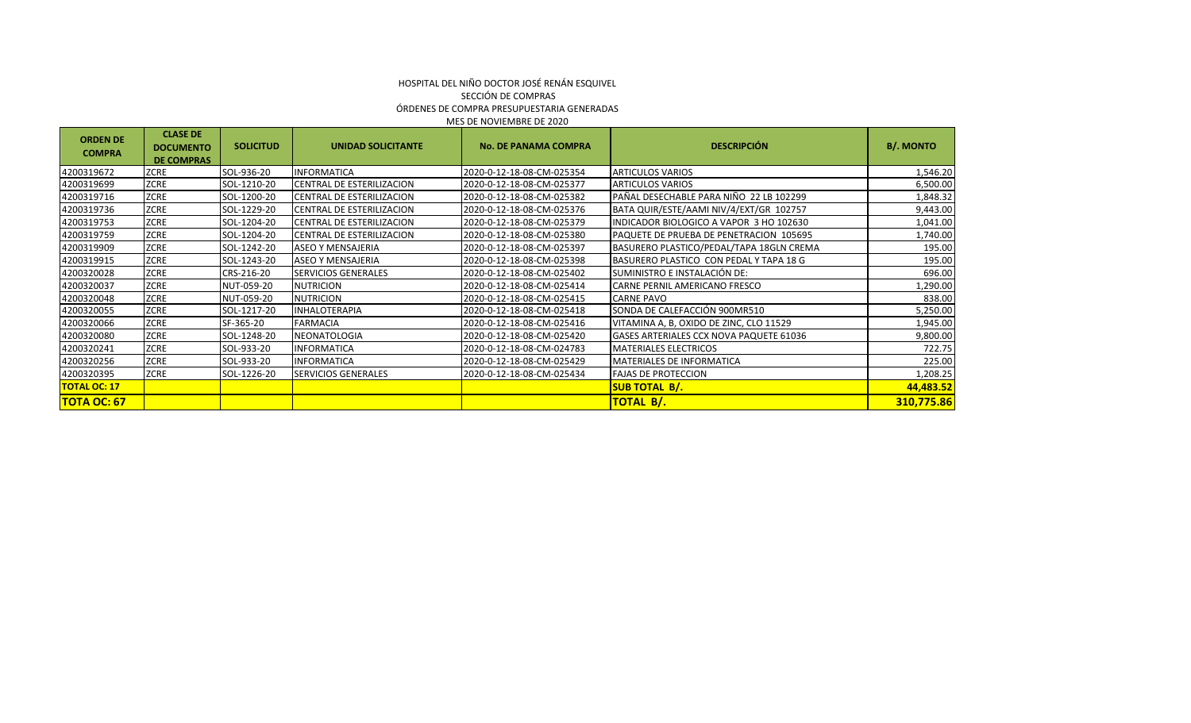| <b>ORDEN DE</b><br><b>COMPRA</b> | <b>CLASE DE</b><br><b>DOCUMENTO</b> | <b>SOLICITUD</b> | <b>UNIDAD SOLICITANTE</b>  | <b>No. DE PANAMA COMPRA</b> | <b>DESCRIPCIÓN</b>                             | <b>B/. MONTO</b> |
|----------------------------------|-------------------------------------|------------------|----------------------------|-----------------------------|------------------------------------------------|------------------|
|                                  | <b>DE COMPRAS</b>                   |                  |                            |                             |                                                |                  |
| 4200319672                       | ZCRE                                | SOL-936-20       | <b>INFORMATICA</b>         | 2020-0-12-18-08-CM-025354   | <b>ARTICULOS VARIOS</b>                        | 1,546.20         |
| 4200319699                       | ZCRE                                | SOL-1210-20      | CENTRAL DE ESTERILIZACION  | 2020-0-12-18-08-CM-025377   | <b>ARTICULOS VARIOS</b>                        | 6,500.00         |
| 4200319716                       | ZCRE                                | SOL-1200-20      | CENTRAL DE ESTERILIZACION  | 2020-0-12-18-08-CM-025382   | PAÑAL DESECHABLE PARA NIÑO 22 LB 102299        | 1,848.32         |
| 4200319736                       | ZCRE                                | SOL-1229-20      | CENTRAL DE ESTERILIZACION  | 2020-0-12-18-08-CM-025376   | BATA QUIR/ESTE/AAMI NIV/4/EXT/GR 102757        | 9,443.00         |
| 4200319753                       | ZCRE                                | SOL-1204-20      | CENTRAL DE ESTERILIZACION  | 2020-0-12-18-08-CM-025379   | INDICADOR BIOLOGICO A VAPOR 3 HO 102630        | 1,041.00         |
| 4200319759                       | ZCRE                                | SOL-1204-20      | CENTRAL DE ESTERILIZACION  | 2020-0-12-18-08-CM-025380   | PAQUETE DE PRUEBA DE PENETRACION 105695        | 1,740.00         |
| 4200319909                       | <b>ZCRE</b>                         | SOL-1242-20      | <b>ASEO Y MENSAJERIA</b>   | 2020-0-12-18-08-CM-025397   | BASURERO PLASTICO/PEDAL/TAPA 18GLN CREMA       | 195.00           |
| 4200319915                       | ZCRE                                | SOL-1243-20      | <b>ASEO Y MENSAJERIA</b>   | 2020-0-12-18-08-CM-025398   | BASURERO PLASTICO CON PEDAL Y TAPA 18 G        | 195.00           |
| 4200320028                       | ZCRE                                | CRS-216-20       | <b>SERVICIOS GENERALES</b> | 2020-0-12-18-08-CM-025402   | SUMINISTRO E INSTALACIÓN DE:                   | 696.00           |
| 4200320037                       | ZCRE                                | NUT-059-20       | <b>NUTRICION</b>           | 2020-0-12-18-08-CM-025414   | CARNE PERNIL AMERICANO FRESCO                  | 1,290.00         |
| 4200320048                       | ZCRE                                | NUT-059-20       | <b>NUTRICION</b>           | 2020-0-12-18-08-CM-025415   | <b>CARNE PAVO</b>                              | 838.00           |
| 4200320055                       | ZCRE                                | SOL-1217-20      | <b>INHALOTERAPIA</b>       | 2020-0-12-18-08-CM-025418   | SONDA DE CALEFACCIÓN 900MR510                  | 5,250.00         |
| 4200320066                       | ZCRE                                | SF-365-20        | <b>FARMACIA</b>            | 2020-0-12-18-08-CM-025416   | VITAMINA A, B, OXIDO DE ZINC, CLO 11529        | 1,945.00         |
| 4200320080                       | ZCRE                                | SOL-1248-20      | NEONATOLOGIA               | 2020-0-12-18-08-CM-025420   | <b>GASES ARTERIALES CCX NOVA PAQUETE 61036</b> | 9,800.00         |
| 4200320241                       | ZCRE                                | SOL-933-20       | <b>INFORMATICA</b>         | 2020-0-12-18-08-CM-024783   | <b>MATERIALES ELECTRICOS</b>                   | 722.75           |
| 4200320256                       | ZCRE                                | SOL-933-20       | INFORMATICA                | 2020-0-12-18-08-CM-025429   | <b>MATERIALES DE INFORMATICA</b>               | 225.00           |
| 4200320395                       | <b>ZCRE</b>                         | SOL-1226-20      | <b>SERVICIOS GENERALES</b> | 2020-0-12-18-08-CM-025434   | <b>FAJAS DE PROTECCION</b>                     | 1,208.25         |
| <b>TOTAL OC: 17</b>              |                                     |                  |                            |                             | <b>SUB TOTAL B/.</b>                           | 44,483.52        |
| <b>TOTA OC: 67</b>               |                                     |                  |                            |                             | <mark>TOTAL B/.</mark>                         | 310,775.86       |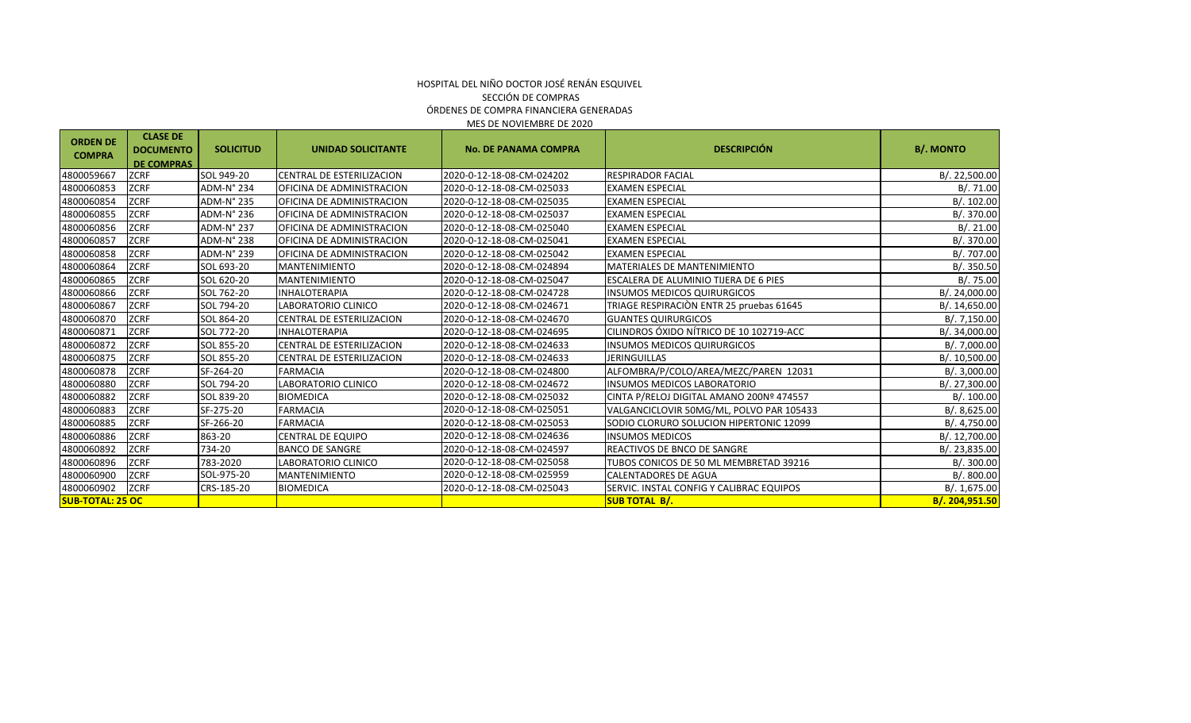| <b>ORDEN DE</b><br><b>COMPRA</b> | <b>CLASE DE</b><br><b>DOCUMENTO</b><br><b>DE COMPRAS</b> | <b>SOLICITUD</b> | <b>UNIDAD SOLICITANTE</b>        | <b>No. DE PANAMA COMPRA</b> | <b>DESCRIPCIÓN</b>                           | <b>B/. MONTO</b> |
|----------------------------------|----------------------------------------------------------|------------------|----------------------------------|-----------------------------|----------------------------------------------|------------------|
| 4800059667                       | <b>ZCRF</b>                                              | SOL 949-20       | CENTRAL DE ESTERILIZACION        | 2020-0-12-18-08-CM-024202   | <b>RESPIRADOR FACIAL</b>                     | B/. 22,500.00    |
| 4800060853                       | <b>ZCRF</b>                                              | ADM-N° 234       | OFICINA DE ADMINISTRACION        | 2020-0-12-18-08-CM-025033   | <b>EXAMEN ESPECIAL</b>                       | B/.71.00         |
| 4800060854                       | <b>ZCRF</b>                                              | ADM-N° 235       | OFICINA DE ADMINISTRACION        | 2020-0-12-18-08-CM-025035   | <b>EXAMEN ESPECIAL</b>                       | B/.102.00        |
| 4800060855                       | <b>ZCRF</b>                                              | ADM-N° 236       | OFICINA DE ADMINISTRACION        | 2020-0-12-18-08-CM-025037   | <b>EXAMEN ESPECIAL</b>                       | B/. 370.00       |
| 4800060856                       | <b>ZCRF</b>                                              | ADM-N° 237       | OFICINA DE ADMINISTRACION        | 2020-0-12-18-08-CM-025040   | <b>EXAMEN ESPECIAL</b>                       | B/.21.00         |
| 4800060857                       | <b>ZCRF</b>                                              | ADM-N°238        | OFICINA DE ADMINISTRACION        | 2020-0-12-18-08-CM-025041   | <b>EXAMEN ESPECIAL</b>                       | B/. 370.00       |
| 4800060858                       | <b>ZCRF</b>                                              | ADM-N° 239       | OFICINA DE ADMINISTRACION        | 2020-0-12-18-08-CM-025042   | <b>EXAMEN ESPECIAL</b>                       | B/. 707.00       |
| 4800060864                       | <b>ZCRF</b>                                              | SOL 693-20       | <b>MANTENIMIENTO</b>             | 2020-0-12-18-08-CM-024894   | <b>MATERIALES DE MANTENIMIENTO</b>           | B/.350.50        |
| 4800060865                       | <b>ZCRF</b>                                              | SOL 620-20       | <b>MANTENIMIENTO</b>             | 2020-0-12-18-08-CM-025047   | <b>ESCALERA DE ALUMINIO TIJERA DE 6 PIES</b> | B/.75.00         |
| 4800060866                       | <b>ZCRF</b>                                              | SOL 762-20       | <b>INHALOTERAPIA</b>             | 2020-0-12-18-08-CM-024728   | <b>INSUMOS MEDICOS QUIRURGICOS</b>           | B/. 24,000.00    |
| 4800060867                       | <b>ZCRF</b>                                              | SOL 794-20       | LABORATORIO CLINICO              | 2020-0-12-18-08-CM-024671   | TRIAGE RESPIRACIÓN ENTR 25 pruebas 61645     | B/. 14,650.00    |
| 4800060870                       | <b>ZCRF</b>                                              | SOL 864-20       | CENTRAL DE ESTERILIZACION        | 2020-0-12-18-08-CM-024670   | <b>GUANTES QUIRURGICOS</b>                   | B/. 7,150.00     |
| 4800060871                       | <b>ZCRF</b>                                              | SOL 772-20       | <b>INHALOTERAPIA</b>             | 2020-0-12-18-08-CM-024695   | CILINDROS ÓXIDO NÍTRICO DE 10 102719-ACC     | B/. 34,000.00    |
| 4800060872                       | <b>ZCRF</b>                                              | SOL 855-20       | <b>CENTRAL DE ESTERILIZACION</b> | 2020-0-12-18-08-CM-024633   | <b>INSUMOS MEDICOS QUIRURGICOS</b>           | B/. 7,000.00     |
| 4800060875                       | <b>ZCRF</b>                                              | SOL 855-20       | CENTRAL DE ESTERILIZACION        | 2020-0-12-18-08-CM-024633   | <b>JERINGUILLAS</b>                          | B/. 10,500.00    |
| 4800060878                       | <b>ZCRF</b>                                              | SF-264-20        | <b>FARMACIA</b>                  | 2020-0-12-18-08-CM-024800   | ALFOMBRA/P/COLO/AREA/MEZC/PAREN 12031        | B/.3,000.00      |
| 4800060880                       | <b>ZCRF</b>                                              | SOL 794-20       | LABORATORIO CLINICO              | 2020-0-12-18-08-CM-024672   | <b>INSUMOS MEDICOS LABORATORIO</b>           | B/. 27,300.00    |
| 4800060882                       | <b>ZCRF</b>                                              | SOL 839-20       | <b>BIOMEDICA</b>                 | 2020-0-12-18-08-CM-025032   | CINTA P/RELOJ DIGITAL AMANO 200Nº 474557     | B/. 100.00       |
| 4800060883                       | <b>ZCRF</b>                                              | SF-275-20        | <b>FARMACIA</b>                  | 2020-0-12-18-08-CM-025051   | VALGANCICLOVIR 50MG/ML, POLVO PAR 105433     | B/. 8,625.00     |
| 4800060885                       | <b>ZCRF</b>                                              | SF-266-20        | <b>FARMACIA</b>                  | 2020-0-12-18-08-CM-025053   | SODIO CLORURO SOLUCION HIPERTONIC 12099      | B/. 4,750.00     |
| 4800060886                       | <b>ZCRF</b>                                              | 863-20           | <b>CENTRAL DE EQUIPO</b>         | 2020-0-12-18-08-CM-024636   | <b>INSUMOS MEDICOS</b>                       | B/. 12,700.00    |
| 4800060892                       | <b>ZCRF</b>                                              | 734-20           | <b>BANCO DE SANGRE</b>           | 2020-0-12-18-08-CM-024597   | <b>REACTIVOS DE BNCO DE SANGRE</b>           | B/. 23,835.00    |
| 4800060896                       | <b>ZCRF</b>                                              | 783-2020         | LABORATORIO CLINICO              | 2020-0-12-18-08-CM-025058   | TUBOS CONICOS DE 50 ML MEMBRETAD 39216       | B/.300.00        |
| 4800060900                       | <b>ZCRF</b>                                              | SOL-975-20       | <b>MANTENIMIENTO</b>             | 2020-0-12-18-08-CM-025959   | <b>CALENTADORES DE AGUA</b>                  | B/0.800.00       |
| 4800060902                       | <b>ZCRF</b>                                              | CRS-185-20       | <b>BIOMEDICA</b>                 | 2020-0-12-18-08-CM-025043   | SERVIC. INSTAL CONFIG Y CALIBRAC EQUIPOS     | B/. 1,675.00     |
| <b>SUB-TOTAL: 25 OC</b>          |                                                          |                  |                                  |                             | <b>SUB TOTAL B/.</b>                         | B/. 204,951.50   |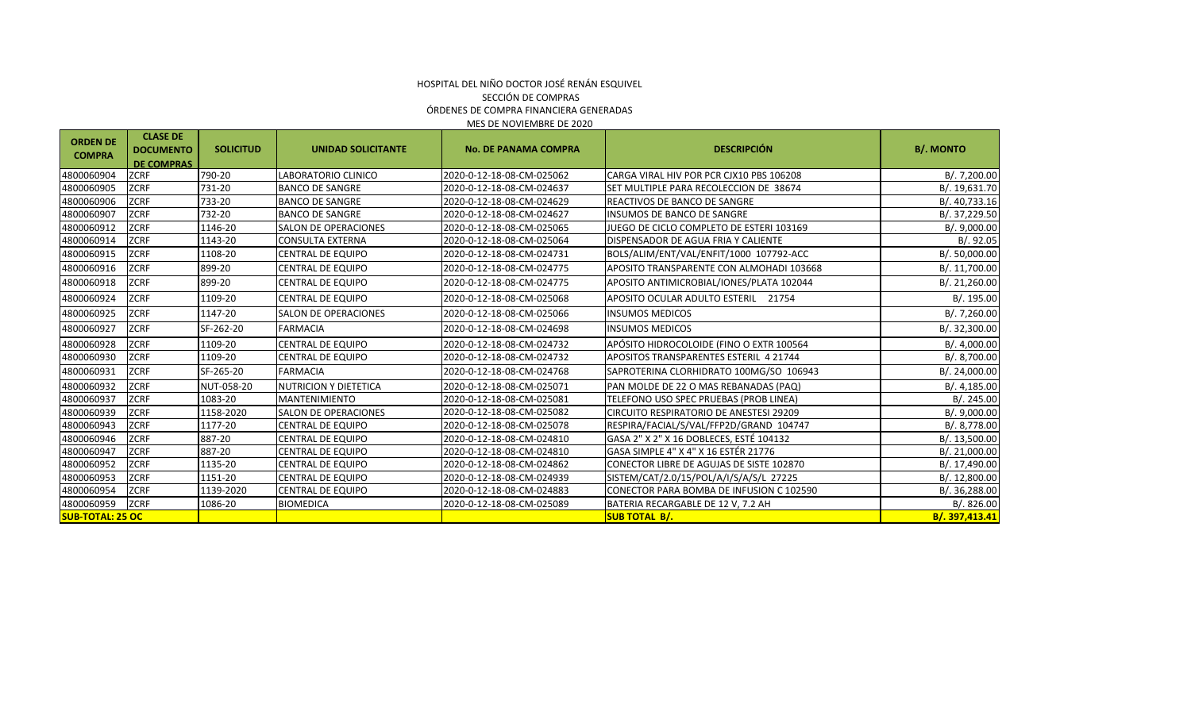#### SECCIÓN DE COMPRAS ÓRDENES DE COMPRA FINANCIERA GENERADAS MES DE NOVIEMBRE DE 2020 HOSPITAL DEL NIÑO DOCTOR JOSÉ RENÁN ESQUIVEL

| <b>ORDEN DE</b><br><b>COMPRA</b> | <b>CLASE DE</b><br><b>DOCUMENTO</b><br><b>DE COMPRAS</b> | <b>SOLICITUD</b> | <b>UNIDAD SOLICITANTE</b>    | <b>No. DE PANAMA COMPRA</b> | <b>DESCRIPCIÓN</b>                            | <b>B/. MONTO</b> |
|----------------------------------|----------------------------------------------------------|------------------|------------------------------|-----------------------------|-----------------------------------------------|------------------|
| 4800060904                       | <b>ZCRF</b>                                              | 790-20           | LABORATORIO CLINICO          | 2020-0-12-18-08-CM-025062   | CARGA VIRAL HIV POR PCR CJX10 PBS 106208      | B/. 7,200.00     |
| 4800060905                       | <b>ZCRF</b>                                              | 731-20           | <b>BANCO DE SANGRE</b>       | 2020-0-12-18-08-CM-024637   | ISET MULTIPLE PARA RECOLECCION DE 38674       | B/. 19,631.70    |
| 4800060906                       | <b>ZCRF</b>                                              | 733-20           | <b>BANCO DE SANGRE</b>       | 2020-0-12-18-08-CM-024629   | REACTIVOS DE BANCO DE SANGRE                  | B/.40,733.16     |
| 4800060907                       | <b>ZCRF</b>                                              | 732-20           | <b>BANCO DE SANGRE</b>       | 2020-0-12-18-08-CM-024627   | <b>INSUMOS DE BANCO DE SANGRE</b>             | B/. 37,229.50    |
| 4800060912                       | <b>ZCRF</b>                                              | 1146-20          | <b>SALON DE OPERACIONES</b>  | 2020-0-12-18-08-CM-025065   | JUEGO DE CICLO COMPLETO DE ESTERI 103169      | B/.9,000.00      |
| 4800060914                       | <b>ZCRF</b>                                              | 1143-20          | <b>CONSULTA EXTERNA</b>      | 2020-0-12-18-08-CM-025064   | DISPENSADOR DE AGUA FRIA Y CALIENTE           | B/.92.05         |
| 4800060915                       | <b>ZCRF</b>                                              | 1108-20          | <b>CENTRAL DE EQUIPO</b>     | 2020-0-12-18-08-CM-024731   | BOLS/ALIM/ENT/VAL/ENFIT/1000 107792-ACC       | B/. 50,000.00    |
| 4800060916                       | <b>ZCRF</b>                                              | 899-20           | <b>CENTRAL DE EQUIPO</b>     | 2020-0-12-18-08-CM-024775   | APOSITO TRANSPARENTE CON ALMOHADI 103668      | B/. 11,700.00    |
| 4800060918                       | <b>ZCRF</b>                                              | 899-20           | <b>CENTRAL DE EQUIPO</b>     | 2020-0-12-18-08-CM-024775   | APOSITO ANTIMICROBIAL/IONES/PLATA 102044      | B/. 21,260.00    |
| 4800060924                       | <b>ZCRF</b>                                              | 1109-20          | <b>CENTRAL DE EQUIPO</b>     | 2020-0-12-18-08-CM-025068   | APOSITO OCULAR ADULTO ESTERIL 21754           | B/. 195.00       |
| 4800060925                       | <b>ZCRF</b>                                              | 1147-20          | <b>SALON DE OPERACIONES</b>  | 2020-0-12-18-08-CM-025066   | <b>INSUMOS MEDICOS</b>                        | B/.7,260.00      |
| 4800060927                       | <b>ZCRF</b>                                              | SF-262-20        | <b>FARMACIA</b>              | 2020-0-12-18-08-CM-024698   | <b>INSUMOS MEDICOS</b>                        | B/. 32,300.00    |
| 4800060928                       | <b>ZCRF</b>                                              | 1109-20          | <b>CENTRAL DE EQUIPO</b>     | 2020-0-12-18-08-CM-024732   | APÓSITO HIDROCOLOIDE (FINO O EXTR 100564      | B/.4,000.00      |
| 4800060930                       | <b>ZCRF</b>                                              | 1109-20          | <b>CENTRAL DE EQUIPO</b>     | 2020-0-12-18-08-CM-024732   | <b>APOSITOS TRANSPARENTES ESTERIL 4 21744</b> | B/. 8,700.00     |
| 4800060931                       | <b>ZCRF</b>                                              | SF-265-20        | <b>FARMACIA</b>              | 2020-0-12-18-08-CM-024768   | SAPROTERINA CLORHIDRATO 100MG/SO 106943       | B/. 24,000.00    |
| 4800060932                       | <b>ZCRF</b>                                              | NUT-058-20       | <b>NUTRICION Y DIETETICA</b> | 2020-0-12-18-08-CM-025071   | PAN MOLDE DE 22 O MAS REBANADAS (PAQ)         | B/.4,185.00      |
| 4800060937                       | <b>ZCRF</b>                                              | 1083-20          | <b>MANTENIMIENTO</b>         | 2020-0-12-18-08-CM-025081   | TELEFONO USO SPEC PRUEBAS (PROB LINEA)        | B/.245.00        |
| 4800060939                       | <b>ZCRF</b>                                              | 1158-2020        | <b>SALON DE OPERACIONES</b>  | 2020-0-12-18-08-CM-025082   | CIRCUITO RESPIRATORIO DE ANESTESI 29209       | B/.9,000.00      |
| 4800060943                       | <b>ZCRF</b>                                              | 1177-20          | <b>CENTRAL DE EQUIPO</b>     | 2020-0-12-18-08-CM-025078   | RESPIRA/FACIAL/S/VAL/FFP2D/GRAND 104747       | B/. 8,778.00     |
| 4800060946                       | <b>ZCRF</b>                                              | 887-20           | <b>CENTRAL DE EQUIPO</b>     | 2020-0-12-18-08-CM-024810   | GASA 2" X 2" X 16 DOBLECES, ESTÉ 104132       | B/. 13,500.00    |
| 4800060947                       | <b>ZCRF</b>                                              | 887-20           | <b>CENTRAL DE EQUIPO</b>     | 2020-0-12-18-08-CM-024810   | GASA SIMPLE 4" X 4" X 16 ESTÉR 21776          | B/. 21,000.00    |
| 4800060952                       | <b>ZCRF</b>                                              | 1135-20          | <b>CENTRAL DE EQUIPO</b>     | 2020-0-12-18-08-CM-024862   | CONECTOR LIBRE DE AGUJAS DE SISTE 102870      | B/. 17,490.00    |
| 4800060953                       | <b>ZCRF</b>                                              | 1151-20          | <b>CENTRAL DE EQUIPO</b>     | 2020-0-12-18-08-CM-024939   | SISTEM/CAT/2.0/15/POL/A/I/S/A/S/L 27225       | B/. 12,800.00    |
| 4800060954                       | <b>ZCRF</b>                                              | 1139-2020        | <b>CENTRAL DE EQUIPO</b>     | 2020-0-12-18-08-CM-024883   | CONECTOR PARA BOMBA DE INFUSION C 102590      | B/. 36,288.00    |
| 4800060959                       | <b>ZCRF</b>                                              | 1086-20          | <b>BIOMEDICA</b>             | 2020-0-12-18-08-CM-025089   | BATERIA RECARGABLE DE 12 V, 7.2 AH            | B/0.826.00       |
| <b>SUB-TOTAL: 25 OC</b>          |                                                          |                  |                              |                             | <b>SUB TOTAL B/.</b>                          | B/. 397,413.41   |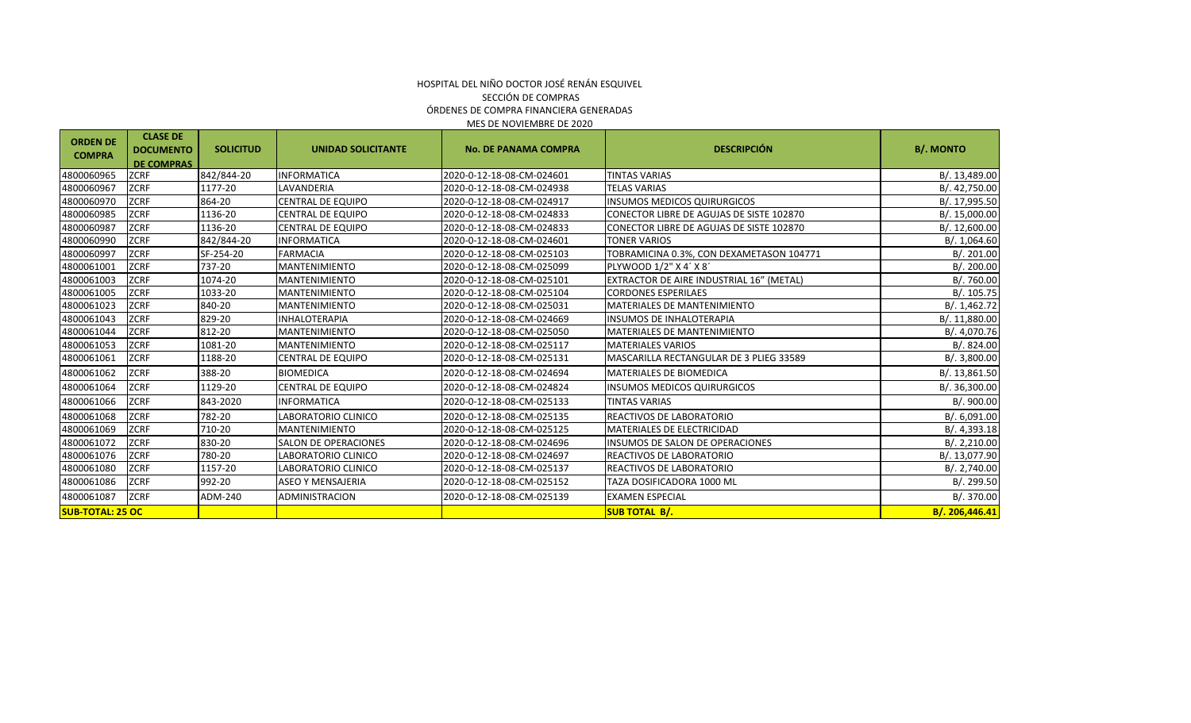| <b>ORDEN DE</b><br><b>COMPRA</b> | <b>CLASE DE</b><br><b>DOCUMENTO</b><br><b>DE COMPRAS</b> | <b>SOLICITUD</b> | <b>UNIDAD SOLICITANTE</b>   | <b>No. DE PANAMA COMPRA</b> | <b>DESCRIPCIÓN</b>                       | <b>B/. MONTO</b> |
|----------------------------------|----------------------------------------------------------|------------------|-----------------------------|-----------------------------|------------------------------------------|------------------|
| 4800060965                       | <b>ZCRF</b>                                              | 842/844-20       | <b>INFORMATICA</b>          | 2020-0-12-18-08-CM-024601   | <b>TINTAS VARIAS</b>                     | B/. 13,489.00    |
| 4800060967                       | <b>ZCRF</b>                                              | 1177-20          | LAVANDERIA                  | 2020-0-12-18-08-CM-024938   | <b>TELAS VARIAS</b>                      | B/. 42,750.00    |
| 4800060970                       | <b>ZCRF</b>                                              | 864-20           | <b>CENTRAL DE EQUIPO</b>    | 2020-0-12-18-08-CM-024917   | <b>INSUMOS MEDICOS QUIRURGICOS</b>       | B/. 17,995.50    |
| 4800060985                       | <b>ZCRF</b>                                              | 1136-20          | CENTRAL DE EQUIPO           | 2020-0-12-18-08-CM-024833   | CONECTOR LIBRE DE AGUJAS DE SISTE 102870 | B/. 15,000.00    |
| 4800060987                       | <b>ZCRF</b>                                              | 1136-20          | <b>CENTRAL DE EQUIPO</b>    | 2020-0-12-18-08-CM-024833   | CONECTOR LIBRE DE AGUJAS DE SISTE 102870 | B/. 12,600.00    |
| 4800060990                       | <b>ZCRF</b>                                              | 842/844-20       | <b>INFORMATICA</b>          | 2020-0-12-18-08-CM-024601   | <b>TONER VARIOS</b>                      | B/.1,064.60      |
| 4800060997                       | <b>ZCRF</b>                                              | SF-254-20        | <b>FARMACIA</b>             | 2020-0-12-18-08-CM-025103   | TOBRAMICINA 0.3%, CON DEXAMETASON 104771 | B/.201.00        |
| 4800061001                       | <b>ZCRF</b>                                              | 737-20           | <b>MANTENIMIENTO</b>        | 2020-0-12-18-08-CM-025099   | PLYWOOD 1/2" X 4' X 8'                   | B/.200.00        |
| 4800061003                       | <b>ZCRF</b>                                              | 1074-20          | <b>MANTENIMIENTO</b>        | 2020-0-12-18-08-CM-025101   | EXTRACTOR DE AIRE INDUSTRIAL 16" (METAL) | B/. 760.00       |
| 4800061005                       | <b>ZCRF</b>                                              | 1033-20          | <b>MANTENIMIENTO</b>        | 2020-0-12-18-08-CM-025104   | <b>CORDONES ESPERILAES</b>               | B/.105.75        |
| 4800061023                       | <b>ZCRF</b>                                              | 840-20           | <b>MANTENIMIENTO</b>        | 2020-0-12-18-08-CM-025031   | <b>MATERIALES DE MANTENIMIENTO</b>       | B/. 1,462.72     |
| 4800061043                       | <b>ZCRF</b>                                              | 829-20           | <b>INHALOTERAPIA</b>        | 2020-0-12-18-08-CM-024669   | <b>INSUMOS DE INHALOTERAPIA</b>          | B/. 11,880.00    |
| 4800061044                       | <b>ZCRF</b>                                              | 812-20           | <b>MANTENIMIENTO</b>        | 2020-0-12-18-08-CM-025050   | <b>MATERIALES DE MANTENIMIENTO</b>       | B/. 4,070.76     |
| 4800061053                       | <b>ZCRF</b>                                              | 1081-20          | MANTENIMIENTO               | 2020-0-12-18-08-CM-025117   | <b>MATERIALES VARIOS</b>                 | B/.824.00        |
| 4800061061                       | <b>ZCRF</b>                                              | 1188-20          | CENTRAL DE EQUIPO           | 2020-0-12-18-08-CM-025131   | MASCARILLA RECTANGULAR DE 3 PLIEG 33589  | B/. 3,800.00     |
| 4800061062                       | <b>ZCRF</b>                                              | 388-20           | <b>BIOMEDICA</b>            | 2020-0-12-18-08-CM-024694   | <b>MATERIALES DE BIOMEDICA</b>           | B/. 13,861.50    |
| 4800061064                       | <b>ZCRF</b>                                              | 1129-20          | CENTRAL DE EQUIPO           | 2020-0-12-18-08-CM-024824   | <b>INSUMOS MEDICOS QUIRURGICOS</b>       | B/. 36,300.00    |
| 4800061066                       | <b>ZCRF</b>                                              | 843-2020         | <b>INFORMATICA</b>          | 2020-0-12-18-08-CM-025133   | <b>TINTAS VARIAS</b>                     | B/. 900.00       |
| 4800061068                       | <b>ZCRF</b>                                              | 782-20           | LABORATORIO CLINICO         | 2020-0-12-18-08-CM-025135   | REACTIVOS DE LABORATORIO                 | B/. 6,091.00     |
| 4800061069                       | <b>ZCRF</b>                                              | 710-20           | MANTENIMIENTO               | 2020-0-12-18-08-CM-025125   | MATERIALES DE ELECTRICIDAD               | B/0.4,393.18     |
| 4800061072                       | <b>ZCRF</b>                                              | 830-20           | <b>SALON DE OPERACIONES</b> | 2020-0-12-18-08-CM-024696   | <b>INSUMOS DE SALON DE OPERACIONES</b>   | B/. 2,210.00     |
| 4800061076                       | <b>ZCRF</b>                                              | 780-20           | LABORATORIO CLINICO         | 2020-0-12-18-08-CM-024697   | REACTIVOS DE LABORATORIO                 | B/. 13,077.90    |
| 4800061080                       | <b>ZCRF</b>                                              | 1157-20          | LABORATORIO CLINICO         | 2020-0-12-18-08-CM-025137   | REACTIVOS DE LABORATORIO                 | B/. 2,740.00     |
| 4800061086                       | <b>ZCRF</b>                                              | 992-20           | <b>ASEO Y MENSAJERIA</b>    | 2020-0-12-18-08-CM-025152   | TAZA DOSIFICADORA 1000 ML                | B/. 299.50       |
| 4800061087                       | <b>ZCRF</b>                                              | ADM-240          | <b>ADMINISTRACION</b>       | 2020-0-12-18-08-CM-025139   | <b>EXAMEN ESPECIAL</b>                   | B/.370.00        |
| <b>SUB-TOTAL: 25 OC</b>          |                                                          |                  |                             |                             | <b>SUB TOTAL B/.</b>                     | B/. 206,446.41   |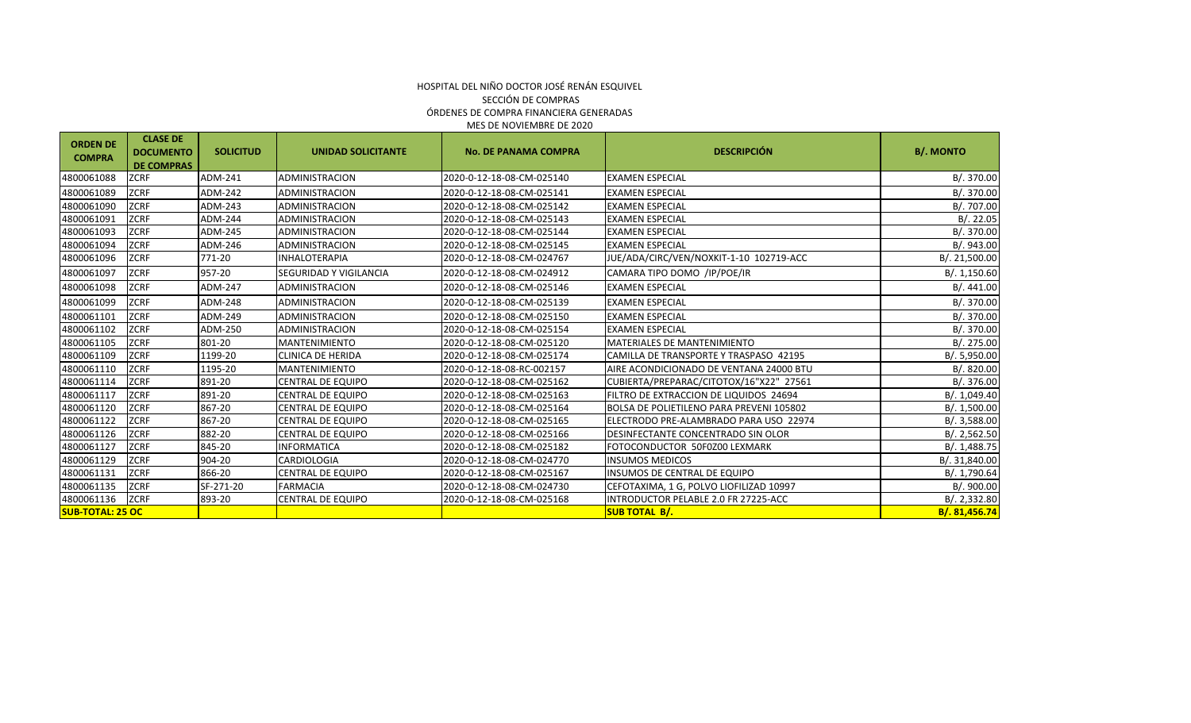| <b>ORDEN DE</b><br><b>COMPRA</b> | <b>CLASE DE</b><br><b>DOCUMENTO</b><br><b>DE COMPRAS</b> | <b>SOLICITUD</b> | <b>UNIDAD SOLICITANTE</b>     | <b>No. DE PANAMA COMPRA</b> | <b>DESCRIPCIÓN</b>                              | <b>B/. MONTO</b> |
|----------------------------------|----------------------------------------------------------|------------------|-------------------------------|-----------------------------|-------------------------------------------------|------------------|
| 4800061088                       | <b>ZCRF</b>                                              | ADM-241          | <b>ADMINISTRACION</b>         | 2020-0-12-18-08-CM-025140   | <b>EXAMEN ESPECIAL</b>                          | B/. 370.00       |
| 4800061089                       | <b>ZCRF</b>                                              | ADM-242          | <b>ADMINISTRACION</b>         | 2020-0-12-18-08-CM-025141   | <b>EXAMEN ESPECIAL</b>                          | B/. 370.00       |
| 4800061090                       | <b>ZCRF</b>                                              | ADM-243          | <b>ADMINISTRACION</b>         | 2020-0-12-18-08-CM-025142   | <b>EXAMEN ESPECIAL</b>                          | B/. 707.00       |
| 4800061091                       | <b>ZCRF</b>                                              | ADM-244          | <b>ADMINISTRACION</b>         | 2020-0-12-18-08-CM-025143   | <b>EXAMEN ESPECIAL</b>                          | B/.22.05         |
| 4800061093                       | <b>ZCRF</b>                                              | ADM-245          | <b>ADMINISTRACION</b>         | 2020-0-12-18-08-CM-025144   | <b>EXAMEN ESPECIAL</b>                          | B/. 370.00       |
| 4800061094                       | <b>ZCRF</b>                                              | ADM-246          | ADMINISTRACION                | 2020-0-12-18-08-CM-025145   | <b>EXAMEN ESPECIAL</b>                          | B/. 943.00       |
| 4800061096                       | <b>ZCRF</b>                                              | 771-20           | <b>INHALOTERAPIA</b>          | 2020-0-12-18-08-CM-024767   | JUE/ADA/CIRC/VEN/NOXKIT-1-10 102719-ACC         | B/. 21,500.00    |
| 4800061097                       | <b>ZCRF</b>                                              | 957-20           | <b>SEGURIDAD Y VIGILANCIA</b> | 2020-0-12-18-08-CM-024912   | CAMARA TIPO DOMO /IP/POE/IR                     | B/. 1,150.60     |
| 4800061098                       | <b>ZCRF</b>                                              | ADM-247          | <b>ADMINISTRACION</b>         | 2020-0-12-18-08-CM-025146   | <b>EXAMEN ESPECIAL</b>                          | B/.441.00        |
| 4800061099                       | <b>ZCRF</b>                                              | ADM-248          | <b>ADMINISTRACION</b>         | 2020-0-12-18-08-CM-025139   | <b>EXAMEN ESPECIAL</b>                          | B/. 370.00       |
| 4800061101                       | <b>ZCRF</b>                                              | ADM-249          | <b>ADMINISTRACION</b>         | 2020-0-12-18-08-CM-025150   | <b>EXAMEN ESPECIAL</b>                          | B/. 370.00       |
| 4800061102                       | <b>ZCRF</b>                                              | ADM-250          | <b>ADMINISTRACION</b>         | 2020-0-12-18-08-CM-025154   | <b>EXAMEN ESPECIAL</b>                          | B/. 370.00       |
| 4800061105                       | <b>ZCRF</b>                                              | 801-20           | <b>MANTENIMIENTO</b>          | 2020-0-12-18-08-CM-025120   | <b>MATERIALES DE MANTENIMIENTO</b>              | B/. 275.00       |
| 4800061109                       | <b>ZCRF</b>                                              | 1199-20          | <b>CLINICA DE HERIDA</b>      | 2020-0-12-18-08-CM-025174   | CAMILLA DE TRANSPORTE Y TRASPASO 42195          | B/. 5,950.00     |
| 4800061110                       | <b>ZCRF</b>                                              | 1195-20          | <b>MANTENIMIENTO</b>          | 2020-0-12-18-08-RC-002157   | AIRE ACONDICIONADO DE VENTANA 24000 BTU         | B/0.820.00       |
| 4800061114                       | <b>ZCRF</b>                                              | 891-20           | <b>CENTRAL DE EQUIPO</b>      | 2020-0-12-18-08-CM-025162   | CUBIERTA/PREPARAC/CITOTOX/16"X22" 27561         | B/. 376.00       |
| 4800061117                       | <b>ZCRF</b>                                              | 891-20           | <b>CENTRAL DE EQUIPO</b>      | 2020-0-12-18-08-CM-025163   | FILTRO DE EXTRACCION DE LIQUIDOS 24694          | B/. 1,049.40     |
| 4800061120                       | <b>ZCRF</b>                                              | 867-20           | <b>CENTRAL DE EQUIPO</b>      | 2020-0-12-18-08-CM-025164   | <b>BOLSA DE POLIETILENO PARA PREVENI 105802</b> | B/.1,500.00      |
| 4800061122                       | <b>ZCRF</b>                                              | 867-20           | CENTRAL DE EQUIPO             | 2020-0-12-18-08-CM-025165   | ELECTRODO PRE-ALAMBRADO PARA USO 22974          | B/. 3,588.00     |
| 4800061126                       | <b>ZCRF</b>                                              | 882-20           | CENTRAL DE EQUIPO             | 2020-0-12-18-08-CM-025166   | <b>DESINFECTANTE CONCENTRADO SIN OLOR</b>       | B/. 2,562.50     |
| 4800061127                       | <b>ZCRF</b>                                              | 845-20           | <b>INFORMATICA</b>            | 2020-0-12-18-08-CM-025182   | FOTOCONDUCTOR 50F0Z00 LEXMARK                   | B/. 1,488.75     |
| 4800061129                       | <b>ZCRF</b>                                              | 904-20           | CARDIOLOGIA                   | 2020-0-12-18-08-CM-024770   | <b>INSUMOS MEDICOS</b>                          | B/. 31,840.00    |
| 4800061131                       | <b>ZCRF</b>                                              | 866-20           | CENTRAL DE EQUIPO             | 2020-0-12-18-08-CM-025167   | INSUMOS DE CENTRAL DE EQUIPO                    | B/. 1,790.64     |
| 4800061135                       | <b>ZCRF</b>                                              | SF-271-20        | <b>FARMACIA</b>               | 2020-0-12-18-08-CM-024730   | CEFOTAXIMA, 1 G, POLVO LIOFILIZAD 10997         | B/. 900.00       |
| 4800061136                       | <b>ZCRF</b>                                              | 893-20           | CENTRAL DE EQUIPO             | 2020-0-12-18-08-CM-025168   | INTRODUCTOR PELABLE 2.0 FR 27225-ACC            | B/. 2, 332.80    |
| <b>SUB-TOTAL: 25 OC</b>          |                                                          |                  |                               |                             | <b>SUB TOTAL B/.</b>                            | B/. 81,456.74    |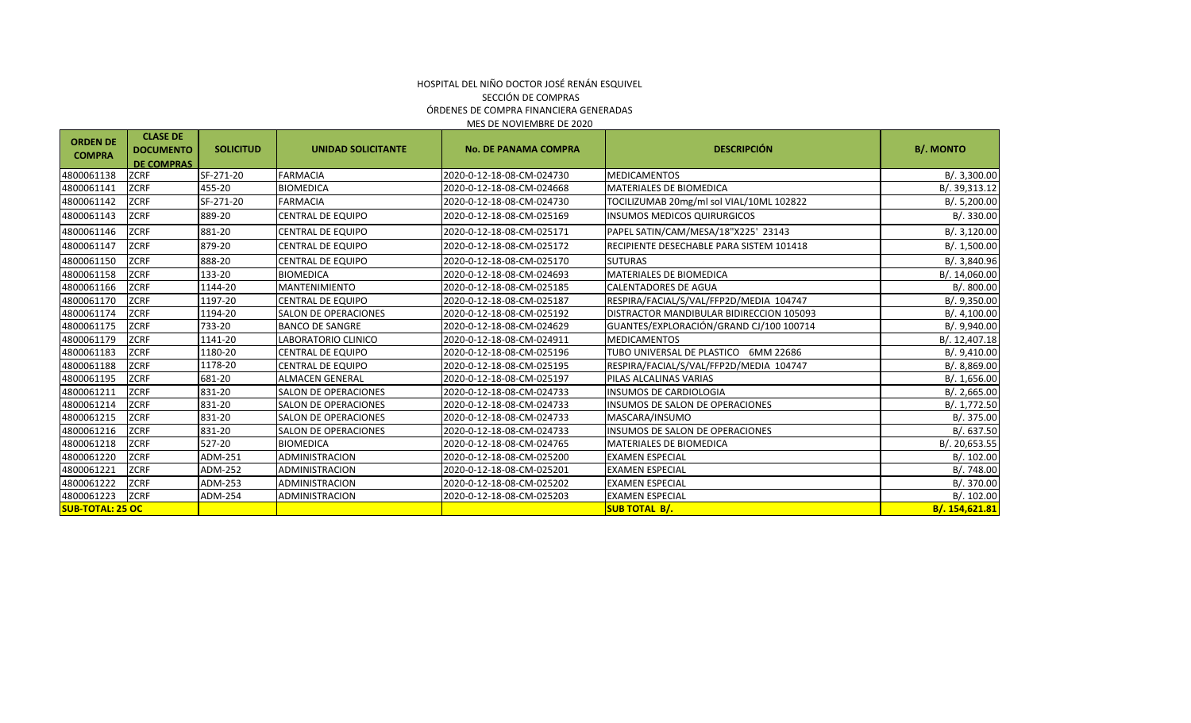#### ÓRDENES DE COMPRA FINANCIERA GENERADAS MES DE NOVIEMBRE DE 2020 HOSPITAL DEL NIÑO DOCTOR JOSÉ RENÁN ESQUIVEL SECCIÓN DE COMPRAS

| <b>ORDEN DE</b><br><b>COMPRA</b> | <b>CLASE DE</b><br><b>DOCUMENTO</b><br><b>DE COMPRAS</b> | <b>SOLICITUD</b> | <b>UNIDAD SOLICITANTE</b>   | <b>No. DE PANAMA COMPRA</b> | <b>DESCRIPCIÓN</b>                       | <b>B/. MONTO</b> |
|----------------------------------|----------------------------------------------------------|------------------|-----------------------------|-----------------------------|------------------------------------------|------------------|
| 4800061138                       | <b>ZCRF</b>                                              | SF-271-20        | <b>FARMACIA</b>             | 2020-0-12-18-08-CM-024730   | <b>MEDICAMENTOS</b>                      | B/.3,300.00      |
| 4800061141                       | <b>ZCRF</b>                                              | 455-20           | <b>BIOMEDICA</b>            | 2020-0-12-18-08-CM-024668   | MATERIALES DE BIOMEDICA                  | B/. 39,313.12    |
| 4800061142                       | <b>ZCRF</b>                                              | SF-271-20        | <b>FARMACIA</b>             | 2020-0-12-18-08-CM-024730   | TOCILIZUMAB 20mg/ml sol VIAL/10ML 102822 | B/.5,200.00      |
| 4800061143                       | <b>ZCRF</b>                                              | 889-20           | CENTRAL DE EQUIPO           | 2020-0-12-18-08-CM-025169   | INSUMOS MEDICOS QUIRURGICOS              | B/.330.00        |
| 4800061146                       | <b>ZCRF</b>                                              | 881-20           | <b>CENTRAL DE EQUIPO</b>    | 2020-0-12-18-08-CM-025171   | PAPEL SATIN/CAM/MESA/18"X225' 23143      | B/. 3,120.00     |
| 4800061147                       | <b>ZCRF</b>                                              | 879-20           | CENTRAL DE EQUIPO           | 2020-0-12-18-08-CM-025172   | RECIPIENTE DESECHABLE PARA SISTEM 101418 | B/. 1,500.00     |
| 4800061150                       | <b>ZCRF</b>                                              | 888-20           | CENTRAL DE EQUIPO           | 2020-0-12-18-08-CM-025170   | <b>SUTURAS</b>                           | B/. 3,840.96     |
| 4800061158                       | <b>ZCRF</b>                                              | 133-20           | <b>BIOMEDICA</b>            | 2020-0-12-18-08-CM-024693   | <b>MATERIALES DE BIOMEDICA</b>           | B/. 14,060.00    |
| 4800061166                       | <b>ZCRF</b>                                              | 1144-20          | <b>MANTENIMIENTO</b>        | 2020-0-12-18-08-CM-025185   | CALENTADORES DE AGUA                     | B/.800.00        |
| 4800061170                       | <b>ZCRF</b>                                              | 1197-20          | <b>CENTRAL DE EQUIPO</b>    | 2020-0-12-18-08-CM-025187   | RESPIRA/FACIAL/S/VAL/FFP2D/MEDIA 104747  | B/0.9,350.00     |
| 4800061174                       | <b>ZCRF</b>                                              | 1194-20          | <b>SALON DE OPERACIONES</b> | 2020-0-12-18-08-CM-025192   | DISTRACTOR MANDIBULAR BIDIRECCION 105093 | B/.4,100.00      |
| 4800061175                       | <b>ZCRF</b>                                              | 733-20           | <b>BANCO DE SANGRE</b>      | 2020-0-12-18-08-CM-024629   | GUANTES/EXPLORACIÓN/GRAND CJ/100 100714  | B/. 9,940.00     |
| 4800061179                       | <b>ZCRF</b>                                              | 1141-20          | LABORATORIO CLINICO         | 2020-0-12-18-08-CM-024911   | <b>MEDICAMENTOS</b>                      | B/. 12,407.18    |
| 4800061183                       | <b>ZCRF</b>                                              | 1180-20          | CENTRAL DE EQUIPO           | 2020-0-12-18-08-CM-025196   | TUBO UNIVERSAL DE PLASTICO<br>6MM 22686  | B/.9,410.00      |
| 4800061188                       | <b>ZCRF</b>                                              | 1178-20          | <b>CENTRAL DE EQUIPO</b>    | 2020-0-12-18-08-CM-025195   | RESPIRA/FACIAL/S/VAL/FFP2D/MEDIA 104747  | B/. 8,869.00     |
| 4800061195                       | <b>ZCRF</b>                                              | 681-20           | <b>ALMACEN GENERAL</b>      | 2020-0-12-18-08-CM-025197   | PILAS ALCALINAS VARIAS                   | B/.1,656.00      |
| 4800061211                       | <b>ZCRF</b>                                              | 831-20           | <b>SALON DE OPERACIONES</b> | 2020-0-12-18-08-CM-024733   | <b>INSUMOS DE CARDIOLOGIA</b>            | B/.2,665.00      |
| 4800061214                       | <b>ZCRF</b>                                              | 831-20           | <b>SALON DE OPERACIONES</b> | 2020-0-12-18-08-CM-024733   | INSUMOS DE SALON DE OPERACIONES          | B/. 1,772.50     |
| 4800061215                       | <b>ZCRF</b>                                              | 831-20           | <b>SALON DE OPERACIONES</b> | 2020-0-12-18-08-CM-024733   | MASCARA/INSUMO                           | B/. 375.00       |
| 4800061216                       | <b>ZCRF</b>                                              | 831-20           | <b>SALON DE OPERACIONES</b> | 2020-0-12-18-08-CM-024733   | INSUMOS DE SALON DE OPERACIONES          | B/0.637.50       |
| 4800061218                       | <b>ZCRF</b>                                              | 527-20           | <b>BIOMEDICA</b>            | 2020-0-12-18-08-CM-024765   | <b>MATERIALES DE BIOMEDICA</b>           | B/. 20,653.55    |
| 4800061220                       | <b>ZCRF</b>                                              | ADM-251          | ADMINISTRACION              | 2020-0-12-18-08-CM-025200   | <b>EXAMEN ESPECIAL</b>                   | B/.102.00        |
| 4800061221                       | <b>ZCRF</b>                                              | ADM-252          | ADMINISTRACION              | 2020-0-12-18-08-CM-025201   | <b>EXAMEN ESPECIAL</b>                   | B/. 748.00       |
| 4800061222                       | <b>ZCRF</b>                                              | ADM-253          | ADMINISTRACION              | 2020-0-12-18-08-CM-025202   | <b>EXAMEN ESPECIAL</b>                   | B/. 370.00       |
| 4800061223                       | <b>ZCRF</b>                                              | ADM-254          | <b>ADMINISTRACION</b>       | 2020-0-12-18-08-CM-025203   | <b>EXAMEN ESPECIAL</b>                   | B/.102.00        |
| <b>SUB-TOTAL: 25 OC</b>          |                                                          |                  |                             |                             | <b>SUB TOTAL B/.</b>                     | B/. 154, 621.81  |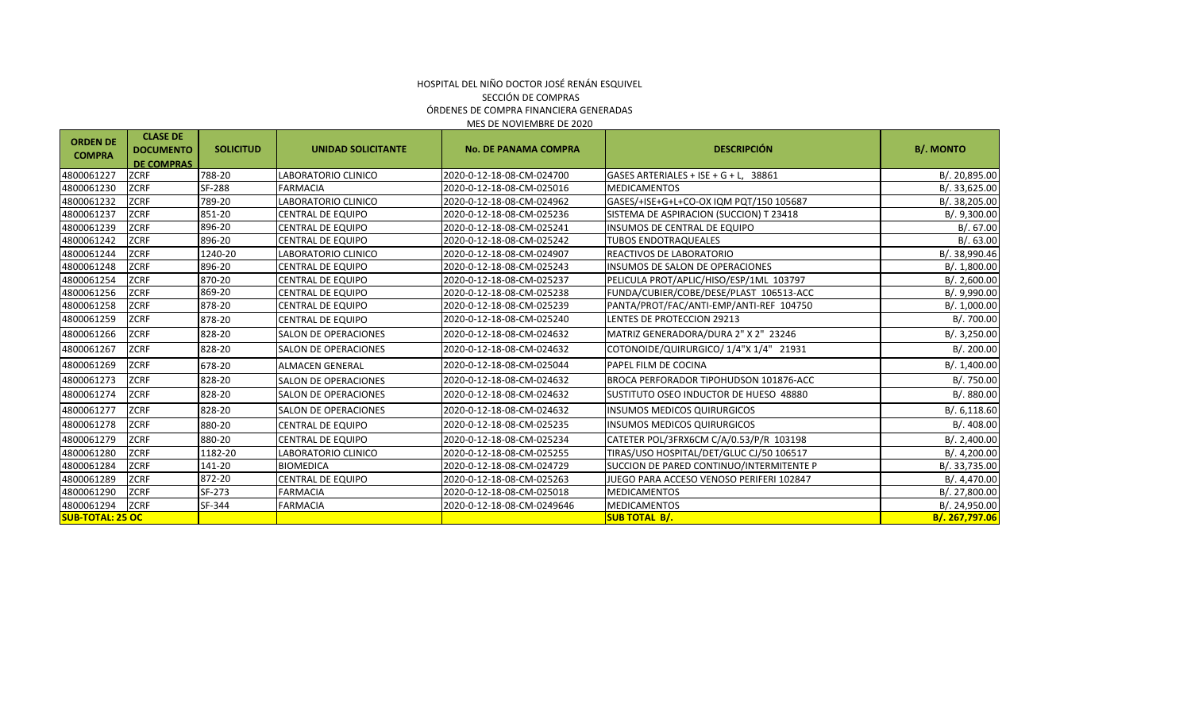| <b>ORDEN DE</b><br><b>COMPRA</b> | <b>CLASE DE</b><br><b>DOCUMENTO</b><br><b>DE COMPRAS</b> | <b>SOLICITUD</b> | <b>UNIDAD SOLICITANTE</b>   | <b>No. DE PANAMA COMPRA</b> | <b>DESCRIPCIÓN</b>                       | <b>B/. MONTO</b> |  |
|----------------------------------|----------------------------------------------------------|------------------|-----------------------------|-----------------------------|------------------------------------------|------------------|--|
| 4800061227                       | ZCRF                                                     | 788-20           | LABORATORIO CLINICO         | 2020-0-12-18-08-CM-024700   | GASES ARTERIALES + ISE + G + L, 38861    | B/.20,895.00     |  |
| 4800061230                       | <b>ZCRF</b>                                              | SF-288           | <b>FARMACIA</b>             | 2020-0-12-18-08-CM-025016   | <b>MEDICAMENTOS</b>                      | B/. 33,625.00    |  |
| 4800061232                       | <b>ZCRF</b>                                              | 789-20           | LABORATORIO CLINICO         | 2020-0-12-18-08-CM-024962   | GASES/+ISE+G+L+CO-OX IQM PQT/150 105687  | B/. 38,205.00    |  |
| 4800061237                       | <b>ZCRF</b>                                              | 851-20           | CENTRAL DE EQUIPO           | 2020-0-12-18-08-CM-025236   | SISTEMA DE ASPIRACION (SUCCION) T 23418  | B/. 9,300.00     |  |
| 4800061239                       | <b>ZCRF</b>                                              | 896-20           | CENTRAL DE EQUIPO           | 2020-0-12-18-08-CM-025241   | INSUMOS DE CENTRAL DE EQUIPO             | B/0.67.00        |  |
| 4800061242                       | <b>ZCRF</b>                                              | 896-20           | CENTRAL DE EQUIPO           | 2020-0-12-18-08-CM-025242   | <b>TUBOS ENDOTRAQUEALES</b>              | B/0.63.00        |  |
| 4800061244                       | <b>ZCRF</b>                                              | 1240-20          | LABORATORIO CLINICO         | 2020-0-12-18-08-CM-024907   | REACTIVOS DE LABORATORIO                 | B/. 38,990.46    |  |
| 4800061248                       | <b>ZCRF</b>                                              | 896-20           | CENTRAL DE EQUIPO           | 2020-0-12-18-08-CM-025243   | <b>INSUMOS DE SALON DE OPERACIONES</b>   | B/. 1,800.00     |  |
| 4800061254                       | <b>ZCRF</b>                                              | 870-20           | CENTRAL DE EQUIPO           | 2020-0-12-18-08-CM-025237   | PELICULA PROT/APLIC/HISO/ESP/1ML 103797  | B/. 2,600.00     |  |
| 4800061256                       | <b>ZCRF</b>                                              | 869-20           | CENTRAL DE EQUIPO           | 2020-0-12-18-08-CM-025238   | FUNDA/CUBIER/COBE/DESE/PLAST 106513-ACC  | B/. 9,990.00     |  |
| 4800061258                       | <b>ZCRF</b>                                              | 878-20           | CENTRAL DE EQUIPO           | 2020-0-12-18-08-CM-025239   | PANTA/PROT/FAC/ANTI-EMP/ANTI-REF 104750  | B/. 1,000.00     |  |
| 4800061259                       | <b>ZCRF</b>                                              | 878-20           | CENTRAL DE EQUIPO           | 2020-0-12-18-08-CM-025240   | LENTES DE PROTECCION 29213               | B/. 700.00       |  |
| 4800061266                       | <b>ZCRF</b>                                              | 828-20           | <b>SALON DE OPERACIONES</b> | 2020-0-12-18-08-CM-024632   | MATRIZ GENERADORA/DURA 2" X 2" 23246     | B/. 3,250.00     |  |
| 4800061267                       | <b>ZCRF</b>                                              | 828-20           | <b>SALON DE OPERACIONES</b> | 2020-0-12-18-08-CM-024632   | COTONOIDE/QUIRURGICO/ 1/4"X 1/4" 21931   | B/. 200.00       |  |
| 4800061269                       | <b>ZCRF</b>                                              | 678-20           | <b>ALMACEN GENERAL</b>      | 2020-0-12-18-08-CM-025044   | PAPEL FILM DE COCINA                     | B/.1,400.00      |  |
| 4800061273                       | <b>ZCRF</b>                                              | 828-20           | <b>SALON DE OPERACIONES</b> | 2020-0-12-18-08-CM-024632   | BROCA PERFORADOR TIPOHUDSON 101876-ACC   | B/. 750.00       |  |
| 4800061274                       | <b>ZCRF</b>                                              | 828-20           | <b>SALON DE OPERACIONES</b> | 2020-0-12-18-08-CM-024632   | SUSTITUTO OSEO INDUCTOR DE HUESO 48880   | B/0.880.00       |  |
| 4800061277                       | <b>ZCRF</b>                                              | 828-20           | <b>SALON DE OPERACIONES</b> | 2020-0-12-18-08-CM-024632   | <b>INSUMOS MEDICOS QUIRURGICOS</b>       | B/0.6,118.60     |  |
| 4800061278                       | <b>ZCRF</b>                                              | 880-20           | CENTRAL DE EQUIPO           | 2020-0-12-18-08-CM-025235   | <b>INSUMOS MEDICOS QUIRURGICOS</b>       | B/. 408.00       |  |
| 4800061279                       | <b>ZCRF</b>                                              | 880-20           | CENTRAL DE EQUIPO           | 2020-0-12-18-08-CM-025234   | CATETER POL/3FRX6CM C/A/0.53/P/R 103198  | B/.2,400.00      |  |
| 4800061280                       | <b>ZCRF</b>                                              | 1182-20          | LABORATORIO CLINICO         | 2020-0-12-18-08-CM-025255   | TIRAS/USO HOSPITAL/DET/GLUC CJ/50 106517 | B/.4,200.00      |  |
| 4800061284                       | <b>ZCRF</b>                                              | 141-20           | <b>BIOMEDICA</b>            | 2020-0-12-18-08-CM-024729   | SUCCION DE PARED CONTINUO/INTERMITENTE P | B/. 33,735.00    |  |
| 4800061289                       | <b>ZCRF</b>                                              | 872-20           | <b>CENTRAL DE EQUIPO</b>    | 2020-0-12-18-08-CM-025263   | JUEGO PARA ACCESO VENOSO PERIFERI 102847 | B/. 4,470.00     |  |
| 4800061290                       | <b>ZCRF</b>                                              | SF-273           | <b>FARMACIA</b>             | 2020-0-12-18-08-CM-025018   | <b>MEDICAMENTOS</b>                      | B/.27,800.00     |  |
| 4800061294                       | <b>ZCRF</b>                                              | SF-344           | <b>FARMACIA</b>             | 2020-0-12-18-08-CM-0249646  | <b>MEDICAMENTOS</b>                      | B/. 24,950.00    |  |
| <b>SUB-TOTAL: 25 OC</b>          |                                                          |                  |                             |                             | <b>SUB TOTAL B/.</b>                     | B/. 267,797.06   |  |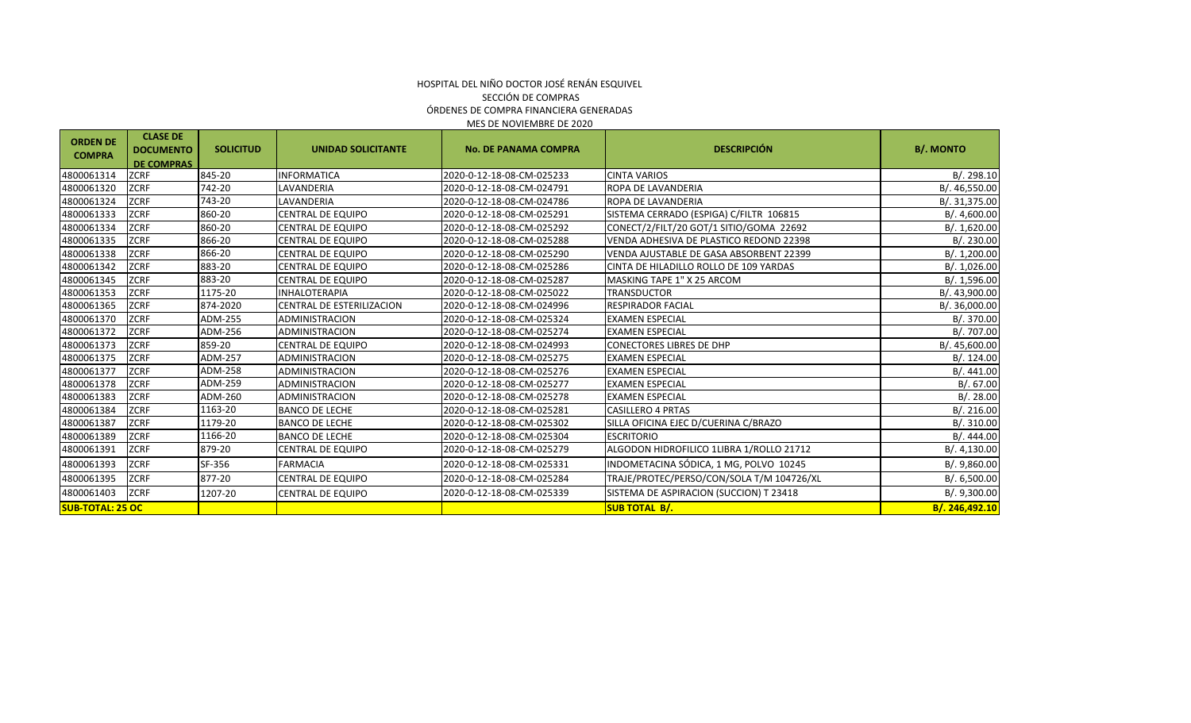#### MES DE NOVIEMBRE DE 2020 HOSPITAL DEL NIÑO DOCTOR JOSÉ RENÁN ESQUIVEL SECCIÓN DE COMPRAS ÓRDENES DE COMPRA FINANCIERA GENERADAS

| <b>ORDEN DE</b><br><b>COMPRA</b> | <b>CLASE DE</b><br><b>DOCUMENTO</b><br><b>DE COMPRAS</b> | <b>SOLICITUD</b> | <b>UNIDAD SOLICITANTE</b> | <b>DESCRIPCIÓN</b><br><b>No. DE PANAMA COMPRA</b> |                                           | <b>B/. MONTO</b> |
|----------------------------------|----------------------------------------------------------|------------------|---------------------------|---------------------------------------------------|-------------------------------------------|------------------|
| 4800061314                       | <b>ZCRF</b>                                              | 845-20           | <b>INFORMATICA</b>        | 2020-0-12-18-08-CM-025233                         | <b>CINTA VARIOS</b>                       | B/.298.10        |
| 4800061320                       | <b>ZCRF</b>                                              | 742-20           | LAVANDERIA                | 2020-0-12-18-08-CM-024791                         | ROPA DE LAVANDERIA                        | B/. 46,550.00    |
| 4800061324                       | <b>ZCRF</b>                                              | 743-20           | LAVANDERIA                | 2020-0-12-18-08-CM-024786                         | ROPA DE LAVANDERIA                        | B/. 31,375.00    |
| 4800061333                       | <b>ZCRF</b>                                              | 860-20           | CENTRAL DE EQUIPO         | 2020-0-12-18-08-CM-025291                         | SISTEMA CERRADO (ESPIGA) C/FILTR 106815   | B/. 4,600.00     |
| 4800061334                       | <b>ZCRF</b>                                              | 860-20           | CENTRAL DE EQUIPO         | 2020-0-12-18-08-CM-025292                         | CONECT/2/FILT/20 GOT/1 SITIO/GOMA 22692   | B/. 1,620.00     |
| 4800061335                       | <b>ZCRF</b>                                              | 866-20           | CENTRAL DE EQUIPO         | 2020-0-12-18-08-CM-025288                         | VENDA ADHESIVA DE PLASTICO REDOND 22398   | B/. 230.00       |
| 4800061338                       | <b>ZCRF</b>                                              | 866-20           | <b>CENTRAL DE EQUIPO</b>  | 2020-0-12-18-08-CM-025290                         | VENDA AJUSTABLE DE GASA ABSORBENT 22399   | B/. 1,200.00     |
| 4800061342                       | <b>ZCRF</b>                                              | 883-20           | CENTRAL DE EQUIPO         | 2020-0-12-18-08-CM-025286                         | CINTA DE HILADILLO ROLLO DE 109 YARDAS    | B/.1,026.00      |
| 4800061345                       | <b>ZCRF</b>                                              | 883-20           | <b>CENTRAL DE EQUIPO</b>  | 2020-0-12-18-08-CM-025287                         | MASKING TAPE 1" X 25 ARCOM                | B/. 1,596.00     |
| 4800061353                       | <b>ZCRF</b>                                              | 1175-20          | <b>INHALOTERAPIA</b>      | 2020-0-12-18-08-CM-025022                         | TRANSDUCTOR                               | B/. 43,900.00    |
| 4800061365                       | <b>ZCRF</b>                                              | 874-2020         | CENTRAL DE ESTERILIZACION | 2020-0-12-18-08-CM-024996                         | <b>RESPIRADOR FACIAL</b>                  | B/. 36,000.00    |
| 4800061370                       | <b>ZCRF</b>                                              | ADM-255          | ADMINISTRACION            | 2020-0-12-18-08-CM-025324                         | <b>EXAMEN ESPECIAL</b>                    | B/. 370.00       |
| 4800061372                       | <b>ZCRF</b>                                              | ADM-256          | <b>ADMINISTRACION</b>     | 2020-0-12-18-08-CM-025274                         | <b>EXAMEN ESPECIAL</b>                    | B/. 707.00       |
| 4800061373                       | <b>ZCRF</b>                                              | 859-20           | <b>CENTRAL DE EQUIPO</b>  | 2020-0-12-18-08-CM-024993                         | <b>CONECTORES LIBRES DE DHP</b>           | B/. 45,600.00    |
| 4800061375                       | <b>ZCRF</b>                                              | ADM-257          | <b>ADMINISTRACION</b>     | 2020-0-12-18-08-CM-025275                         | <b>EXAMEN ESPECIAL</b>                    | B/.124.00        |
| 4800061377                       | <b>ZCRF</b>                                              | ADM-258          | <b>ADMINISTRACION</b>     | 2020-0-12-18-08-CM-025276                         | <b>EXAMEN ESPECIAL</b>                    | B/.441.00        |
| 4800061378                       | <b>ZCRF</b>                                              | ADM-259          | <b>ADMINISTRACION</b>     | 2020-0-12-18-08-CM-025277                         | <b>EXAMEN ESPECIAL</b>                    | B/.67.00         |
| 4800061383                       | <b>ZCRF</b>                                              | ADM-260          | <b>ADMINISTRACION</b>     | 2020-0-12-18-08-CM-025278                         | <b>EXAMEN ESPECIAL</b>                    | B/. 28.00        |
| 4800061384                       | <b>ZCRF</b>                                              | 1163-20          | <b>BANCO DE LECHE</b>     | 2020-0-12-18-08-CM-025281                         | <b>CASILLERO 4 PRTAS</b>                  | B/.216.00        |
| 4800061387                       | <b>ZCRF</b>                                              | 1179-20          | <b>BANCO DE LECHE</b>     | 2020-0-12-18-08-CM-025302                         | SILLA OFICINA EJEC D/CUERINA C/BRAZO      | B/. 310.00       |
| 4800061389                       | <b>ZCRF</b>                                              | 1166-20          | <b>BANCO DE LECHE</b>     | 2020-0-12-18-08-CM-025304                         | <b>ESCRITORIO</b>                         | B/. 444.00       |
| 4800061391                       | <b>ZCRF</b>                                              | 879-20           | CENTRAL DE EQUIPO         | 2020-0-12-18-08-CM-025279                         | ALGODON HIDROFILICO 1LIBRA 1/ROLLO 21712  | B/. 4,130.00     |
| 4800061393                       | <b>ZCRF</b>                                              | SF-356           | <b>FARMACIA</b>           | 2020-0-12-18-08-CM-025331                         | INDOMETACINA SÓDICA, 1 MG, POLVO 10245    | B/. 9,860.00     |
| 4800061395                       | <b>ZCRF</b>                                              | 877-20           | CENTRAL DE EQUIPO         | 2020-0-12-18-08-CM-025284                         | TRAJE/PROTEC/PERSO/CON/SOLA T/M 104726/XL | B/. 6,500.00     |
| 4800061403                       | <b>ZCRF</b>                                              | 1207-20          | CENTRAL DE EQUIPO         | 2020-0-12-18-08-CM-025339                         | SISTEMA DE ASPIRACION (SUCCION) T 23418   | B/. 9,300.00     |
| <b>SUB-TOTAL: 25 OC</b>          |                                                          |                  |                           |                                                   | <b>SUB TOTAL B/.</b>                      | B/. 246,492.10   |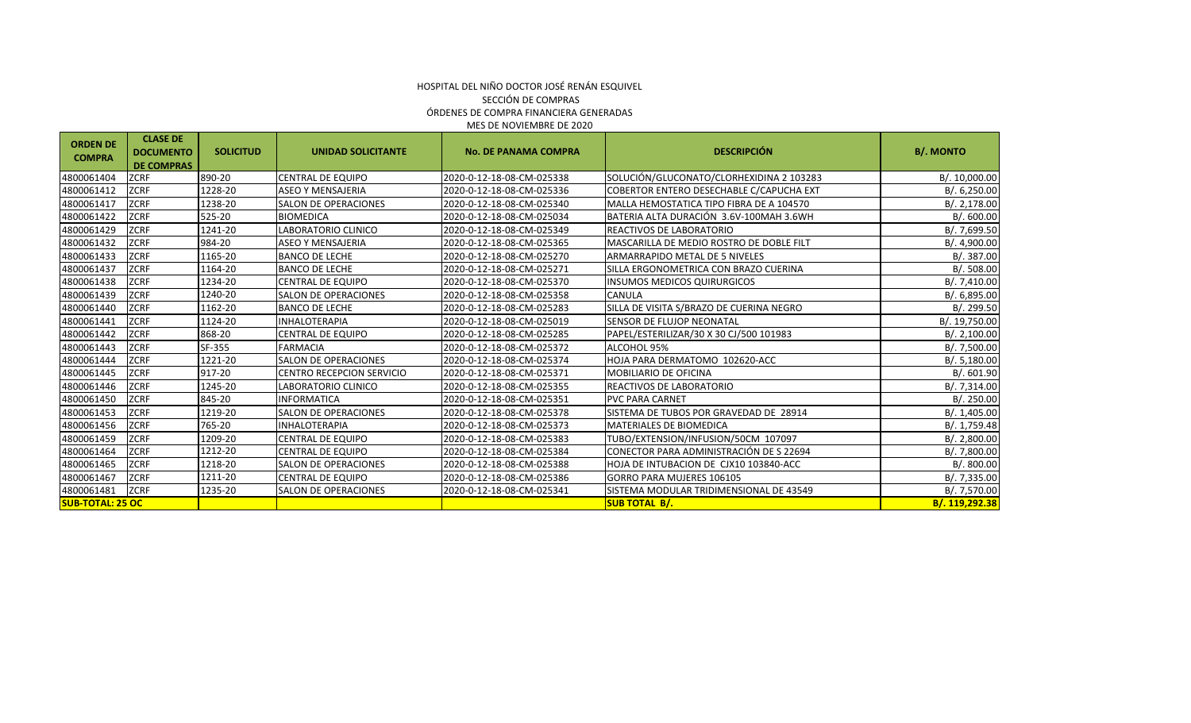### ÓRDENES DE COMPRA FINANCIERA GENERADAS HOSPITAL DEL NIÑO DOCTOR JOSÉ RENÁN ESQUIVEL SECCIÓN DE COMPRAS MES DE NOVIEMBRE DE 2020

| <b>ORDEN DE</b><br><b>COMPRA</b> | <b>CLASE DE</b><br><b>DOCUMENTO</b><br><b>DE COMPRAS</b> | <b>SOLICITUD</b> | <b>UNIDAD SOLICITANTE</b>        | <b>No. DE PANAMA COMPRA</b> | <b>DESCRIPCIÓN</b>                        | <b>B/. MONTO</b> |
|----------------------------------|----------------------------------------------------------|------------------|----------------------------------|-----------------------------|-------------------------------------------|------------------|
| 4800061404                       | <b>ZCRF</b>                                              | 890-20           | <b>CENTRAL DE EQUIPO</b>         | 2020-0-12-18-08-CM-025338   | SOLUCIÓN/GLUCONATO/CLORHEXIDINA 2 103283  | B/. 10,000.00    |
| 4800061412                       | <b>ZCRF</b>                                              | 1228-20          | <b>ASEO Y MENSAJERIA</b>         | 2020-0-12-18-08-CM-025336   | COBERTOR ENTERO DESECHABLE C/CAPUCHA EXT  | B/. 6,250.00     |
| 4800061417                       | <b>ZCRF</b>                                              | 1238-20          | <b>SALON DE OPERACIONES</b>      | 2020-0-12-18-08-CM-025340   | MALLA HEMOSTATICA TIPO FIBRA DE A 104570  | B/.2,178.00      |
| 4800061422                       | <b>ZCRF</b>                                              | 525-20           | <b>BIOMEDICA</b>                 | 2020-0-12-18-08-CM-025034   | BATERIA ALTA DURACIÓN 3.6V-100MAH 3.6WH   | B/. 600.00       |
| 4800061429                       | <b>ZCRF</b>                                              | 1241-20          | LABORATORIO CLINICO              | 2020-0-12-18-08-CM-025349   | <b>REACTIVOS DE LABORATORIO</b>           | B/. 7,699.50     |
| 4800061432                       | <b>ZCRF</b>                                              | 984-20           | <b>ASEO Y MENSAJERIA</b>         | 2020-0-12-18-08-CM-025365   | IMASCARILLA DE MEDIO ROSTRO DE DOBLE FILT | B/. 4,900.00     |
| 4800061433                       | <b>ZCRF</b>                                              | 1165-20          | <b>BANCO DE LECHE</b>            | 2020-0-12-18-08-CM-025270   | <b>ARMARRAPIDO METAL DE 5 NIVELES</b>     | B/0.387.00       |
| 4800061437                       | <b>ZCRF</b>                                              | 1164-20          | <b>BANCO DE LECHE</b>            | 2020-0-12-18-08-CM-025271   | ISILLA ERGONOMETRICA CON BRAZO CUERINA    | B/.508.00        |
| 4800061438                       | <b>ZCRF</b>                                              | 1234-20          | <b>CENTRAL DE EQUIPO</b>         | 2020-0-12-18-08-CM-025370   | <b>INSUMOS MEDICOS QUIRURGICOS</b>        | B/. 7,410.00     |
| 4800061439                       | <b>ZCRF</b>                                              | 1240-20          | <b>SALON DE OPERACIONES</b>      | 2020-0-12-18-08-CM-025358   | <b>CANULA</b>                             | B/. 6,895.00     |
| 4800061440                       | <b>ZCRF</b>                                              | 1162-20          | <b>BANCO DE LECHE</b>            | 2020-0-12-18-08-CM-025283   | SILLA DE VISITA S/BRAZO DE CUERINA NEGRO  | B/. 299.50       |
| 4800061441                       | <b>ZCRF</b>                                              | 1124-20          | INHALOTERAPIA                    | 2020-0-12-18-08-CM-025019   | SENSOR DE FLUJOP NEONATAL                 | B/. 19,750.00    |
| 4800061442                       | <b>ZCRF</b>                                              | 868-20           | CENTRAL DE EQUIPO                | 2020-0-12-18-08-CM-025285   | PAPEL/ESTERILIZAR/30 X 30 CJ/500 101983   | B/.2,100.00      |
| 4800061443                       | <b>ZCRF</b>                                              | SF-355           | <b>FARMACIA</b>                  | 2020-0-12-18-08-CM-025372   | ALCOHOL 95%                               | B/.7,500.00      |
| 4800061444                       | <b>ZCRF</b>                                              | 1221-20          | <b>SALON DE OPERACIONES</b>      | 2020-0-12-18-08-CM-025374   | HOJA PARA DERMATOMO 102620-ACC            | B/.5,180.00      |
| 4800061445                       | <b>ZCRF</b>                                              | 917-20           | <b>CENTRO RECEPCION SERVICIO</b> | 2020-0-12-18-08-CM-025371   | <b>MOBILIARIO DE OFICINA</b>              | B/. 601.90       |
| 4800061446                       | <b>ZCRF</b>                                              | 1245-20          | LABORATORIO CLINICO              | 2020-0-12-18-08-CM-025355   | REACTIVOS DE LABORATORIO                  | B/. 7,314.00     |
| 4800061450                       | <b>ZCRF</b>                                              | 845-20           | <b>INFORMATICA</b>               | 2020-0-12-18-08-CM-025351   | <b>PVC PARA CARNET</b>                    | B/. 250.00       |
| 4800061453                       | <b>ZCRF</b>                                              | 1219-20          | <b>SALON DE OPERACIONES</b>      | 2020-0-12-18-08-CM-025378   | SISTEMA DE TUBOS POR GRAVEDAD DE 28914    | B/.1,405.00      |
| 4800061456                       | <b>ZCRF</b>                                              | 765-20           | <b>INHALOTERAPIA</b>             | 2020-0-12-18-08-CM-025373   | <b>MATERIALES DE BIOMEDICA</b>            | B/. 1,759.48     |
| 4800061459                       | <b>ZCRF</b>                                              | 1209-20          | <b>CENTRAL DE EQUIPO</b>         | 2020-0-12-18-08-CM-025383   | TUBO/EXTENSION/INFUSION/50CM 107097       | B/.2,800.00      |
| 4800061464                       | <b>ZCRF</b>                                              | 1212-20          | <b>CENTRAL DE EQUIPO</b>         | 2020-0-12-18-08-CM-025384   | CONECTOR PARA ADMINISTRACIÓN DE S 22694   | B/. 7,800.00     |
| 4800061465                       | <b>ZCRF</b>                                              | 1218-20          | <b>SALON DE OPERACIONES</b>      | 2020-0-12-18-08-CM-025388   | HOJA DE INTUBACION DE CJX10 103840-ACC    | B/. 800.00       |
| 4800061467                       | <b>ZCRF</b>                                              | 1211-20          | CENTRAL DE EQUIPO                | 2020-0-12-18-08-CM-025386   | <b>GORRO PARA MUJERES 106105</b>          | B/. 7,335.00     |
| 4800061481                       | <b>ZCRF</b>                                              | 1235-20          | <b>SALON DE OPERACIONES</b>      | 2020-0-12-18-08-CM-025341   | SISTEMA MODULAR TRIDIMENSIONAL DE 43549   | B/. 7,570.00     |
| <b>SUB-TOTAL: 25 OC</b>          |                                                          |                  |                                  |                             | <b>SUB TOTAL B/.</b>                      | B/. 119,292.38   |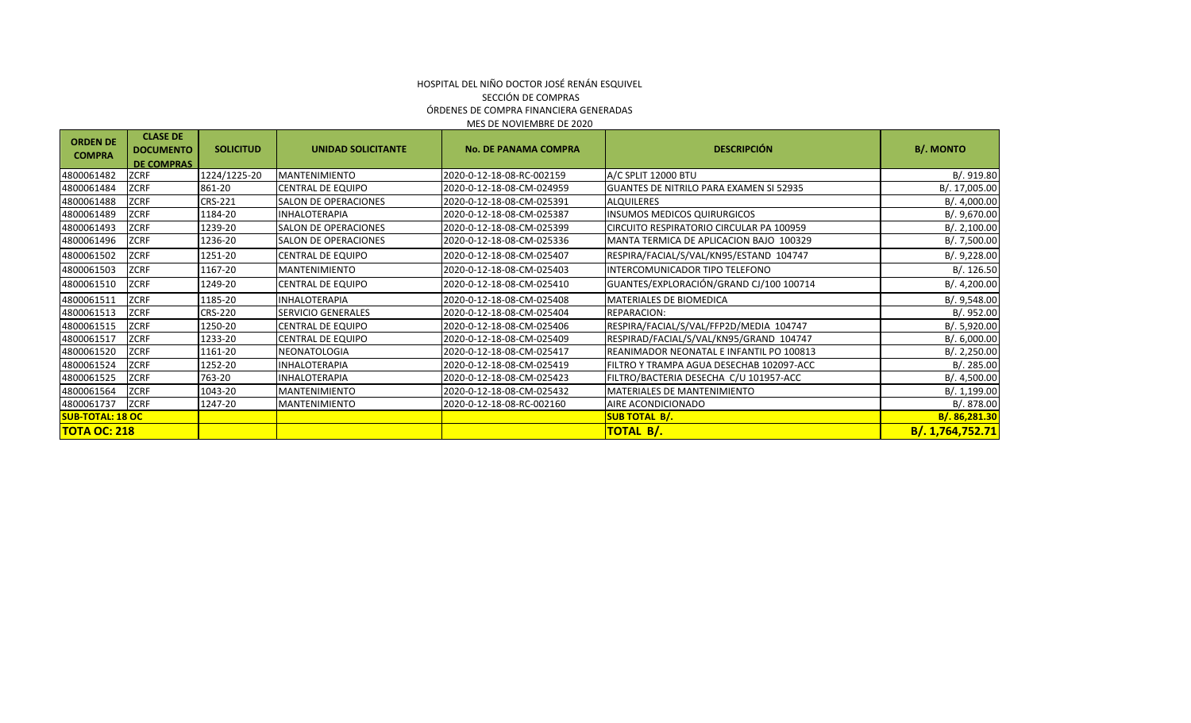| <b>ORDEN DE</b><br><b>COMPRA</b> | <b>CLASE DE</b><br><b>DOCUMENTO</b> | <b>SOLICITUD</b> | <b>UNIDAD SOLICITANTE</b>   | <b>No. DE PANAMA COMPRA</b> | <b>DESCRIPCIÓN</b>                             | <b>B/. MONTO</b> |
|----------------------------------|-------------------------------------|------------------|-----------------------------|-----------------------------|------------------------------------------------|------------------|
|                                  | <b>DE COMPRAS</b>                   |                  |                             |                             |                                                |                  |
| 4800061482                       | <b>ZCRF</b>                         | 1224/1225-20     | <b>MANTENIMIENTO</b>        | 2020-0-12-18-08-RC-002159   | A/C SPLIT 12000 BTU                            | B/.919.80        |
| 4800061484                       | ZCRF                                | 861-20           | <b>CENTRAL DE EQUIPO</b>    | 2020-0-12-18-08-CM-024959   | <b>GUANTES DE NITRILO PARA EXAMEN SI 52935</b> | B/. 17,005.00    |
| 4800061488                       | ZCRF                                | CRS-221          | <b>SALON DE OPERACIONES</b> | 2020-0-12-18-08-CM-025391   | <b>ALQUILERES</b>                              | B/. 4,000.00     |
| 4800061489                       | <b>ZCRF</b>                         | 1184-20          | <b>INHALOTERAPIA</b>        | 2020-0-12-18-08-CM-025387   | <b>INSUMOS MEDICOS QUIRURGICOS</b>             | B/. 9,670.00     |
| 4800061493                       | ZCRF                                | 1239-20          | <b>SALON DE OPERACIONES</b> | 2020-0-12-18-08-CM-025399   | CIRCUITO RESPIRATORIO CIRCULAR PA 100959       | B/. 2,100.00     |
| 4800061496                       | ZCRF                                | 1236-20          | <b>SALON DE OPERACIONES</b> | 2020-0-12-18-08-CM-025336   | MANTA TERMICA DE APLICACION BAJO 100329        | B/. 7,500.00     |
| 4800061502                       | ZCRF                                | 1251-20          | CENTRAL DE EQUIPO           | 2020-0-12-18-08-CM-025407   | RESPIRA/FACIAL/S/VAL/KN95/ESTAND 104747        | B/. 9,228.00     |
| 4800061503                       | ZCRF                                | 1167-20          | <b>MANTENIMIENTO</b>        | 2020-0-12-18-08-CM-025403   | INTERCOMUNICADOR TIPO TELEFONO                 | B/.126.50        |
| 4800061510                       | ZCRF                                | 1249-20          | CENTRAL DE EQUIPO           | 2020-0-12-18-08-CM-025410   | GUANTES/EXPLORACIÓN/GRAND CJ/100 100714        | B/. 4,200.00     |
| 4800061511                       | <b>ZCRF</b>                         | 1185-20          | <b>INHALOTERAPIA</b>        | 2020-0-12-18-08-CM-025408   | MATERIALES DE BIOMEDICA                        | B/. 9,548.00     |
| 4800061513                       | <b>ZCRF</b>                         | <b>CRS-220</b>   | SERVICIO GENERALES          | 2020-0-12-18-08-CM-025404   | REPARACION:                                    | B/. 952.00       |
| 4800061515                       | <b>ZCRF</b>                         | 1250-20          | <b>CENTRAL DE EQUIPO</b>    | 2020-0-12-18-08-CM-025406   | RESPIRA/FACIAL/S/VAL/FFP2D/MEDIA 104747        | B/0.5,920.00     |
| 4800061517                       | ZCRF                                | 1233-20          | CENTRAL DE EQUIPO           | 2020-0-12-18-08-CM-025409   | RESPIRAD/FACIAL/S/VAL/KN95/GRAND 104747        | B/. 6,000.00     |
| 4800061520                       | ZCRF                                | 1161-20          | NEONATOLOGIA                | 2020-0-12-18-08-CM-025417   | REANIMADOR NEONATAL E INFANTIL PO 100813       | B/. 2,250.00     |
| 4800061524                       | <b>ZCRF</b>                         | 1252-20          | <b>INHALOTERAPIA</b>        | 2020-0-12-18-08-CM-025419   | FILTRO Y TRAMPA AGUA DESECHAB 102097-ACC       | B/.285.00        |
| 4800061525                       | <b>ZCRF</b>                         | 763-20           | <b>INHALOTERAPIA</b>        | 2020-0-12-18-08-CM-025423   | FILTRO/BACTERIA DESECHA C/U 101957-ACC         | B/. 4,500.00     |
| 4800061564                       | <b>ZCRF</b>                         | 1043-20          | MANTENIMIENTO               | 2020-0-12-18-08-CM-025432   | MATERIALES DE MANTENIMIENTO                    | B/. 1,199.00     |
| 4800061737                       | <b>ZCRF</b>                         | 1247-20          | <b>MANTENIMIENTO</b>        | 2020-0-12-18-08-RC-002160   | AIRE ACONDICIONADO                             | B/. 878.00       |
| <b>SUB-TOTAL: 18 OC</b>          |                                     |                  |                             |                             | <b>SUB TOTAL B/.</b>                           | B/. 86,281.30    |
| <b>ТОТА ОС: 218</b>              |                                     |                  |                             |                             | <u>TOTAL B/.</u>                               | B/. 1,764,752.71 |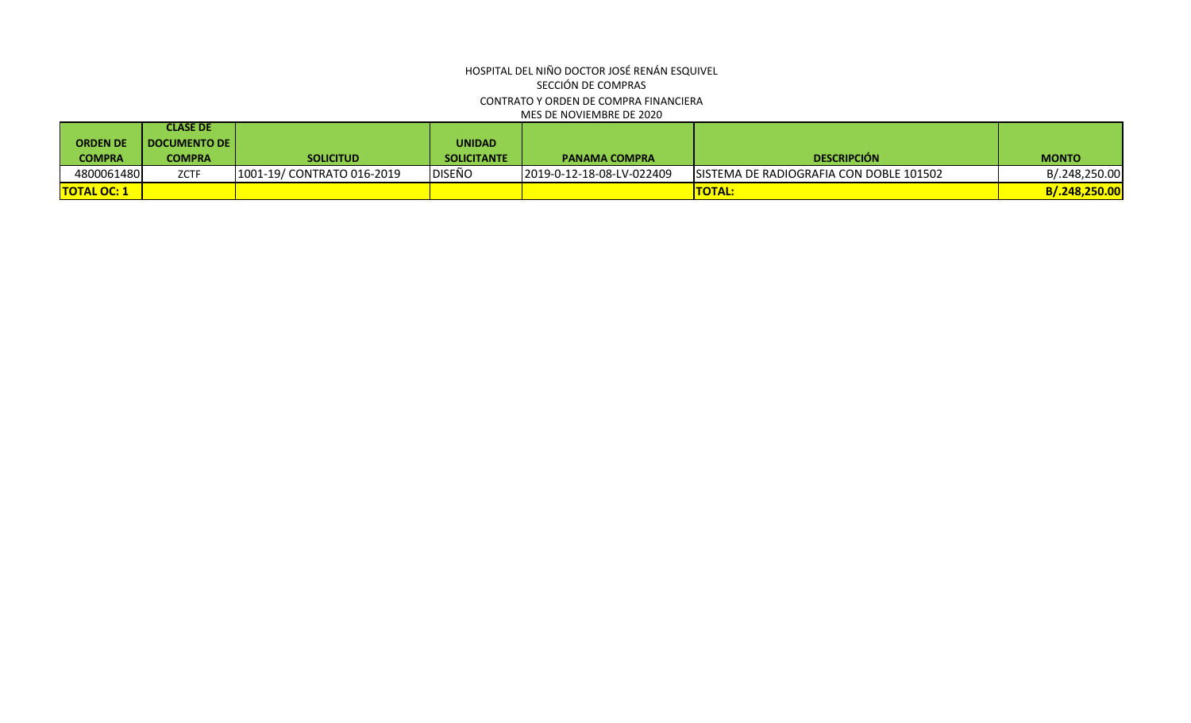# HOSPITAL DEL NIÑO DOCTOR JOSÉ RENÁN ESQUIVEL SECCIÓN DE COMPRAS MES DE NOVIEMBRE DE 2020 CONTRATO Y ORDEN DE COMPRA FINANCIERA

|                    | <b>CLASE DE</b>       |                            |                    |                           |                                          |               |
|--------------------|-----------------------|----------------------------|--------------------|---------------------------|------------------------------------------|---------------|
| <b>ORDEN DE</b>    | <b>DOCUMENTO DE I</b> |                            | <b>UNIDAD</b>      |                           |                                          |               |
| COMPRA             | COMPRA                | <b>SOLICITUD</b>           | <b>SOLICITANTE</b> | <b>PANAMA COMPRA</b>      | <b>DESCRIPCIÓN</b>                       | <b>MONTO</b>  |
| 4800061480         | <b>ZCTF</b>           | 1001-19/ CONTRATO 016-2019 | DISEÑO             | 2019-0-12-18-08-LV-022409 | ISISTEMA DE RADIOGRAFIA CON DOBLE 101502 | B/.248,250.00 |
| <b>TOTAL OC: 1</b> |                       |                            |                    |                           | <b>TOTAL:</b>                            | B/.248,250.00 |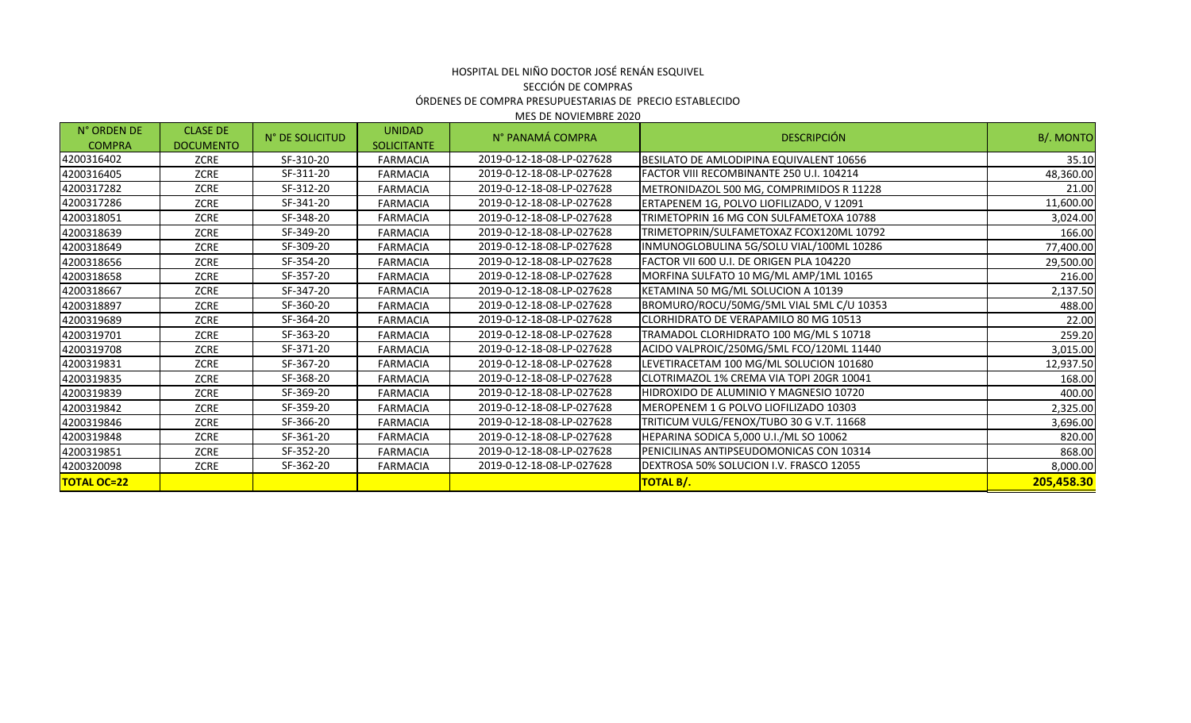## HOSPITAL DEL NIÑO DOCTOR JOSÉ RENÁN ESQUIVEL SECCIÓN DE COMPRAS ÓRDENES DE COMPRA PRESUPUESTARIAS DE PRECIO ESTABLECIDO MES DE NOVIEMBRE 2020

N° ORDEN DE COMPRA CLASE DE DOCUMENTO N° DE SOLICITUD UNIDAD SOLICITANTE N° PANAMÁ COMPRA DESCRIPCIÓN B/. MONTO 4200316402 ZCRE SF-310-20 FARMACIA 2019-0-12-18-08-LP-027628 BESILATO DE AMLODIPINA EQUIVALENT 10656 35.10 4200316405 ZCRE SF-311-20 FARMACIA 2019-0-12-18-08-LP-027628 FACTOR VIII RECOMBINANTE 250 U.I. 104214 48,360.00 4200317282 ZCRE SF-312-20 FARMACIA 2019-0-12-18-08-LP-027628 METRONIDAZOL 500 MG. COMPRIMIDOS R 11228 21.00 4200317286 | ZCRE | SF-341-20 | FARMACIA | 2019-0-12-18-08-LP-027628 |ERTAPENEM 1G. POLVO LIOFILIZADO. V 12091 4200318051 ZCRE SF-348-20 FARMACIA 2019-0-12-18-08-LP-027628 TRIMETOPRIN 16 MG CON SULFAMETOXA 10788 3,024.00 4200318639 ZCRE SF-349-20 FARMACIA 2019-0-12-18-08-LP-027628 TRIMETOPRIN/SULFAMETOXAZ FCOX120ML 10792 166.00 4200318649 ZCRE SF-309-20 FARMACIA 2019-0-12-18-08-LP-027628 INMUNOGLOBULINA 5G/SOLU VIAL/100ML 10286 77,400.00 4200318656 ZCRE SF-354-20 FARMACIA 2019-0-12-18-08-LP-027628 FACTOR VII 600 U.I. DE ORIGEN PLA 104220 29,500.00 4200318658 ZCRE SF-357-20 FARMACIA 2019-0-12-18-08-LP-027628 MORFINA SULFATO 10 MG/ML AMP/1ML 10165 216.00 4200318667 ZCRE SF-347-20 FARMACIA 2019-0-12-18-08-LP-027628 KETAMINA 50 MG/ML SOLUCION A 10139<br> ZCRE SF-347-20 FARMACIA 2019-0-12-18-08-LP-027628 KETAMINA 50 MG/ML SOLUCION 4200318897 | ZCRE | SF-360-20 | FARMACIA | 2019-0-12-18-08-LP-027628 BROMURO/ROCU/50MG/5ML VIAL 5ML C/U 10353 488.00 4200319689 ZCRE SF-364-20 FARMACIA 2019-0-12-18-08-LP-027628 CLORHIDRATO DE VERAPAMILO 80 MG 10513 22.00 4200319701 ZCRE SF-363-20 FARMACIA 2019-0-12-18-08-LP-027628 TRAMADOL CLORHIDRATO 100 MG/ML S 10718 259.20 4200319708 ZCRE SF-371-20 FARMACIA 2019-0-12-18-08-LP-027628 ACIDO VALPROIC/250MG/5ML FCO/120ML 11440 3,015.00 4200319831 ZCRE SF-367-20 FARMACIA 2019-0-12-18-08-LP-027628 LEVETIRACETAM 100 MG/ML SOLUCION 101680 12,937.50 4200319835 ZCRE SF-368-20 FARMACIA 2019-0-12-18-08-LP-027628 CLOTRIMAZOL 1% CREMA VIA TOPI 20GR 10041 168.00 4200319839 ZCRE SF-369-20 FARMACIA 2019-0-12-18-08-LP-027628 HIDROXIDO DE ALUMINIO Y MAGNESIO 10720 400.00 4200319842 ZCRE SF-359-20 FARMACIA 2019-0-12-18-08-LP-027628 MEROPENEM 1 G POLVO LIOFILIZADO 10303 2,325.00 4200319846 | ZCRE | SF-366-20 | FARMACIA | 2019-0-12-18-08-LP-027628 |TRITICUM VULG/FENOX/TUBO 30 G V.T. 11668 3,696.00 4200319848 ZCRE SF-361-20 FARMACIA 2019-0-12-18-08-LP-027628 HEPARINA SODICA 5,000 U.I./ML SO 10062 820.00 4200319851 ZCRE SF-352-20 FARMACIA 2019-0-12-18-08-LP-027628 PENICILINAS ANTIPSEUDOMONICAS CON 10314 868.00 4200320098 ZCRE SF-362-20 FARMACIA 2019-0-12-18-08-LP-027628 DEXTROSA 50% SOLUCION I.V. FRASCO 12055 8,000.00 **TOTAL OC=22 TOTAL B/. 205,458.30**